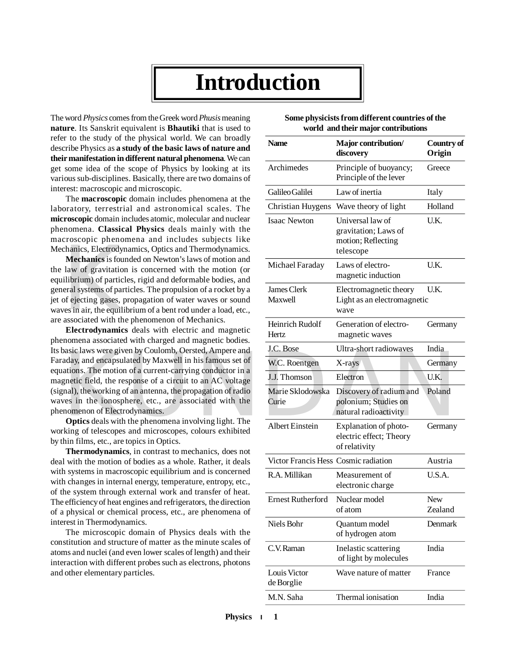## **Introduction**

The word *Physics* comes from the Greek word *Phusis* meaning **nature**. Its Sanskrit equivalent is **Bhautiki** that is used to refer to the study of the physical world. We can broadly describe Physics as **a study of the basic laws of nature and their manifestation in different natural phenomena**. We can get some idea of the scope of Physics by looking at its various sub-disciplines. Basically, there are two domains of interest: macroscopic and microscopic.

The **macroscopic** domain includes phenomena at the laboratory, terrestrial and astronomical scales. The **microscopic** domain includes atomic, molecular and nuclear phenomena. **Classical Physics** deals mainly with the macroscopic phenomena and includes subjects like

Mechanics, Electrodynamics, Optics and Thermodynamics.<br> **Mechanics** is founded on Newton's laws of motion and<br>
the law of gravitation is concerned with the motion (or<br>
equilibrium) of particles, rigid and deformable bodies **Mechanics** is founded on Newton's laws of motion and the law of gravitation is concerned with the motion (or equilibrium) of particles, rigid and deformable bodies, and general systems of particles. The propulsion of a rocket by a jet of ejecting gases, propagation of water waves or sound waves in air, the equilibrium of a bent rod under a load, etc., are associated with the phenomenon of Mechanics.

**Electrodynamics** deals with electric and magnetic phenomena associated with charged and magnetic bodies. Its basic laws were given by Coulomb, Oersted, Ampere and Faraday, and encapsulated by Maxwell in his famous set of equations. The motion of a current-carrying conductor in a magnetic field, the response of a circuit to an AC voltage (signal), the working of an antenna, the propagation of radio waves in the ionosphere, etc., are associated with the phenomenon of Electrodynamics.

**Optics** deals with the phenomena involving light. The working of telescopes and microscopes, colours exhibited by thin films, etc., are topics in Optics.

**Thermodynamics**, in contrast to mechanics, does not deal with the motion of bodies as a whole. Rather, it deals with systems in macroscopic equilibrium and is concerned with changes in internal energy, temperature, entropy, etc., of the system through external work and transfer of heat. The efficiency of heat engines and refrigerators, the direction of a physical or chemical process, etc., are phenomena of interest in Thermodynamics.

The microscopic domain of Physics deals with the constitution and structure of matter as the minute scales of atoms and nuclei (and even lower scales of length) and their interaction with different probes such as electrons, photons and other elementary particles.

|                                                                                                                                                                                                                                                                                                                                                                                                                                                                                                                                                                                                                                                                                                                                                                                                                                                                                                                                                                                                                                                                                                                                                                                                                                                                                                                                                                                                                                                                                                                                                                                                                                                                                                                                                                        | <b>Name</b>                          | Major contribution/<br>discovery                                            | Country of<br>Origin  |
|------------------------------------------------------------------------------------------------------------------------------------------------------------------------------------------------------------------------------------------------------------------------------------------------------------------------------------------------------------------------------------------------------------------------------------------------------------------------------------------------------------------------------------------------------------------------------------------------------------------------------------------------------------------------------------------------------------------------------------------------------------------------------------------------------------------------------------------------------------------------------------------------------------------------------------------------------------------------------------------------------------------------------------------------------------------------------------------------------------------------------------------------------------------------------------------------------------------------------------------------------------------------------------------------------------------------------------------------------------------------------------------------------------------------------------------------------------------------------------------------------------------------------------------------------------------------------------------------------------------------------------------------------------------------------------------------------------------------------------------------------------------------|--------------------------------------|-----------------------------------------------------------------------------|-----------------------|
|                                                                                                                                                                                                                                                                                                                                                                                                                                                                                                                                                                                                                                                                                                                                                                                                                                                                                                                                                                                                                                                                                                                                                                                                                                                                                                                                                                                                                                                                                                                                                                                                                                                                                                                                                                        | Archimedes                           | Principle of buoyancy;<br>Principle of the lever                            | Greece                |
|                                                                                                                                                                                                                                                                                                                                                                                                                                                                                                                                                                                                                                                                                                                                                                                                                                                                                                                                                                                                                                                                                                                                                                                                                                                                                                                                                                                                                                                                                                                                                                                                                                                                                                                                                                        | Galileo Galilei                      | Law of inertia                                                              | Italy                 |
|                                                                                                                                                                                                                                                                                                                                                                                                                                                                                                                                                                                                                                                                                                                                                                                                                                                                                                                                                                                                                                                                                                                                                                                                                                                                                                                                                                                                                                                                                                                                                                                                                                                                                                                                                                        | <b>Christian Huygens</b>             | Wave theory of light                                                        | Holland               |
| $\alpha$ to the staat of the physical world. We can broadly<br>cribe Physics as a study of the basic laws of nature and<br>ir manifestation in different natural phenomena. We can<br>some idea of the scope of Physics by looking at its<br>ious sub-disciplines. Basically, there are two domains of<br>erest: macroscopic and microscopic.<br>The macroscopic domain includes phenomena at the<br>oratory, terrestrial and astronomical scales. The<br>croscopic domain includes atomic, molecular and nuclear<br>enomena. Classical Physics deals mainly with the<br>croscopic phenomena and includes subjects like<br>chanics, Electrodynamics, Optics and Thermodynamics.<br>Mechanics is founded on Newton's laws of motion and<br>law of gravitation is concerned with the motion (or<br>ilibrium) of particles, rigid and deformable bodies, and<br>eral systems of particles. The propulsion of a rocket by a<br>of ejecting gases, propagation of water waves or sound<br>ves in air, the equilibrium of a bent rod under a load, etc.,<br>associated with the phenomenon of Mechanics.<br>Electrodynamics deals with electric and magnetic<br>nomena associated with charged and magnetic bodies.<br>pasic laws were given by Coulomb, Oersted, Ampere and<br>aday, and encapsulated by Maxwell in his famous set of<br>ations. The motion of a current-carrying conductor in a<br>gnetic field, the response of a circuit to an AC voltage<br>nal), the working of an antenna, the propagation of radio<br>ves in the ionosphere, etc., are associated with the<br>nomenon of Electrodynamics.<br>Optics deals with the phenomena involving light. The<br>king of telescopes and microscopes, colours exhibited<br>hin films, etc., are topics in Optics. | <b>Isaac Newton</b>                  | Universal law of<br>gravitation; Laws of<br>motion; Reflecting<br>telescope | U.K.                  |
|                                                                                                                                                                                                                                                                                                                                                                                                                                                                                                                                                                                                                                                                                                                                                                                                                                                                                                                                                                                                                                                                                                                                                                                                                                                                                                                                                                                                                                                                                                                                                                                                                                                                                                                                                                        | Michael Faraday                      | Laws of electro-<br>magnetic induction                                      | U.K.                  |
|                                                                                                                                                                                                                                                                                                                                                                                                                                                                                                                                                                                                                                                                                                                                                                                                                                                                                                                                                                                                                                                                                                                                                                                                                                                                                                                                                                                                                                                                                                                                                                                                                                                                                                                                                                        | James Clerk<br>Maxwell               | Electromagnetic theory<br>Light as an electromagnetic<br>wave               | U.K.                  |
|                                                                                                                                                                                                                                                                                                                                                                                                                                                                                                                                                                                                                                                                                                                                                                                                                                                                                                                                                                                                                                                                                                                                                                                                                                                                                                                                                                                                                                                                                                                                                                                                                                                                                                                                                                        | Heinrich Rudolf<br>Hertz             | Generation of electro-<br>magnetic waves                                    | Germany               |
|                                                                                                                                                                                                                                                                                                                                                                                                                                                                                                                                                                                                                                                                                                                                                                                                                                                                                                                                                                                                                                                                                                                                                                                                                                                                                                                                                                                                                                                                                                                                                                                                                                                                                                                                                                        | J.C. Bose                            | Ultra-short radiowaves                                                      | India                 |
|                                                                                                                                                                                                                                                                                                                                                                                                                                                                                                                                                                                                                                                                                                                                                                                                                                                                                                                                                                                                                                                                                                                                                                                                                                                                                                                                                                                                                                                                                                                                                                                                                                                                                                                                                                        | W.C. Roentgen                        | X-rays                                                                      | Germany               |
| Thermodynamics, in contrast to mechanics, does not<br>h systems in macroscopic equilibrium and is concerned<br>he system through external work and transfer of heat.<br>efficiency of heat engines and refrigerators, the direction<br>physical or chemical process, etc., are phenomena of<br>stitution and structure of matter as the minute scales of<br>ms and nuclei (and even lower scales of length) and their<br>eraction with different probes such as electrons, photons                                                                                                                                                                                                                                                                                                                                                                                                                                                                                                                                                                                                                                                                                                                                                                                                                                                                                                                                                                                                                                                                                                                                                                                                                                                                                     | J.J. Thomson                         | Electron                                                                    | U.K.                  |
|                                                                                                                                                                                                                                                                                                                                                                                                                                                                                                                                                                                                                                                                                                                                                                                                                                                                                                                                                                                                                                                                                                                                                                                                                                                                                                                                                                                                                                                                                                                                                                                                                                                                                                                                                                        | Marie Sklodowska<br>Curie            | Discovery of radium and<br>polonium; Studies on<br>natural radioactivity    | Poland                |
|                                                                                                                                                                                                                                                                                                                                                                                                                                                                                                                                                                                                                                                                                                                                                                                                                                                                                                                                                                                                                                                                                                                                                                                                                                                                                                                                                                                                                                                                                                                                                                                                                                                                                                                                                                        | Albert Einstein                      | Explanation of photo-<br>electric effect; Theory<br>of relativity           | Germany               |
| I with the motion of bodies as a whole. Rather, it deals                                                                                                                                                                                                                                                                                                                                                                                                                                                                                                                                                                                                                                                                                                                                                                                                                                                                                                                                                                                                                                                                                                                                                                                                                                                                                                                                                                                                                                                                                                                                                                                                                                                                                                               | Victor Francis Hess Cosmic radiation |                                                                             | Austria               |
| h changes in internal energy, temperature, entropy, etc.,                                                                                                                                                                                                                                                                                                                                                                                                                                                                                                                                                                                                                                                                                                                                                                                                                                                                                                                                                                                                                                                                                                                                                                                                                                                                                                                                                                                                                                                                                                                                                                                                                                                                                                              | R.A. Millikan                        | Measurement of<br>electronic charge                                         | U.S.A.                |
|                                                                                                                                                                                                                                                                                                                                                                                                                                                                                                                                                                                                                                                                                                                                                                                                                                                                                                                                                                                                                                                                                                                                                                                                                                                                                                                                                                                                                                                                                                                                                                                                                                                                                                                                                                        | <b>Ernest Rutherford</b>             | Nuclear model<br>of atom                                                    | <b>New</b><br>Zealand |
| erest in Thermodynamics.<br>The microscopic domain of Physics deals with the                                                                                                                                                                                                                                                                                                                                                                                                                                                                                                                                                                                                                                                                                                                                                                                                                                                                                                                                                                                                                                                                                                                                                                                                                                                                                                                                                                                                                                                                                                                                                                                                                                                                                           | Niels Bohr                           | Quantum model<br>of hydrogen atom                                           | Denmark               |
|                                                                                                                                                                                                                                                                                                                                                                                                                                                                                                                                                                                                                                                                                                                                                                                                                                                                                                                                                                                                                                                                                                                                                                                                                                                                                                                                                                                                                                                                                                                                                                                                                                                                                                                                                                        | C.V. Raman                           | Inelastic scattering<br>of light by molecules                               | India                 |
| other elementary particles.                                                                                                                                                                                                                                                                                                                                                                                                                                                                                                                                                                                                                                                                                                                                                                                                                                                                                                                                                                                                                                                                                                                                                                                                                                                                                                                                                                                                                                                                                                                                                                                                                                                                                                                                            | Louis Victor<br>de Borglie           | Wave nature of matter                                                       | France                |
|                                                                                                                                                                                                                                                                                                                                                                                                                                                                                                                                                                                                                                                                                                                                                                                                                                                                                                                                                                                                                                                                                                                                                                                                                                                                                                                                                                                                                                                                                                                                                                                                                                                                                                                                                                        |                                      |                                                                             |                       |

M.N. Saha Thermal ionisation India

| Some physicists from different countries of the |  |                                     |  |
|-------------------------------------------------|--|-------------------------------------|--|
|                                                 |  | world and their major contributions |  |

**Physics 1**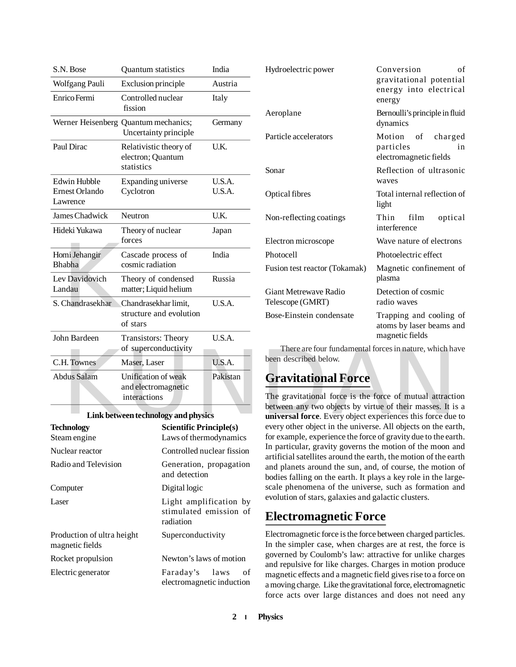| S.N. Bose                  | <b>Quantum</b> statistics                                     | India    | Hydroelectric power                                                                                                  | Conversion                                                   |  |
|----------------------------|---------------------------------------------------------------|----------|----------------------------------------------------------------------------------------------------------------------|--------------------------------------------------------------|--|
| Wolfgang Pauli             | Exclusion principle                                           | Austria  |                                                                                                                      | gravitational potenti<br>energy into electric                |  |
| Enrico Fermi               | Controlled nuclear<br>fission                                 | Italy    |                                                                                                                      | energy                                                       |  |
|                            | Werner Heisenberg Quantum mechanics;<br>Uncertainty principle | Germany  | Aeroplane                                                                                                            | Bernoulli's principle in flu<br>dynamics                     |  |
| Paul Dirac                 | Relativistic theory of<br>electron; Quantum<br>statistics     | U.K.     | Particle accelerators                                                                                                | Motion<br>of<br>charg<br>particles<br>electromagnetic fields |  |
| Edwin Hubble               | Expanding universe                                            | U.S.A.   | Sonar                                                                                                                | Reflection of ultrasor<br>waves                              |  |
| Ernest Orlando<br>Lawrence | Cyclotron                                                     | U.S.A.   | Optical fibres                                                                                                       | Total internal reflection<br>light                           |  |
| James Chadwick             | Neutron                                                       | U.K.     | Non-reflecting coatings                                                                                              | Thin<br>film<br>optic                                        |  |
| Hideki Yukawa              | Theory of nuclear<br>forces                                   | Japan    | Electron microscope                                                                                                  | interference<br>Wave nature of electron                      |  |
| Homi Jehangir              | Cascade process of                                            | India    | Photocell                                                                                                            | Photoelectric effect                                         |  |
| Bhabha                     | cosmic radiation                                              |          | Fusion test reactor (Tokamak)                                                                                        | Magnetic confinement                                         |  |
| Lev Davidovich<br>Landau   | Theory of condensed<br>matter; Liquid helium                  | Russia   |                                                                                                                      | plasma                                                       |  |
| S. Chandrasekhar           | Chandrasekhar limit,                                          | U.S.A.   | Giant Metrewave Radio<br>Telescope (GMRT)                                                                            | Detection of cosmic<br>radio waves                           |  |
|                            | structure and evolution<br>of stars                           |          | Bose-Einstein condensate<br>Trapping and cooling<br>atoms by laser beams a                                           |                                                              |  |
| John Bardeen               | <b>Transistors: Theory</b>                                    | U.S.A.   |                                                                                                                      | magnetic fields                                              |  |
|                            | of superconductivity                                          |          | There are four fundamental forces in nature, which ha<br>been described below.                                       |                                                              |  |
| C.H. Townes                | Maser, Laser                                                  | U.S.A.   |                                                                                                                      |                                                              |  |
| <b>Abdus Salam</b>         | Unification of weak<br>and electromagnetic                    | Pakistan | <b>Gravitational Force</b>                                                                                           |                                                              |  |
|                            | interactions                                                  |          | The gravitational force is the force of mutual attracti                                                              |                                                              |  |
|                            | Link between technology and physics                           |          | between any two objects by virtue of their masses. It is<br>universal force. Every object experiences this force due |                                                              |  |
| <b>Technology</b>          | <b>Scientific Principle(s)</b>                                |          | every other object in the universe. All objects on the ear                                                           |                                                              |  |

#### **Link between technology and physics**

| <b>Technology</b><br>Steam engine             | <b>Scientific Principle(s)</b><br>Laws of thermodynamics      |  |
|-----------------------------------------------|---------------------------------------------------------------|--|
| Nuclear reactor                               | Controlled nuclear fission                                    |  |
| Radio and Television                          | Generation, propagation<br>and detection                      |  |
| Computer                                      | Digital logic                                                 |  |
| Laser                                         | Light amplification by<br>stimulated emission of<br>radiation |  |
| Production of ultra height<br>magnetic fields | Superconductivity                                             |  |
| Rocket propulsion                             | Newton's laws of motion                                       |  |
| Electric generator                            | Faraday's laws<br>οf<br>electromagnetic induction             |  |

| Hydroelectric power                       | Conversion<br>of<br>gravitational potential<br>energy into electrical<br>energy |  |  |
|-------------------------------------------|---------------------------------------------------------------------------------|--|--|
| Aeroplane                                 | Bernoulli's principle in fluid<br>dynamics                                      |  |  |
| Particle accelerators                     | Motion of charged<br>particles<br>in<br>electromagnetic fields                  |  |  |
| Sonar                                     | Reflection of ultrasonic<br>waves                                               |  |  |
| Optical fibres                            | Total internal reflection of<br>light                                           |  |  |
| Non-reflecting coatings                   | film<br>Thin<br>optical<br>interference                                         |  |  |
| Electron microscope                       | Wave nature of electrons                                                        |  |  |
| Photocell                                 | Photoelectric effect                                                            |  |  |
| Fusion test reactor (Tokamak)             | Magnetic confinement of<br>plasma                                               |  |  |
| Giant Metrewaye Radio<br>Telescope (GMRT) | Detection of cosmic<br>radio waves                                              |  |  |
| Bose-Einstein condensate                  | Trapping and cooling of<br>atoms by laser beams and<br>magnetic fields          |  |  |

## **Gravitational Force**

The gravitational force is the force of mutual attraction between any two objects by virtue of their masses. It is a **universal force**. Every object experiences this force due to every other object in the universe. All objects on the earth, for example, experience the force of gravity due to the earth. In particular, gravity governs the motion of the moon and artificial satellites around the earth, the motion of the earth and planets around the sun, and, of course, the motion of bodies falling on the earth. It plays a key role in the largescale phenomena of the universe, such as formation and evolution of stars, galaxies and galactic clusters.

## **Electromagnetic Force**

Electromagnetic force is the force between charged particles. In the simpler case, when charges are at rest, the force is governed by Coulomb's law: attractive for unlike charges and repulsive for like charges. Charges in motion produce magnetic effects and a magnetic field gives rise to a force on a moving charge. Like the gravitational force, electromagnetic force acts over large distances and does not need any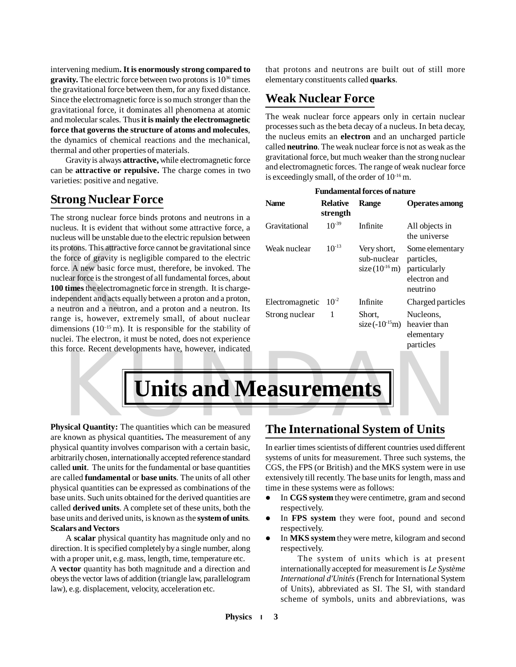intervening medium**. It is enormously strong compared to gravity.** The electric force between two protons is  $10^{36}$  times the gravitational force between them, for any fixed distance. Since the electromagnetic force is so much stronger than the gravitational force, it dominates all phenomena at atomic and molecular scales. Thus **it is mainly the electromagnetic force that governs the structure of atoms and molecules**, the dynamics of chemical reactions and the mechanical, thermal and other properties of materials.

Gravity is always **attractive,** while electromagnetic force can be **attractive or repulsive.** The charge comes in two varieties: positive and negative.

## **Strong Nuclear Force**

protons. This attract<br>force of gravity is<br>e. A new basic for<br>lear force is the strc<br>**times** the electrom<br>ependent and acts e<br>eutron and a neutr<br>ge is, however, e<br>ensions  $(10^{-15} \text{ m})$ The strong nuclear force binds protons and neutrons in a nucleus. It is evident that without some attractive force, a nucleus will be unstable due to the electric repulsion between its protons. This attractive force cannot be gravitational since the force of gravity is negligible compared to the electric force. A new basic force must, therefore, be invoked. The nuclear force is the strongest of all fundamental forces, about **100 times** the electromagnetic force in strength. It is chargeindependent and acts equally between a proton and a proton, a neutron and a neutron, and a proton and a neutron. Its range is, however, extremely small, of about nuclear dimensions  $(10^{-15} \text{ m})$ . It is responsible for the stability of nuclei. The electron, it must be noted, does not experience this force. Recent developments have, however, indicated that protons and neutrons are built out of still more elementary constituents called **quarks**.

## **Weak Nuclear Force**

The weak nuclear force appears only in certain nuclear processes such as the beta decay of a nucleus. In beta decay, the nucleus emits an **electron** and an uncharged particle called **neutrino**. The weak nuclear force is not as weak as the gravitational force, but much weaker than the strong nuclear and electromagnetic forces. The range of weak nuclear force is exceedingly small, of the order of  $10^{-16}$  m.

| <b>Fundamental forces of nature</b> |                             |                                                         |                                                                           |  |  |
|-------------------------------------|-----------------------------|---------------------------------------------------------|---------------------------------------------------------------------------|--|--|
| <b>Name</b>                         | <b>Relative</b><br>strength | Range                                                   | <b>Operates among</b>                                                     |  |  |
| Gravitational                       | $10^{-39}$                  | Infinite                                                | All objects in<br>the universe                                            |  |  |
| Weak nuclear                        | $10^{-13}$                  | Very short,<br>sub-nuclear<br>size $(10^{16} \text{m})$ | Some elementary<br>particles,<br>particularly<br>electron and<br>neutrino |  |  |
| Electromagnetic                     | $10^{-2}$                   | Infinite                                                | Charged particles                                                         |  |  |
| Strong nuclear                      | 1                           | Short,<br>$size(-10^{-15}m)$                            | Nucleons,<br>heavier than<br>elementary<br>particles                      |  |  |

KUNDAN **Units and Measurements**

**Physical Quantity:** The quantities which can be measured are known as physical quantities**.** The measurement of any physical quantity involves comparison with a certain basic, arbitrarily chosen, internationally accepted reference standard called **unit**. The units for the fundamental or base quantities are called **fundamental** or **base units**. The units of all other physical quantities can be expressed as combinations of the base units. Such units obtained for the derived quantities are called **derived units**. A complete set of these units, both the base units and derived units, is known as the **system of units***.* **Scalars and Vectors**

A **scalar** physical quantity has magnitude only and no direction. It is specified completely by a single number, along with a proper unit, e.g. mass, length, time, temperature etc. A **vector** quantity has both magnitude and a direction and obeys the vector laws of addition (triangle law, parallelogram law), e.g. displacement, velocity, acceleration etc.

## **The International System of Units**

In earlier times scientists of different countries used different systems of units for measurement. Three such systems, the CGS, the FPS (or British) and the MKS system were in use extensively till recently. The base units for length, mass and time in these systems were as follows:

- In **CGS system** they were centimetre, gram and second respectively.
- In **FPS system** they were foot, pound and second respectively.
- In **MKS system** they were metre, kilogram and second respectively.

The system of units which is at present internationally accepted for measurement is *Le Système International d'Unités* (French for International System of Units), abbreviated as SI. The SI, with standard scheme of symbols, units and abbreviations, was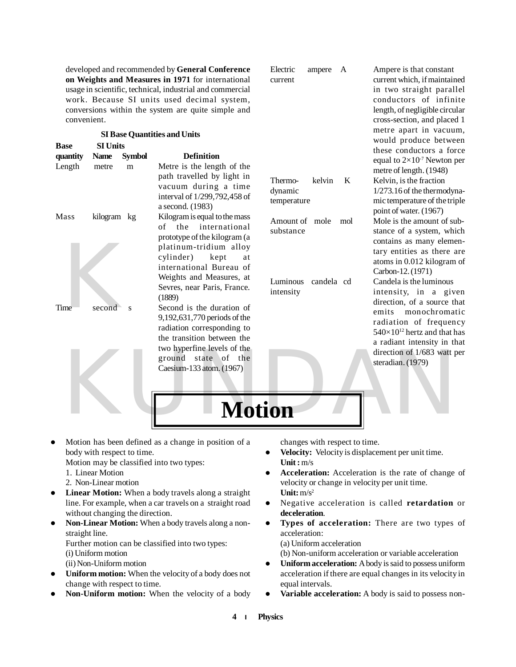developed and recommended by **General Conference on Weights and Measures in 1971** for international usage in scientific, technical, industrial and commercial work. Because SI units used decimal system, conversions within the system are quite simple and convenient.

|                         |                                |                         | <b>SI Base Quantities and Units</b>                                                                                                                                                                                                              |                                                                           | metre apart in vacuum,<br>would produce between                                                                                                                                                                                                         |
|-------------------------|--------------------------------|-------------------------|--------------------------------------------------------------------------------------------------------------------------------------------------------------------------------------------------------------------------------------------------|---------------------------------------------------------------------------|---------------------------------------------------------------------------------------------------------------------------------------------------------------------------------------------------------------------------------------------------------|
| <b>Base</b><br>quantity | <b>SI Units</b><br><b>Name</b> | <b>Symbol</b>           | <b>Definition</b>                                                                                                                                                                                                                                |                                                                           | these conductors a force<br>equal to $2\times10^{-7}$ Newton per                                                                                                                                                                                        |
| Length                  | metre                          | m                       | Metre is the length of the<br>path travelled by light in<br>vacuum during a time<br>interval of 1/299,792,458 of<br>a second. (1983)                                                                                                             | kelvin<br>K<br>Thermo-<br>dynamic<br>temperature                          | metre of length. (1948)<br>Kelvin, is the fraction<br>1/273.16 of the thermodyna-<br>mic temperature of the triple<br>point of water. (1967)                                                                                                            |
| Mass                    | kilogram kg                    |                         | Kilogram is equal to the mass<br>the<br>international<br>of<br>prototype of the kilogram (a<br>platinum-tridium alloy<br>cylinder)<br>kept<br>at<br>international Bureau of<br>Weights and Measures, at<br>Sevres, near Paris, France.<br>(1889) | Amount of mole<br>mol<br>substance<br>Luminous<br>candela cd<br>intensity | Mole is the amount of sub-<br>stance of a system, which<br>contains as many elemen-<br>tary entities as there are<br>atoms in 0.012 kilogram of<br>Carbon-12. (1971)<br>Candela is the luminous<br>intensity, in a given<br>direction, of a source that |
| Time                    | second                         | $\overline{\mathbf{s}}$ | Second is the duration of<br>9,192,631,770 periods of the<br>radiation corresponding to<br>the transition between the<br>two hyperfine levels of the<br>ground<br>state of the<br>Caesium-133 atom. (1967)                                       |                                                                           | emits monochromatic<br>radiation of frequency<br>$540\times10^{12}$ hertz and that has<br>a radiant intensity in that<br>direction of 1/683 watt per<br>steradian. (1979)                                                                               |
|                         |                                |                         | <b>Motion</b>                                                                                                                                                                                                                                    |                                                                           |                                                                                                                                                                                                                                                         |

 Motion has been defined as a change in position of a body with respect to time.

Motion may be classified into two types:

- 1. Linear Motion
- 2. Non-Linear motion
- **Linear Motion:** When a body travels along a straight line. For example, when a car travels on a straight road without changing the direction.
- **Non-Linear Motion:** When a body travels along a nonstraight line.

Further motion can be classified into two types:

- (i) Uniform motion
- (ii) Non-Uniform motion
- **Uniform motion:** When the velocity of a body does not change with respect to time.
- **Non-Uniform motion:** When the velocity of a body

changes with respect to time.

- **Velocity:** Velocity is displacement per unit time. **Unit :** m/s
- **Acceleration:** Acceleration is the rate of change of velocity or change in velocity per unit time. **Unit:** m/s<sup>2</sup>

Electric ampere A Ampere is that constant current current which, if maintained

> in two straight parallel conductors of infinite length, of negligible circular cross-section, and placed 1

- Negative acceleration is called **retardation** or **deceleration**.
- **Types of acceleration:** There are two types of acceleration:
	- (a) Uniform acceleration
	- (b) Non-uniform acceleration or variable acceleration
- **Uniform acceleration:** A body is said to possess uniform acceleration if there are equal changes in its velocity in equal intervals.
- **Variable acceleration:** A body is said to possess non-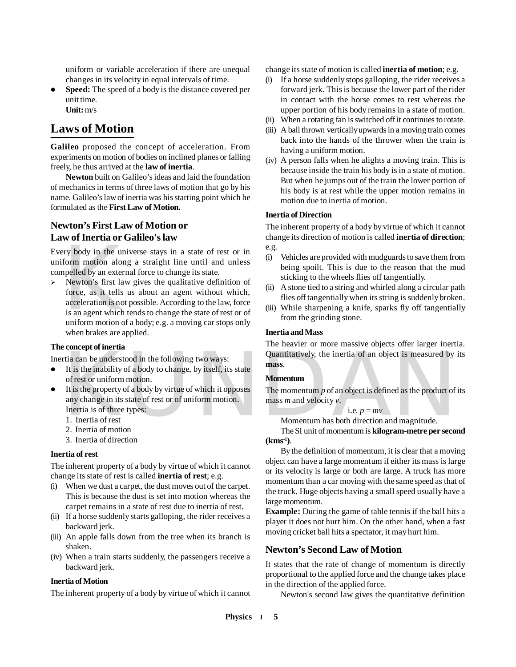uniform or variable acceleration if there are unequal changes in its velocity in equal intervals of time.

• **Speed:** The speed of a body is the distance covered per unit time. **Unit:** m/s

## **Laws of Motion**

**Galileo** proposed the concept of acceleration. From experiments on motion of bodies on inclined planes or falling freely, he thus arrived at the **law of inertia**.

**Newton** built on Galileo's ideas and laid the foundation of mechanics in terms of three laws of motion that go by his name. Galileo's law of inertia was his starting point which he formulated as the **First Law of Motion.**

#### **Newton's First Law of Motion or Law of Inertia or Galileo's law**

Every body in the universe stays in a state of rest or in uniform motion along a straight line until and unless compelled by an external force to change its state.

ery body in the un<br>form motion alon<br>npelled by an exter<br>Newton's first lar<br>force, as it tells<br>acceleration is not<br>is an agent which<br>uniform motion o  $\triangleright$  Newton's first law gives the qualitative definition of force, as it tells us about an agent without which, acceleration is not possible. According to the law, force is an agent which tends to change the state of rest or of uniform motion of a body; e.g. a moving car stops only when brakes are applied.

#### **The concept of inertia**

Inertia can be understood in the following two ways:

- $\bullet$  It is the inability of a body to change, by itself, its state of rest or uniform motion.
- Fia can be understood in the following two ways:<br>
It is the inability of a body to change, by itself, its state<br>
of rest or uniform motion.<br>
It is the property of a body by virtue of which it opposes<br>
The momentum p of an It is the property of a body by virtue of which it opposes any change in its state of rest or of uniform motion. Inertia is of three types:
	- 1. Inertia of rest
	- 2. Inertia of motion
	- 3. Inertia of direction

#### **Inertia of rest**

The inherent property of a body by virtue of which it cannot change its state of rest is called **inertia of rest**; e.g.

- (i) When we dust a carpet, the dust moves out of the carpet. This is because the dust is set into motion whereas the carpet remains in a state of rest due to inertia of rest.
- (ii) If a horse suddenly starts galloping, the rider receives a backward jerk.
- (iii) An apple falls down from the tree when its branch is shaken.
- (iv) When a train starts suddenly, the passengers receive a backward jerk.

#### **Inertia of Motion**

The inherent property of a body by virtue of which it cannot

change its state of motion is called **inertia of motion**; e.g.

- (i) If a horse suddenly stops galloping, the rider receives a forward jerk. This is because the lower part of the rider in contact with the horse comes to rest whereas the upper portion of his body remains in a state of motion.
- (ii) When a rotating fan is switched off it continues to rotate.
- (iii) A ball thrown vertically upwards in a moving train comes back into the hands of the thrower when the train is having a uniform motion.
- (iv) A person falls when he alights a moving train. This is because inside the train his body is in a state of motion. But when he jumps out of the train the lower portion of his body is at rest while the upper motion remains in motion due to inertia of motion.

#### **Inertia of Direction**

The inherent property of a body by virtue of which it cannot change its direction of motion is called **inertia of direction**; e.g.

- (i) Vehicles are provided with mudguards to save them from being spoilt. This is due to the reason that the mud sticking to the wheels flies off tangentially.
- (ii) A stone tied to a string and whirled along a circular path flies off tangentially when its string is suddenly broken.
- (iii) While sharpening a knife, sparks fly off tangentially from the grinding stone.

#### **Inertia and Mass**

The heavier or more massive objects offer larger inertia. Quantitatively, the inertia of an object is measured by its **mass**.

#### **Momentum**

The momentum *p* of an object is defined as the product of its mass *m* and velocity *v*.

i.e. 
$$
p = mv
$$

Momentum has both direction and magnitude.

The SI unit of momentum is **kilogram-metre per second (kms-1)**.

By the definition of momentum, it is clear that a moving object can have a large momentum if either its mass is large or its velocity is large or both are large. A truck has more momentum than a car moving with the same speed as that of the truck. Huge objects having a small speed usually have a large momentum.

**Example:** During the game of table tennis if the ball hits a player it does not hurt him. On the other hand, when a fast moving cricket ball hits a spectator, it may hurt him.

#### **Newton's Second Law of Motion**

It states that the rate of change of momentum is directly proportional to the applied force and the change takes place in the direction of the applied force.

Newton's second law gives the quantitative definition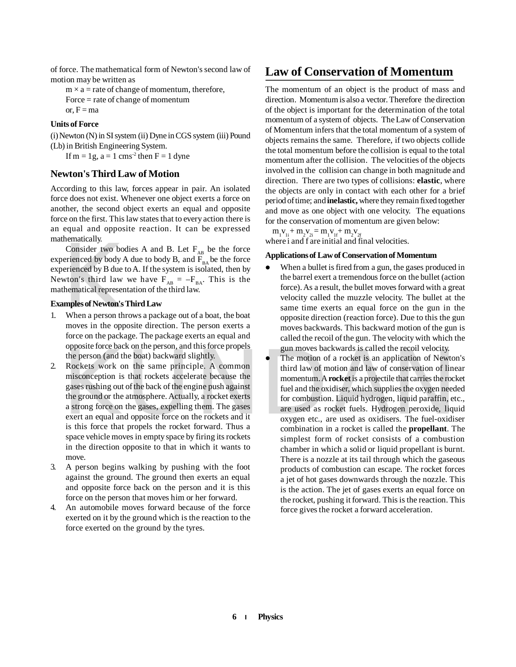of force. The mathematical form of Newton's second law of motion may be written as

 $m \times a$  = rate of change of momentum, therefore, Force = rate of change of momentum or,  $F = ma$ 

#### **Units of Force**

(i) Newton (N) in SI system (ii) Dyne in CGS system (iii) Pound (Lb) in British Engineering System.

If m = 1g,  $a = 1$  cms<sup>-2</sup> then F = 1 dyne

#### **Newton's Third Law of Motion**

According to this law, forces appear in pair. An isolated force does not exist. Whenever one object exerts a force on another, the second object exerts an equal and opposite force on the first. This law states that to every action there is an equal and opposite reaction. It can be expressed mathematically.

 $R$ <br>Consider two booterienced by body  $A$ <br>erienced by B due two strip and the wide of Newton's<br>Mematical represent<br>maples of Newton's<br>When a person the moves in the opp Consider two bodies A and B. Let  $F_{AB}$  be the force experienced by body A due to body B, and  $F<sub>BA</sub>$  be the force experienced by B due to A. If the system is isolated, then by Newton's third law we have  $F_{AB} = -F_{BA}$ . This is the mathematical representation of the third law.

#### **Examples of Newton's Third Law**

- 1. When a person throws a package out of a boat, the boat moves in the opposite direction. The person exerts a force on the package. The package exerts an equal and opposite force back on the person, and this force propels the person (and the boat) backward slightly.
- 2. Rockets work on the same principle. A common misconception is that rockets accelerate because the gases rushing out of the back of the engine push against the ground or the atmosphere. Actually, a rocket exerts a strong force on the gases, expelling them. The gases exert an equal and opposite force on the rockets and it is this force that propels the rocket forward. Thus a space vehicle moves in empty space by firing its rockets in the direction opposite to that in which it wants to move.
- 3. A person begins walking by pushing with the foot against the ground. The ground then exerts an equal and opposite force back on the person and it is this force on the person that moves him or her forward.
- 4. An automobile moves forward because of the force exerted on it by the ground which is the reaction to the force exerted on the ground by the tyres.

## **Law of Conservation of Momentum**

The momentum of an object is the product of mass and direction. Momentum is also a vector. Therefore the direction of the object is important for the determination of the total momentum of a system of objects. The Law of Conservation of Momentum infers that the total momentum of a system of objects remains the same. Therefore, if two objects collide the total momentum before the collision is equal to the total momentum after the collision. The velocities of the objects involved in the collision can change in both magnitude and direction. There are two types of collisions: **elastic**, where the objects are only in contact with each other for a brief period of time; and **inelastic,** where they remain fixed together and move as one object with one velocity. The equations for the conservation of momentum are given below:

 $m_1v_{1i} + m_2v_{2i} = m_1v_{1f} + m_2v_{2f}$ where i and f are initial and final velocities.

#### **Applications of Law of Conservation of Momentum**

- When a bullet is fired from a gun, the gases produced in the barrel exert a tremendous force on the bullet (action force). As a result, the bullet moves forward with a great velocity called the muzzle velocity. The bullet at the same time exerts an equal force on the gun in the opposite direction (reaction force). Due to this the gun moves backwards. This backward motion of the gun is called the recoil of the gun. The velocity with which the gun moves backwards is called the recoil velocity.
- The motion of a rocket is an application of Newton<br>
Rockets work on the same principle. A common<br>
misconception is that rockets accelerate because the<br>
gases rushing out of the back of the engine push against<br>
the ground o • The motion of a rocket is an application of Newton's third law of motion and law of conservation of linear momentum. A **rocket** is a projectile that carries the rocket fuel and the oxidiser, which supplies the oxygen needed for combustion. Liquid hydrogen, liquid paraffin, etc., are used as rocket fuels. Hydrogen peroxide, liquid oxygen etc., are used as oxidisers. The fuel-oxidiser combination in a rocket is called the **propellant**. The simplest form of rocket consists of a combustion chamber in which a solid or liquid propellant is burnt. There is a nozzle at its tail through which the gaseous products of combustion can escape. The rocket forces a jet of hot gases downwards through the nozzle. This is the action. The jet of gases exerts an equal force on the rocket, pushing it forward. This is the reaction. This force gives the rocket a forward acceleration.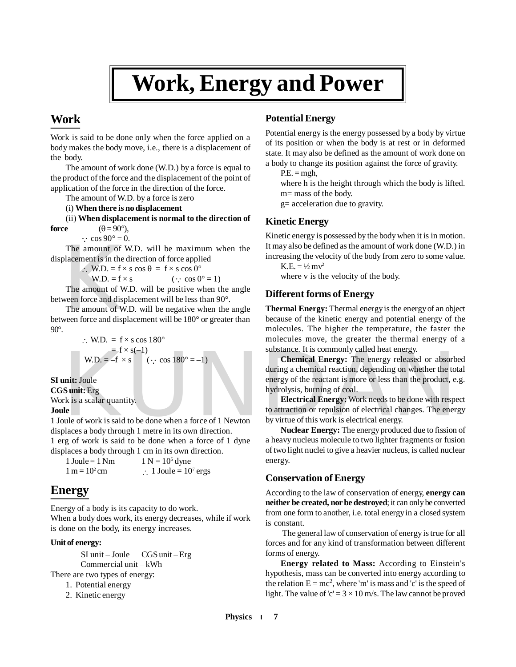## **Work, Energy and Power**

## **Work**

Work is said to be done only when the force applied on a body makes the body move, i.e., there is a displacement of the body.

The amount of work done (W.D.) by a force is equal to the product of the force and the displacement of the point of application of the force in the direction of the force.

The amount of W.D. by a force is zero

(i) **When there is no displacement**

(ii) **When displacement is normal to the direction of force**  $(\theta = 90^{\circ})$ ,

 $\therefore$  cos 90° = 0.

The amount of W.D. will be maximum when the displacement is in the direction of force applied

: W.D. = f × s cos  $\theta$  = f × s cos 0°<br>W.D. = f × s ( $\cdot$  cos 0  $(\cdot$  cos  $0^\circ = 1)$ 

The amount of W.D. will be positive when the angle between force and displacement will be less than 90°.

The amount of v<br>placement is in the<br> $\therefore$  W.D. = f  $\times$ <br>W.D. = f  $\times$ <br>The amount of W<br>ween force and disp<br>The amount of W<br>ween force and disp The amount of W.D. will be negative when the angle between force and displacement will be 180° or greater than 90°.

> $\cdot$  W.D. = f  $\times$  s cos 180<sup>o</sup>  $=$  f × s(-1)<br>W.D. = -f × s  $(\cdot$  cos  $180^\circ = -1)$

**SI unit:** Joule **CGS unit:** Erg Work is a scalar quantity.

**Joule**

1 Joule of work is said to be done when a force of 1 Newton displaces a body through 1 metre in its own direction. 1 erg of work is said to be done when a force of 1 dyne displaces a body through 1 cm in its own direction.

1 Ioule  $= 1$  Nm  $1 N = 10<sup>5</sup>$  dyne  $1 m = 10^2 cm$ cm  $\therefore$  1 Joule = 10<sup>7</sup> ergs

## **Energy**

Energy of a body is its capacity to do work.

When a body does work, its energy decreases, while if work is done on the body, its energy increases.

#### **Unit of energy:**

SI unit – Joule CGS unit – Erg Commercial unit – kWh

There are two types of energy:

- 1. Potential energy
- 2. Kinetic energy

### **Potential Energy**

Potential energy is the energy possessed by a body by virtue of its position or when the body is at rest or in deformed state. It may also be defined as the amount of work done on a body to change its position against the force of gravity.

 $P.E. = mgh$ ,

where h is the height through which the body is lifted. m= mass of the body.

g= acceleration due to gravity.

#### **Kinetic Energy**

Kinetic energy is possessed by the body when it is in motion. It may also be defined as the amount of work done (W.D.) in increasing the velocity of the body from zero to some value.

 $K.E. = \frac{1}{2}mv^2$ where v is the velocity of the body.

#### **Different forms of Energy**

**Thermal Energy:** Thermal energy is the energy of an object because of the kinetic energy and potential energy of the molecules. The higher the temperature, the faster the molecules move, the greater the thermal energy of a substance. It is commonly called heat energy.

 $\mathbf{W}.\mathbf{D} = \mathbf{f} \times \mathbf{s}(-1)$ <br>  $\mathbf{W}.\mathbf{D} = -\mathbf{f} \times \mathbf{s}$  (::  $\cos 180^\circ = -1$ )<br> **Chemical Energy:** The energy released or absorb<br>
during a chemical reaction, depending on whether the to<br>
during a chemical reaction, dep **Chemical Energy:** The energy released or absorbed during a chemical reaction, depending on whether the total energy of the reactant is more or less than the product, e.g. hydrolysis, burning of coal.

**Electrical Energy:** Work needs to be done with respect to attraction or repulsion of electrical changes. The energy by virtue of this work is electrical energy.

**Nuclear Energy:** The energy produced due to fission of a heavy nucleus molecule to two lighter fragments or fusion of two light nuclei to give a heavier nucleus, is called nuclear energy.

#### **Conservation of Energy**

According to the law of conservation of energy, **energy can neither be created, nor be destroyed**; it can only be converted from one form to another, i.e. total energy in a closed system is constant.

 The general law of conservation of energy is true for all forces and for any kind of transformation between different forms of energy.

**Energy related to Mass:** According to Einstein's hypothesis, mass can be converted into energy according to the relation  $E = mc^2$ , where 'm' is mass and 'c' is the speed of light. The value of 'c' =  $3 \times 10$  m/s. The law cannot be proved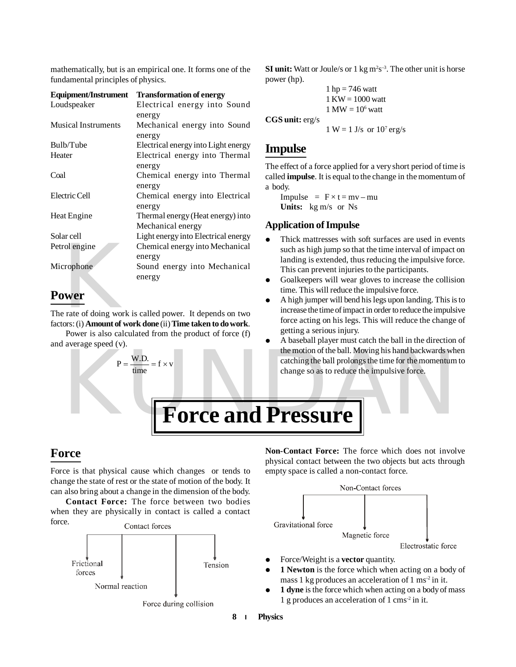mathematically, but is an empirical one. It forms one of the fundamental principles of physics.

| <b>Equipment/Instrument</b> | <b>Transformation of energy</b>                              |
|-----------------------------|--------------------------------------------------------------|
| Loudspeaker                 | Electrical energy into Sound                                 |
|                             | energy                                                       |
| <b>Musical Instruments</b>  | Mechanical energy into Sound                                 |
|                             | energy                                                       |
| Bulb/Tube                   | Electrical energy into Light energy                          |
| Heater                      | Electrical energy into Thermal                               |
|                             | energy                                                       |
| Coal                        | Chemical energy into Thermal                                 |
|                             | energy                                                       |
| Electric Cell               | Chemical energy into Electrical                              |
|                             | energy                                                       |
| Heat Engine                 | Thermal energy (Heat energy) into                            |
|                             | Mechanical energy                                            |
| Solar cell                  | Light energy into Electrical energy                          |
| Petrol engine               | Chemical energy into Mechanical                              |
|                             | energy                                                       |
| Microphone                  | Sound energy into Mechanical                                 |
|                             | energy                                                       |
| <b>Power</b>                |                                                              |
|                             | The rate of doing work is called power. It depends on two    |
|                             | factors: (i) Amount of work done (ii) Time taken to do work. |

## **Power**

Power is also calculated from the product of force (f) and average speed (v).

> $P = \frac{W.D.}{H} = f \times v$ time

#### **SI unit:** Watt or Joule/s or  $1 \text{ kg m}^2\text{s}^{-3}$ . The other unit is horse power (hp).

```
1 hp = 746 watt
1 KW = 1000 watt
1 \text{ MW} = 10^6 \text{ watt}
```
**CGS unit:** erg/s

$$
1 W = 1 J/s \text{ or } 10^7 \text{ erg/s}
$$

## **Impulse**

The effect of a force applied for a very short period of time is called **impulse**. It is equal to the change in the momentum of a body.

Impulse =  $F \times t = mv - mu$ **Units:** kg m/s or Ns

#### **Application of Impulse**

- Thick mattresses with soft surfaces are used in events such as high jump so that the time interval of impact on landing is extended, thus reducing the impulsive force. This can prevent injuries to the participants.
- Goalkeepers will wear gloves to increase the collision time. This will reduce the impulsive force.
- A high jumper will bend his legs upon landing. This is to increase the time of impact in order to reduce the impulsive force acting on his legs. This will reduce the change of getting a serious injury.
- $P = \frac{W.D.}{time} = f \times v$ <br>  $P = \frac{W.D.}{time} = f \times v$ <br>  $P = \frac{W.D.}{time} = f \times v$ <br>  $P = \frac{W.D.}{time} = f \times v$ <br>  $P = \frac{W.D.}{time} = f \times v$ <br>  $P = \frac{W.D.}{time} = f \times v$ <br>  $P = \frac{W.D.}{time} = f \times v$ <br>  $P = \frac{W.D.}{time} = f \times v$ <br>  $P = \frac{W.D.}{time} = f \times v$ <br>  $P = \frac{W.D.}{time} = f \times v$  A baseball player must catch the ball in the direction of the motion of the ball. Moving his hand backwards when catching the ball prolongs the time for the momentum to change so as to reduce the impulsive force.

## **Force**

Force is that physical cause which changes or tends to change the state of rest or the state of motion of the body. It can also bring about a change in the dimension of the body.

**Contact Force:** The force between two bodies when they are physically in contact is called a contact force.



**Non-Contact Force:** The force which does not involve physical contact between the two objects but acts through empty space is called a non-contact force.



- Force/Weight is a **vector** quantity.
- **1 Newton** is the force which when acting on a body of mass 1 kg produces an acceleration of  $1 \text{ ms}^2$  in it.
- **1 dyne** is the force which when acting on a body of mass 1 g produces an acceleration of 1 cms-2 in it.

**8 Physics**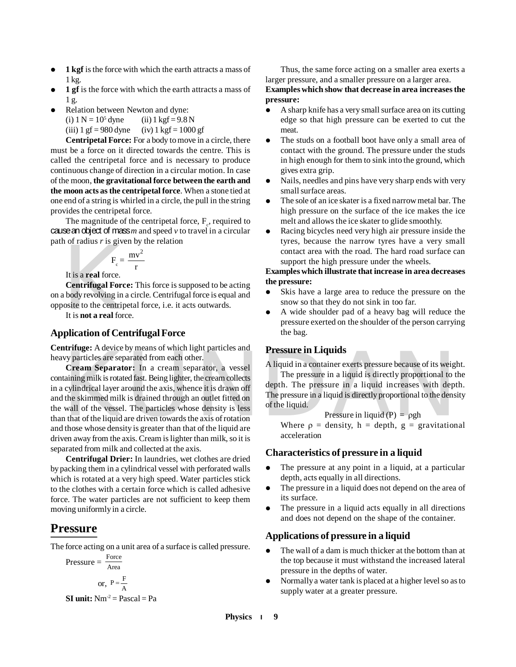- **1 kgf** is the force with which the earth attracts a mass of 1 kg.
- **1 gf** is the force with which the earth attracts a mass of 1 g.
- Relation between Newton and dyne: (i)  $1 N = 10^5$  dyne  $(ii)$  1 kgf = 9.8 N (iii)  $1 \text{ gf} = 980 \text{ dyn}$  (iv)  $1 \text{ kgf} = 1000 \text{ gf}$

**Centripetal Force:** For a body to move in a circle, there must be a force on it directed towards the centre. This is called the centripetal force and is necessary to produce continuous change of direction in a circular motion. In case of the moon, **the gravitational force between the earth and the moon acts as the centripetal force**. When a stone tied at one end of a string is whirled in a circle, the pull in the string provides the centripetal force.

The magnitude of the centripetal force,  $F_c$ , required to cause an object of mass *m* and speed *v* to travel in a circular path of radius *r* is given by the relation

$$
F_c = \frac{mv^2}{r}
$$

It is a **real** force.

 $F_c =$ <br>It is a real force.<br>Centrifugal Force<br>body revolving in osite to the centrip<br>It is **not a real** force **Centrifugal Force:** This force is supposed to be acting on a body revolving in a circle. Centrifugal force is equal and opposite to the centripetal force, i.e. it acts outwards.

It is **not a real** force.

#### **Application of Centrifugal Force**

**Centrifuge:** A device by means of which light particles and heavy particles are separated from each other.

**Example:** A device by means of which right particles and<br> **Example:** Cream Separator: In a cream separator, a vessel<br>
taining milk is rotated fast. Being lighter, the cream collects<br>
cylindrical layer around the axis, wh **Cream Separator:** In a cream separator, a vessel containing milk is rotated fast. Being lighter, the cream collects in a cylindrical layer around the axis, whence it is drawn off and the skimmed milk is drained through an outlet fitted on the wall of the vessel. The particles whose density is less than that of the liquid are driven towards the axis of rotation and those whose density is greater than that of the liquid are driven away from the axis. Cream is lighter than milk, so it is separated from milk and collected at the axis.

**Centrifugal Drier:** In laundries, wet clothes are dried by packing them in a cylindrical vessel with perforated walls which is rotated at a very high speed. Water particles stick to the clothes with a certain force which is called adhesive force. The water particles are not sufficient to keep them moving uniformly in a circle.

#### **Pressure**

The force acting on a unit area of a surface is called pressure.

$$
Pressure = \frac{Force}{Area}
$$
  
or,  $P = \frac{F}{A}$ 

**SI unit:**  $Nm^2 = Pascal = Pa$ 

Thus, the same force acting on a smaller area exerts a larger pressure, and a smaller pressure on a larger area.

**Examples which show that decrease in area increases the pressure:**

- A sharp knife has a very small surface area on its cutting edge so that high pressure can be exerted to cut the meat.
- The studs on a football boot have only a small area of contact with the ground. The pressure under the studs in high enough for them to sink into the ground, which gives extra grip.
- Nails, needles and pins have very sharp ends with very small surface areas.
- The sole of an ice skater is a fixed narrow metal bar. The high pressure on the surface of the ice makes the ice melt and allows the ice skater to glide smoothly.
- Racing bicycles need very high air pressure inside the tyres, because the narrow tyres have a very small contact area with the road. The hard road surface can support the high pressure under the wheels.

#### **Examples which illustrate that increase in area decreases the pressure:**

- Skis have a large area to reduce the pressure on the snow so that they do not sink in too far.
- A wide shoulder pad of a heavy bag will reduce the pressure exerted on the shoulder of the person carrying the bag.

#### **Pressure in Liquids**

A liquid in a container exerts pressure because of its weight.

The pressure in a liquid is directly proportional to the depth. The pressure in a liquid increases with depth. The pressure in a liquid is directly proportional to the density of the liquid.

$$
Pressure in liquid (P) = \rho gh
$$

Where  $\rho =$  density, h = depth, g = gravitational acceleration

#### **Characteristics of pressure in a liquid**

- The pressure at any point in a liquid, at a particular depth, acts equally in all directions.
- The pressure in a liquid does not depend on the area of its surface.
- The pressure in a liquid acts equally in all directions and does not depend on the shape of the container.

#### **Applications of pressure in a liquid**

- The wall of a dam is much thicker at the bottom than at the top because it must withstand the increased lateral pressure in the depths of water.
- Normally a water tank is placed at a higher level so as to supply water at a greater pressure.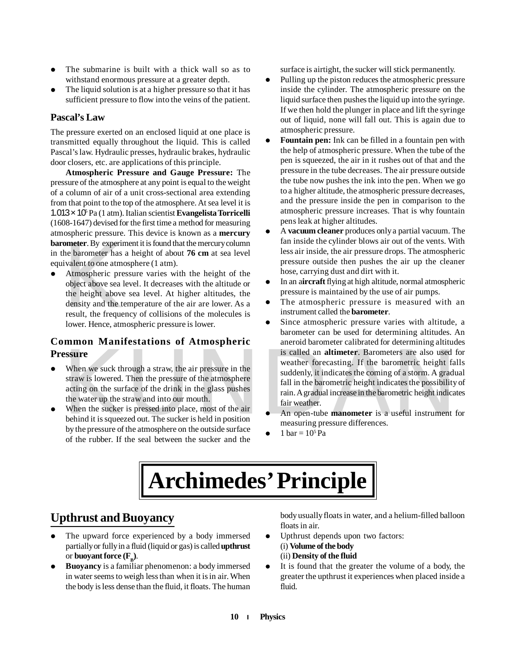- The submarine is built with a thick wall so as to withstand enormous pressure at a greater depth.
- The liquid solution is at a higher pressure so that it has sufficient pressure to flow into the veins of the patient.

#### **Pascal's Law**

The pressure exerted on an enclosed liquid at one place is transmitted equally throughout the liquid. This is called Pascal's law. Hydraulic presses, hydraulic brakes, hydraulic door closers, etc. are applications of this principle.

**Atmospheric Pressure and Gauge Pressure:** The pressure of the atmosphere at any point is equal to the weight of a column of air of a unit cross-sectional area extending from that point to the top of the atmosphere. At sea level it is 1.013 x 10<sup>F</sup> Pa (1 atm). Italian scientist **Evangelista Torricelli** (1608-1647) devised for the first time a method for measuring atmospheric pressure. This device is known as a **mercury barometer**. By experiment it is found that the mercury column in the barometer has a height of about **76 cm** at sea level equivalent to one atmosphere (1 atm).

ometer. By experim<br>he barometer has<br>ivalent to one atmo<br>Atmospheric pree<br>object above sea lu<br>the height above<br>density and the te<br>result, the frequency<br>lower. Hence, atmo Atmospheric pressure varies with the height of the object above sea level. It decreases with the altitude or the height above sea level. At higher altitudes, the density and the temperature of the air are lower. As a result, the frequency of collisions of the molecules is lower. Hence, atmospheric pressure is lower.

#### **Common Manifestations of Atmospheric Pressure**

- When we suck through a straw, the air pressure in the straw is lowered. Then the pressure of the atmosphere acting on the surface of the drink in the glass pushes the water up the straw and into our mouth.
- When the sucker is pressed into place, most of the air behind it is squeezed out. The sucker is held in position by the pressure of the atmosphere on the outside surface of the rubber. If the seal between the sucker and the

surface is airtight, the sucker will stick permanently.

- Pulling up the piston reduces the atmospheric pressure inside the cylinder. The atmospheric pressure on the liquid surface then pushes the liquid up into the syringe. If we then hold the plunger in place and lift the syringe out of liquid, none will fall out. This is again due to atmospheric pressure.
- **Fountain pen:** Ink can be filled in a fountain pen with the help of atmospheric pressure. When the tube of the pen is squeezed, the air in it rushes out of that and the pressure in the tube decreases. The air pressure outside the tube now pushes the ink into the pen. When we go to a higher altitude, the atmospheric pressure decreases, and the pressure inside the pen in comparison to the atmospheric pressure increases. That is why fountain pens leak at higher altitudes.
- A **vacuum cleaner** produces only a partial vacuum. The fan inside the cylinder blows air out of the vents. With less air inside, the air pressure drops. The atmospheric pressure outside then pushes the air up the cleaner hose, carrying dust and dirt with it.
- In an a**ircraft** flying at high altitude, normal atmospheric pressure is maintained by the use of air pumps.
- The atmospheric pressure is measured with an instrument called the **barometer**.
- **EXERCISE THE SET OF PARTICLES CONSIDERATION CONSIDERATION**<br>
SERVIE IN THE SERVIE OF THE SERVIE OF THE SERVIE OF THE SERVIE OF THE SERVIE OF THE SERVIE OF THE SERVIE OF THE SERVIE OF THE SERVIE OF THE SERVIE OF THE SUCKET Since atmospheric pressure varies with altitude, a barometer can be used for determining altitudes. An aneroid barometer calibrated for determining altitudes is called an **altimeter**. Barometers are also used for weather forecasting. If the barometric height falls suddenly, it indicates the coming of a storm. A gradual fall in the barometric height indicates the possibility of rain. A gradual increase in the barometric height indicates fair weather.
	- An open-tube **manometer** is a useful instrument for measuring pressure differences.
	- $\bullet$  1 bar = 10<sup>5</sup> Pa

## **Archimedes' Principle**

## **Upthrust and Buoyancy**

- The upward force experienced by a body immersed partially or fully in a fluid (liquid or gas) is called **upthrust** or **buoyant force**  $(\mathbf{F}_{\mathbf{B}})$ .
- **Buoyancy** is a familiar phenomenon: a body immersed in water seems to weigh less than when it is in air. When the body is less dense than the fluid, it floats. The human

body usually floats in water, and a helium-filled balloon floats in air.

- Upthrust depends upon two factors: (i) **Volume of the body** (ii) **Density of the fluid**
- It is found that the greater the volume of a body, the greater the upthrust it experiences when placed inside a fluid.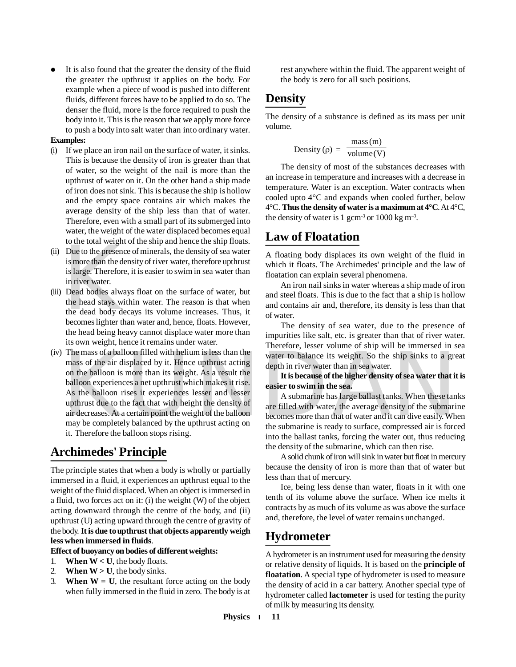It is also found that the greater the density of the fluid the greater the upthrust it applies on the body. For example when a piece of wood is pushed into different fluids, different forces have to be applied to do so. The denser the fluid, more is the force required to push the body into it. This is the reason that we apply more force to push a body into salt water than into ordinary water.

#### **Examples:**

- (i) If we place an iron nail on the surface of water, it sinks. This is because the density of iron is greater than that of water, so the weight of the nail is more than the upthrust of water on it. On the other hand a ship made of iron does not sink. This is because the ship is hollow and the empty space contains air which makes the average density of the ship less than that of water. Therefore, even with a small part of its submerged into water, the weight of the water displaced becomes equal to the total weight of the ship and hence the ship floats.
- (ii) Due to the presence of minerals, the density of sea water is more than the density of river water, therefore upthrust is large. Therefore, it is easier to swim in sea water than in river water.
- Due to the presence<br>
is more than the de<br>
is large. Therefore<br>
in river water.<br>
Dead bodies alwa<br>
the head stays wi<br>
the dead body de<br>
becomes lighter th (iii) Dead bodies always float on the surface of water, but the head stays within water. The reason is that when the dead body decays its volume increases. Thus, it becomes lighter than water and, hence, floats. However, the head being heavy cannot displace water more than its own weight, hence it remains under water.
- The mass of a balloon filled with helium is less than the<br>
mass of the air displaced by it. Hence upthrust acting<br>
on the balloon is more than its weight. As a result the<br>
balloon experiences a net upthrust which makes it (iv) The mass of a balloon filled with helium is less than the mass of the air displaced by it. Hence upthrust acting on the balloon is more than its weight. As a result the balloon experiences a net upthrust which makes it rise. As the balloon rises it experiences lesser and lesser upthrust due to the fact that with height the density of air decreases. At a certain point the weight of the balloon may be completely balanced by the upthrust acting on it. Therefore the balloon stops rising.

## **Archimedes' Principle**

The principle states that when a body is wholly or partially immersed in a fluid, it experiences an upthrust equal to the weight of the fluid displaced. When an object is immersed in a fluid, two forces act on it: (i) the weight (W) of the object acting downward through the centre of the body, and (ii) upthrust (U) acting upward through the centre of gravity of the body. **It is due to upthrust that objects apparently weigh less when immersed in fluids**.

#### **Effect of buoyancy on bodies of different weights:**

- 1. **When**  $W < U$ , the body floats.
- 2. **When**  $W > U$ , the body sinks.
- 3. **When**  $W = U$ , the resultant force acting on the body when fully immersed in the fluid in zero. The body is at

rest anywhere within the fluid. The apparent weight of the body is zero for all such positions.

## **Density**

The density of a substance is defined as its mass per unit volume.

Density 
$$
(\rho)
$$
 =  $\frac{\text{mass(m)}}{\text{volume(V)}}$ 

The density of most of the substances decreases with an increase in temperature and increases with a decrease in temperature. Water is an exception. Water contracts when cooled upto 4°C and expands when cooled further, below 4°C. **Thus the density of water is a maximum at 4°C**. At 4°C, the density of water is 1 gcm<sup>-3</sup> or  $1000 \text{ kg m}^{-3}$ .

## **Law of Floatation**

A floating body displaces its own weight of the fluid in which it floats. The Archimedes' principle and the law of floatation can explain several phenomena.

An iron nail sinks in water whereas a ship made of iron and steel floats. This is due to the fact that a ship is hollow and contains air and, therefore, its density is less than that of water.

The density of sea water, due to the presence of impurities like salt, etc. is greater than that of river water. Therefore, lesser volume of ship will be immersed in sea water to balance its weight. So the ship sinks to a great depth in river water than in sea water.

#### **It is because of the higher density of sea water that it is easier to swim in the sea.**

A submarine has large ballast tanks. When these tanks are filled with water, the average density of the submarine becomes more than that of water and it can dive easily. When the submarine is ready to surface, compressed air is forced into the ballast tanks, forcing the water out, thus reducing the density of the submarine, which can then rise.

A solid chunk of iron will sink in water but float in mercury because the density of iron is more than that of water but less than that of mercury.

Ice, being less dense than water, floats in it with one tenth of its volume above the surface. When ice melts it contracts by as much of its volume as was above the surface and, therefore, the level of water remains unchanged.

## **Hydrometer**

A hydrometer is an instrument used for measuring the density or relative density of liquids. It is based on the **principle of floatation**. A special type of hydrometer is used to measure the density of acid in a car battery. Another special type of hydrometer called **lactometer** is used for testing the purity of milk by measuring its density.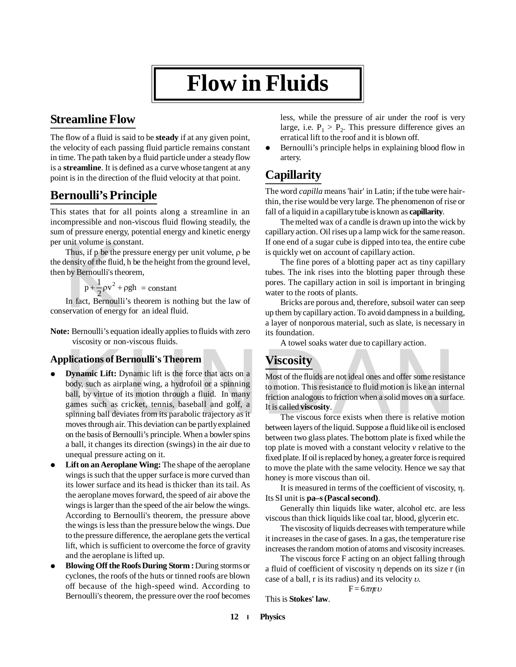## **Flow in Fluids**

## **Streamline Flow**

The flow of a fluid is said to be **steady** if at any given point, the velocity of each passing fluid particle remains constant in time. The path taken by a fluid particle under a steady flow is a **streamline**. It is defined as a curve whose tangent at any point is in the direction of the fluid velocity at that point.

## **Bernoulli's Principle**

This states that for all points along a streamline in an incompressible and non-viscous fluid flowing steadily, the sum of pressure energy, potential energy and kinetic energy per unit volume is constant.

unit volume is con<br>Thus, if p be the p<br>density of the fluid,<br>the p +  $\frac{1}{2}$  pv<sup>2</sup> +  $\beta$ <br>In fact, Bernoulli<br>servation of energy Thus, if  $p$  be the pressure energy per unit volume,  $\rho$  be the density of the fluid, h be the height from the ground level, then by Bernoulli's theorem,

 $\frac{1}{2}$  $\rho v^2 + \rho g h$  $p + \frac{1}{2}\rho v^2 + \rho gh = constant$ 

In fact, Bernoulli's theorem is nothing but the law of conservation of energy for an ideal fluid.

**Note:** Bernoulli's equation ideally applies to fluids with zero viscosity or non-viscous fluids.

#### **Applications of Bernoulli's Theorem**

- **Dynamic Lift:** Dynamic lift is the force that acts on a<br>body, such as airplane wing, a hydrofoil or a spinning<br>body, such as airplane wing, a hydrofoil or a spinning<br>ball, by virtue of its motion through a fluid. In many<br> **Dynamic Lift:** Dynamic lift is the force that acts on a body, such as airplane wing, a hydrofoil or a spinning ball, by virtue of its motion through a fluid. In many games such as cricket, tennis, baseball and golf, a spinning ball deviates from its parabolic trajectory as it moves through air. This deviation can be partly explained on the basis of Bernoulli's principle. When a bowler spins a ball, it changes its direction (swings) in the air due to unequal pressure acting on it.
- **Lift on an Aeroplane Wing:** The shape of the aeroplane wings is such that the upper surface is more curved than its lower surface and its head is thicker than its tail. As the aeroplane moves forward, the speed of air above the wings is larger than the speed of the air below the wings. According to Bernoulli's theorem, the pressure above the wings is less than the pressure below the wings. Due to the pressure difference, the aeroplane gets the vertical lift, which is sufficient to overcome the force of gravity and the aeroplane is lifted up.
- **Blowing Off the Roofs During Storm :** During storms or cyclones, the roofs of the huts or tinned roofs are blown off because of the high-speed wind. According to Bernoulli's theorem, the pressure over the roof becomes

less, while the pressure of air under the roof is very large, i.e.  $P_1 > P_2$ . This pressure difference gives an erratical lift to the roof and it is blown off.

• Bernoulli's principle helps in explaining blood flow in artery.

## **Capillarity**

The word *capilla* means 'hair' in Latin; if the tube were hairthin, the rise would be very large. The phenomenon of rise or fall of a liquid in a capillary tube is known as **capillarity**.

The melted wax of a candle is drawn up into the wick by capillary action. Oil rises up a lamp wick for the same reason. If one end of a sugar cube is dipped into tea, the entire cube is quickly wet on account of capillary action.

The fine pores of a blotting paper act as tiny capillary tubes. The ink rises into the blotting paper through these pores. The capillary action in soil is important in bringing water to the roots of plants.

Bricks are porous and, therefore, subsoil water can seep up them by capillary action. To avoid dampness in a building, a layer of nonporous material, such as slate, is necessary in its foundation.

A towel soaks water due to capillary action.

## **Viscosity**

Most of the fluids are not ideal ones and offer some resistance to motion. This resistance to fluid motion is like an internal friction analogous to friction when a solid moves on a surface. It is called **viscosity**.

The viscous force exists when there is relative motion between layers of the liquid. Suppose a fluid like oil is enclosed between two glass plates. The bottom plate is fixed while the top plate is moved with a constant velocity *v* relative to the fixed plate. If oil is replaced by honey, a greater force is required to move the plate with the same velocity. Hence we say that honey is more viscous than oil.

It is measured in terms of the coefficient of viscosity,  $\eta$ . Its SI unit is **pa–s (Pascal second)**.

Generally thin liquids like water, alcohol etc. are less viscous than thick liquids like coal tar, blood, glycerin etc.

The viscosity of liquids decreases with temperature while it increases in the case of gases. In a gas, the temperature rise increases the random motion of atoms and viscosity increases.

The viscous force F acting on an object falling through a fluid of coefficient of viscosity  $\eta$  depends on its size  $r$  (in case of a ball,  $r$  is its radius) and its velocity  $v$ .

 $F = 6\pi\eta r \upsilon$ 

This is **Stokes' law**.

**12 Physics**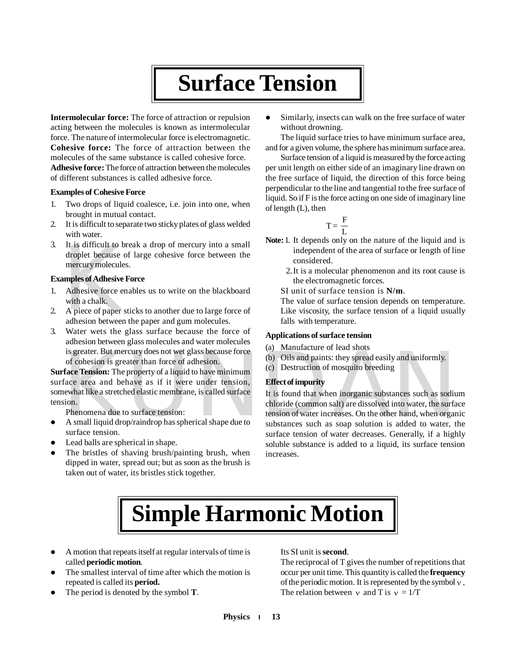## **Surface Tension**

**Intermolecular force:** The force of attraction or repulsion acting between the molecules is known as intermolecular force. The nature of intermolecular force is electromagnetic. **Cohesive force:** The force of attraction between the molecules of the same substance is called cohesive force. **Adhesive force:** The force of attraction between the molecules of different substances is called adhesive force.

#### **Examples of Cohesive Force**

- 1. Two drops of liquid coalesce, i.e. join into one, when brought in mutual contact.
- 2. It is difficult to separate two sticky plates of glass welded with water.
- It is difficult to b<br>droplet because c<br>mercury molecule<br>**mples of Adhesive**<br>Adhesive force er<br>with a chalk.<br>A piece of paper s<br>adhesion between 3. It is difficult to break a drop of mercury into a small droplet because of large cohesive force between the mercury molecules.

#### **Examples of Adhesive Force**

- 1. Adhesive force enables us to write on the blackboard with a chalk.
- 2. A piece of paper sticks to another due to large force of adhesion between the paper and gum molecules.
- 3. Water wets the glass surface because the force of adhesion between glass molecules and water molecules is greater. But mercury does not wet glass because force of cohesion is greater than force of adhesion.

**Surface Tension:** The property of a liquid to have minimum surface area and behave as if it were under tension, somewhat like a stretched elastic membrane, is called surface tension.

Phenomena due to surface tension:

- A small liquid drop/raindrop has spherical shape due to surface tension.
- Lead balls are spherical in shape.
- The bristles of shaving brush/painting brush, when dipped in water, spread out; but as soon as the brush is taken out of water, its bristles stick together.

 Similarly, insects can walk on the free surface of water without drowning.

The liquid surface tries to have minimum surface area, and for a given volume, the sphere has minimum surface area.

Surface tension of a liquid is measured by the force acting per unit length on either side of an imaginary line drawn on the free surface of liquid, the direction of this force being perpendicular to the line and tangential to the free surface of liquid. So if F is the force acting on one side of imaginary line of length (L), then

$$
T=\frac{\,F\,}{\,L\,}
$$

- **Note:**1. It depends only on the nature of the liquid and is independent of the area of surface or length of line considered.
	- 2.It is a molecular phenomenon and its root cause is the electromagnetic forces.
	- SI unit of surface tension is **N/m**.
	- The value of surface tension depends on temperature. Like viscosity, the surface tension of a liquid usually falls with temperature.

#### **Applications of surface tension**

- (a) Manufacture of lead shots
- (b) Oils and paints: they spread easily and uniformly.
- (c) Destruction of mosquito breeding

#### **Effect of impurity**

is greater. But mercury does not wet glass because force<br>
of cohesion is greater than force of adhesion.<br>
(b) Oils and paints: they spread easily and uniformly.<br> **face Tension:** The property of a liquid to have minimum<br>
fa It is found that when inorganic substances such as sodium chloride (common salt) are dissolved into water, the surface tension of water increases. On the other hand, when organic substances such as soap solution is added to water, the surface tension of water decreases. Generally, if a highly soluble substance is added to a liquid, its surface tension increases.

## **Simple Harmonic Motion**

- A motion that repeats itself at regular intervals of time is called **periodic motion**.
- The smallest interval of time after which the motion is repeated is called its **period.**
- The period is denoted by the symbol **T**.

#### Its SI unit is **second**.

The reciprocal of T gives the number of repetitions that occur per unit time. This quantity is called the **frequency** of the periodic motion. It is represented by the symbol  $\nu$ . The relation between  $\gamma$  and T is  $\gamma = 1/T$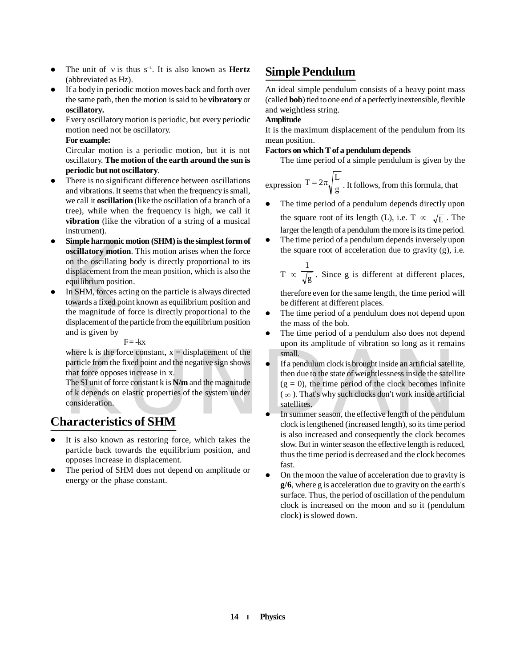- The unit of  $v$  is thus  $s^{-1}$ . It is also known as **Hertz** (abbreviated as Hz).
- If a body in periodic motion moves back and forth over the same path, then the motion is said to be **vibratory** or **oscillatory.**
- Every oscillatory motion is periodic, but every periodic motion need not be oscillatory.

#### **For example:**

Circular motion is a periodic motion, but it is not oscillatory. **The motion of the earth around the sun is periodic but not oscillatory**.

- There is no significant difference between oscillations and vibrations. It seems that when the frequency is small, we call it **oscillation** (like the oscillation of a branch of a tree), while when the frequency is high, we call it **vibration** (like the vibration of a string of a musical instrument).
- **Simple narmonic**<br> **oscillatory motio**<br>
on the oscillating<br>
displacement from<br>
equilibrium position<br>
In SHM, forces ac<br>
towards a fixed po<br>
the magnitude of<br>
displacement of the **Simple harmonic motion (SHM) is the simplest form of oscillatory motion**. This motion arises when the force on the oscillating body is directly proportional to its displacement from the mean position, which is also the equilibrium position.
- In SHM, forces acting on the particle is always directed towards a fixed point known as equilibrium position and the magnitude of force is directly proportional to the displacement of the particle from the equilibrium position and is given by

#### $F = -kx$

where k is the force constant,  $x = displacement$  of the particle from the fixed point and the negative sign shows that force opposes increase in x.

The SI unit of force constant k is **N/m** and the magnitude of k depends on elastic properties of the system under consideration.

## **Characteristics of SHM**

- It is also known as restoring force, which takes the particle back towards the equilibrium position, and opposes increase in displacement.
- The period of SHM does not depend on amplitude or energy or the phase constant.

## **Simple Pendulum**

An ideal simple pendulum consists of a heavy point mass (called **bob**) tied to one end of a perfectly inextensible, flexible and weightless string.

#### **Amplitude**

It is the maximum displacement of the pendulum from its mean position.

**Factors on which T of a pendulum depends**

The time period of a simple pendulum is given by the

expression  $1 = 2\pi \sqrt{\frac{g}{g}}$  $T = 2\pi \sqrt{\frac{L}{g}}$ . It follows, from this formula, that

- The time period of a pendulum depends directly upon the square root of its length (L), i.e. T  $\infty$   $\sqrt{L}$ . The larger the length of a pendulum the more is its time period.
- The time period of a pendulum depends inversely upon the square root of acceleration due to gravity (g), i.e.

$$
T \propto \frac{1}{\sqrt{g}}
$$
. Since g is different at different places,

therefore even for the same length, the time period will be different at different places.

- The time period of a pendulum does not depend upon the mass of the bob.
- The time period of a pendulum also does not depend upon its amplitude of vibration so long as it remains small.
- where k is the force constant,  $x =$  displacement of the<br>
particle from the fixed point and the negative sign shows<br>
that force opposes increase in x.<br>
The SI unit of force constant k is  $N/m$  and the magnitude<br>
of k depend If a pendulum clock is brought inside an artificial satellite, then due to the state of weightlessness inside the satellite  $(g = 0)$ , the time period of the clock becomes infinite  $(\infty)$ . That's why such clocks don't work inside artificial satellites.
	- In summer season, the effective length of the pendulum clock is lengthened (increased length), so its time period is also increased and consequently the clock becomes slow. But in winter season the effective length is reduced, thus the time period is decreased and the clock becomes fast.
	- On the moon the value of acceleration due to gravity is **g/6**, where g is acceleration due to gravity on the earth's surface. Thus, the period of oscillation of the pendulum clock is increased on the moon and so it (pendulum clock) is slowed down.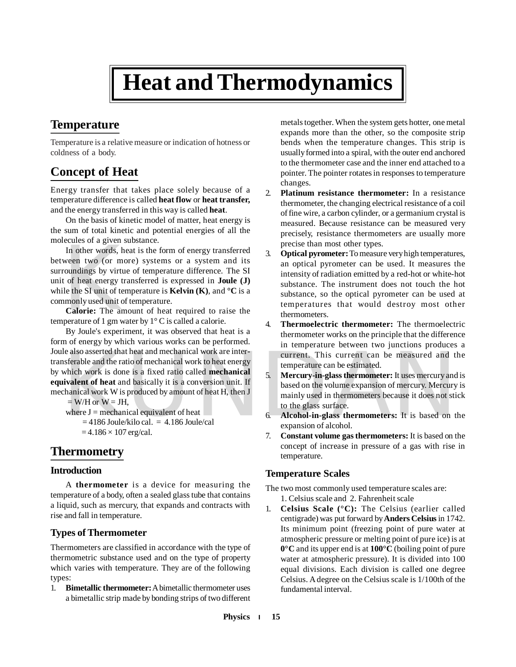## **Heat and Thermodynamics**

## **Temperature**

Temperature is a relative measure or indication of hotness or coldness of a body.

## **Concept of Heat**

Energy transfer that takes place solely because of a temperature difference is called **heat flow** or **heat transfer,** and the energy transferred in this way is called **heat**.

On the basis of kinetic model of matter, heat energy is the sum of total kinetic and potential energies of all the molecules of a given substance.

In other words, h<br>ween two (or mo<br>roundings by virtu<br>t of heat energy tr<br>le the SI unit of ten<br>**Calorie:** The am<br>perature of 1 gm w In other words, heat is the form of energy transferred between two (or more) systems or a system and its surroundings by virtue of temperature difference. The SI unit of heat energy transferred is expressed in **Joule (J)** while the SI unit of temperature is **Kelvin (K)**, and  ${}^{\circ}C$  is a commonly used unit of temperature.

**Calorie:** The amount of heat required to raise the temperature of 1 gm water by  $1^{\circ}$  C is called a calorie.

le also asserted that heat and mechanical work are inter-<br>
sterable and the ratio of mechanical work to heat energy<br>
which work is done is a fixed ratio called **mechanical**<br>
which work is done is a fixed ratio called **mec** By Joule's experiment, it was observed that heat is a form of energy by which various works can be performed. Joule also asserted that heat and mechanical work are intertransferable and the ratio of mechanical work to heat energy by which work is done is a fixed ratio called **mechanical equivalent of heat** and basically it is a conversion unit. If mechanical work W is produced by amount of heat H, then J  $=$  W/H or W  $=$  JH,

where  $J =$  mechanical equivalent of heat

 $= 4186$  Joule/kilo cal. = 4.186 Joule/cal

 $= 4.186 \times 107$  erg/cal.

## **Thermometry**

#### **Introduction**

A **thermometer** is a device for measuring the temperature of a body, often a sealed glass tube that contains a liquid, such as mercury, that expands and contracts with rise and fall in temperature.

### **Types of Thermometer**

Thermometers are classified in accordance with the type of thermometric substance used and on the type of property which varies with temperature. They are of the following types:

1. **Bimetallic thermometer:** A bimetallic thermometer uses a bimetallic strip made by bonding strips of two different metals together. When the system gets hotter, one metal expands more than the other, so the composite strip bends when the temperature changes. This strip is usually formed into a spiral, with the outer end anchored to the thermometer case and the inner end attached to a pointer. The pointer rotates in responses to temperature changes.

- 2. **Platinum resistance thermometer:** In a resistance thermometer, the changing electrical resistance of a coil of fine wire, a carbon cylinder, or a germanium crystal is measured. Because resistance can be measured very precisely, resistance thermometers are usually more precise than most other types.
- 3. **Optical pyrometer:** To measure very high temperatures, an optical pyrometer can be used. It measures the intensity of radiation emitted by a red-hot or white-hot substance. The instrument does not touch the hot substance, so the optical pyrometer can be used at temperatures that would destroy most other thermometers.
- 4. **Thermoelectric thermometer:** The thermoelectric thermometer works on the principle that the difference in temperature between two junctions produces a current. This current can be measured and the temperature can be estimated.
- 5. **Mercury-in-glass thermometer:** It uses mercury and is based on the volume expansion of mercury. Mercury is mainly used in thermometers because it does not stick to the glass surface.
- 6. **Alcohol-in-glass thermometers:** It is based on the expansion of alcohol.
- 7. **Constant volume gas thermometers:** It is based on the concept of increase in pressure of a gas with rise in temperature.

#### **Temperature Scales**

The two most commonly used temperature scales are: 1. Celsius scale and 2. Fahrenheit scale

1. **Celsius Scale (°C):** The Celsius (earlier called centigrade) was put forward by **Anders Celsius** in 1742. Its minimum point (freezing point of pure water at atmospheric pressure or melting point of pure ice) is at **0°C** and its upper end is at **100°C** (boiling point of pure water at atmospheric pressure). It is divided into 100 equal divisions. Each division is called one degree Celsius. A degree on the Celsius scale is 1/100th of the fundamental interval.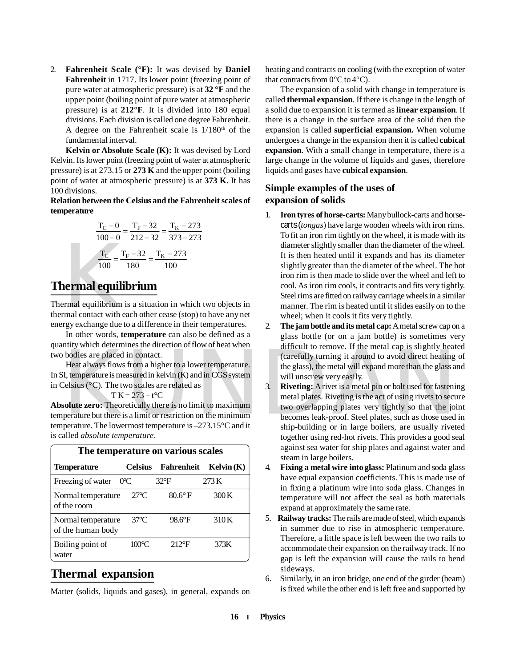2. **Fahrenheit Scale (°F):** It was devised by **Daniel Fahrenheit** in 1717. Its lower point (freezing point of pure water at atmospheric pressure) is at **32 °F** and the upper point (boiling point of pure water at atmospheric pressure) is at **212°F**. It is divided into 180 equal divisions. Each division is called one degree Fahrenheit. A degree on the Fahrenheit scale is  $1/180<sup>th</sup>$  of the fundamental interval.

**Kelvin or Absolute Scale (K):** It was devised by Lord Kelvin. Its lower point (freezing point of water at atmospheric pressure) is at 273.15 or **273 K** and the upper point (boiling point of water at atmospheric pressure) is at **373 K**. It has 100 divisions.

#### **Relation between the Celsius and the Fahrenheit scales of temperature**

$$
\frac{T_{\rm C} - 0}{100 - 0} = \frac{T_{\rm F} - 32}{212 - 32} = \frac{T_{\rm K} - 273}{373 - 273}
$$

$$
\frac{T_{\rm C}}{100} = \frac{T_{\rm F} - 32}{180} = \frac{T_{\rm K} - 273}{100}
$$

## **Thermal equilibrium**

 $\frac{T_C}{100} = \frac{T}{100}$ <br> **nermal equilibrium**<br>
transference with exploiting respecting<br>
the rgy exchange due to Thermal equilibrium is a situation in which two objects in thermal contact with each other cease (stop) to have any net energy exchange due to a difference in their temperatures.

In other words, **temperature** can also be defined as a quantity which determines the direction of flow of heat when two bodies are placed in contact.

Heat always flows from a higher to a lower temperature. In SI, temperature is measured in kelvin (K) and in CGS system in Celsius (°C). The two scales are related as

 $T K = 273 + t$ <sup>o</sup>C

**Absolute zero:** Theoretically there is no limit to maximum temperature but there is a limit or restriction on the minimum temperature. The lowermost temperature is –273.15°C and it is called *absolute temperature*.

| The temperature on various scales       |                 |                |           |  |
|-----------------------------------------|-----------------|----------------|-----------|--|
| <b>Temperature</b>                      | <b>Celsius</b>  | Fahrenheit     | Kelvin(K) |  |
| Freezing of water                       | $0^{\circ}$ C   | $32^{\circ}F$  | 273K      |  |
| Normal temperature<br>of the room       | $27^{\circ}$ C  | $80.6^\circ$ F | 300K      |  |
| Normal temperature<br>of the human body | $37^{\circ}$ C  | 98.6°F         | 310K      |  |
| Boiling point of<br>water               | $100^{\circ}$ C | $212$ °F       | 373K      |  |

## **Thermal expansion**

Matter (solids, liquids and gases), in general, expands on

heating and contracts on cooling (with the exception of water that contracts from  $0^{\circ}$ C to  $4^{\circ}$ C).

The expansion of a solid with change in temperature is called **thermal expansion**. If there is change in the length of a solid due to expansion it is termed as **linear expansion**. If there is a change in the surface area of the solid then the expansion is called **superficial expansion.** When volume undergoes a change in the expansion then it is called **cubical expansion**. With a small change in temperature, there is a large change in the volume of liquids and gases, therefore liquids and gases have **cubical expansion**.

#### **Simple examples of the uses of expansion of solids**

- 1. **Iron tyres of horse-carts:** Many bullock-carts and horsecarts (*tongas*) have large wooden wheels with iron rims. To fit an iron rim tightly on the wheel, it is made with its diameter slightly smaller than the diameter of the wheel. It is then heated until it expands and has its diameter slightly greater than the diameter of the wheel. The hot iron rim is then made to slide over the wheel and left to cool. As iron rim cools, it contracts and fits very tightly. Steel rims are fitted on railway carriage wheels in a similar manner. The rim is heated until it slides easily on to the wheel; when it cools it fits very tightly.
- 2. **The jam bottle and its metal cap:** A metal screw cap on a glass bottle (or on a jam bottle) is sometimes very difficult to remove. If the metal cap is slightly heated (carefully turning it around to avoid direct heating of the glass), the metal will expand more than the glass and will unscrew very easily.
- And in Coleration of the state when the term of entire to ten the term of the state of the state of the state of the state of the state of the state of the state of the state of the state of the state of the state of the s 3. **Riveting:** A rivet is a metal pin or bolt used for fastening metal plates. Riveting is the act of using rivets to secure two overlapping plates very tightly so that the joint becomes leak-proof. Steel plates, such as those used in ship-building or in large boilers, are usually riveted together using red-hot rivets. This provides a good seal against sea water for ship plates and against water and steam in large boilers.
	- 4. **Fixing a metal wire into glass:** Platinum and soda glass have equal expansion coefficients. This is made use of in fixing a platinum wire into soda glass. Changes in temperature will not affect the seal as both materials expand at approximately the same rate.
	- 5. **Railway tracks:** The rails are made of steel, which expands in summer due to rise in atmospheric temperature. Therefore, a little space is left between the two rails to accommodate their expansion on the railway track. If no gap is left the expansion will cause the rails to bend sideways.
	- 6. Similarly, in an iron bridge, one end of the girder (beam) is fixed while the other end is left free and supported by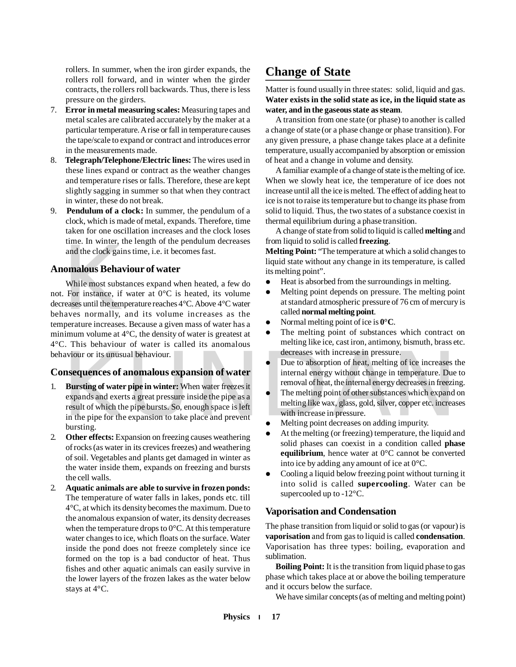rollers. In summer, when the iron girder expands, the rollers roll forward, and in winter when the girder contracts, the rollers roll backwards. Thus, there is less pressure on the girders.

- 7. **Error in metal measuring scales:** Measuring tapes and metal scales are calibrated accurately by the maker at a particular temperature. A rise or fall in temperature causes the tape/scale to expand or contract and introduces error in the measurements made.
- 8. **Telegraph/Telephone/Electric lines:** The wires used in these lines expand or contract as the weather changes and temperature rises or falls. Therefore, these are kept slightly sagging in summer so that when they contract in winter, these do not break.
- 9. **Pendulum of a clock:** In summer, the pendulum of a clock, which is made of metal, expands. Therefore, time taken for one oscillation increases and the clock loses time. In winter, the length of the pendulum decreases and the clock gains time, i.e. it becomes fast.

#### **Anomalous Behaviour of water**

and the clock gain<br>and the clock gain<br>**Omalous Behav**<br>While most subst.<br>For instance, if<br>reases until the templayes normally, is<br>perature increases. While most substances expand when heated, a few do not. For instance, if water at 0°C is heated, its volume decreases until the temperature reaches 4°C. Above 4°C water behaves normally, and its volume increases as the temperature increases. Because a given mass of water has a minimum volume at 4°C, the density of water is greatest at 4°C. This behaviour of water is called its anomalous behaviour or its unusual behaviour.

#### **Consequences of anomalous expansion of water**

- aviour or its unusual behaviour.<br> **EXECUTE:** Due to absorption of heat, melting of ice increases the<br> **EXECUTE:** Bursting of water pipe in winter: When water freezes it<br>
expansion of water<br>
Bursting of water pipe in winter 1. **Bursting of water pipe in winter:** When water freezes it expands and exerts a great pressure inside the pipe as a result of which the pipe bursts. So, enough space is left in the pipe for the expansion to take place and prevent bursting.
- 2. **Other effects:** Expansion on freezing causes weathering of rocks (as water in its crevices freezes) and weathering of soil. Vegetables and plants get damaged in winter as the water inside them, expands on freezing and bursts the cell walls.
- 2. **Aquatic animals are able to survive in frozen ponds:** The temperature of water falls in lakes, ponds etc. till 4°C, at which its density becomes the maximum. Due to the anomalous expansion of water, its density decreases when the temperature drops to 0°C. At this temperature water changes to ice, which floats on the surface. Water inside the pond does not freeze completely since ice formed on the top is a bad conductor of heat. Thus fishes and other aquatic animals can easily survive in the lower layers of the frozen lakes as the water below stays at 4°C.

## **Change of State**

Matter is found usually in three states: solid, liquid and gas. **Water exists in the solid state as ice, in the liquid state as water, and in the gaseous state as steam**.

A transition from one state (or phase) to another is called a change of state (or a phase change or phase transition). For any given pressure, a phase change takes place at a definite temperature, usually accompanied by absorption or emission of heat and a change in volume and density.

A familiar example of a change of state is the melting of ice. When we slowly heat ice, the temperature of ice does not increase until all the ice is melted. The effect of adding heat to ice is not to raise its temperature but to change its phase from solid to liquid. Thus, the two states of a substance coexist in thermal equilibrium during a phase transition.

A change of state from solid to liquid is called **melting** and from liquid to solid is called **freezing**.

**Melting Point:** "The temperature at which a solid changes to liquid state without any change in its temperature, is called its melting point".

- Heat is absorbed from the surroundings in melting.
- Melting point depends on pressure. The melting point at standard atmospheric pressure of 76 cm of mercury is called **normal melting point**.
- Normal melting point of ice is **0°C**.
- The melting point of substances which contract on melting like ice, cast iron, antimony, bismuth, brass etc. decreases with increase in pressure.
- Due to absorption of heat, melting of ice increases the internal energy without change in temperature. Due to removal of heat, the internal energy decreases in freezing.
- The melting point of other substances which expand on melting like wax, glass, gold, silver, copper etc. increases with increase in pressure.
- Melting point decreases on adding impurity.
- At the melting (or freezing) temperature, the liquid and solid phases can coexist in a condition called **phase equilibrium**, hence water at 0°C cannot be converted into ice by adding any amount of ice at 0°C.
- Cooling a liquid below freezing point without turning it into solid is called **supercooling**. Water can be supercooled up to -12°C.

#### **Vaporisation and Condensation**

The phase transition from liquid or solid to gas (or vapour) is **vaporisation** and from gas to liquid is called **condensation**. Vaporisation has three types: boiling, evaporation and sublimation.

**Boiling Point:** It is the transition from liquid phase to gas phase which takes place at or above the boiling temperature and it occurs below the surface.

We have similar concepts (as of melting and melting point)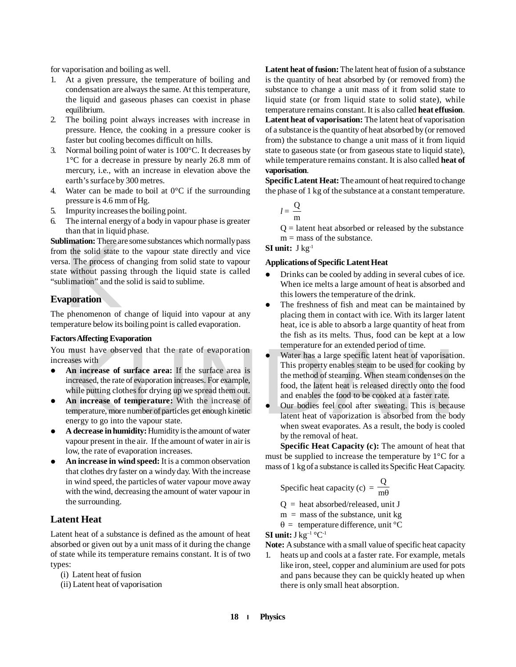for vaporisation and boiling as well.

- 1. At a given pressure, the temperature of boiling and condensation are always the same. At this temperature, the liquid and gaseous phases can coexist in phase equilibrium.
- 2. The boiling point always increases with increase in pressure. Hence, the cooking in a pressure cooker is faster but cooling becomes difficult on hills.
- 3. Normal boiling point of water is 100°C. It decreases by 1°C for a decrease in pressure by nearly 26.8 mm of mercury, i.e., with an increase in elevation above the earth's surface by 300 metres.
- 4. Water can be made to boil at  $0^{\circ}$ C if the surrounding pressure is 4.6 mm of Hg.
- 5. Impurity increases the boiling point.
- 6. The internal energy of a body in vapour phase is greater than that in liquid phase.

**Example 12**<br>
In the solid state to<br>
sa. The process of<br>
e without passing<br>
blimation" and the<br> **aporation**<br> **e** phenomenon of c<br>
perature below its I **Sublimation:** There are some substances which normally pass from the solid state to the vapour state directly and vice versa. The process of changing from solid state to vapour state without passing through the liquid state is called "sublimation" and the solid is said to sublime.

#### **Evaporation**

The phenomenon of change of liquid into vapour at any temperature below its boiling point is called evaporation.

#### **Factors Affecting Evaporation**

You must have observed that the rate of evaporation increases with

- **An increase of surface area:** If the surface area is increased, the rate of evaporation increases. For example, while putting clothes for drying up we spread them out.
- **An increase of temperature:** With the increase of temperature, more number of particles get enough kinetic energy to go into the vapour state.
- **A decrease in humidity:** Humidity is the amount of water vapour present in the air. If the amount of water in air is low, the rate of evaporation increases.
- **•** An increase in wind speed: It is a common observation that clothes dry faster on a windy day. With the increase in wind speed, the particles of water vapour move away with the wind, decreasing the amount of water vapour in the surrounding.

#### **Latent Heat**

Latent heat of a substance is defined as the amount of heat absorbed or given out by a unit mass of it during the change of state while its temperature remains constant. It is of two types:

(i) Latent heat of fusion

(ii) Latent heat of vaporisation

**Latent heat of fusion:** The latent heat of fusion of a substance is the quantity of heat absorbed by (or removed from) the substance to change a unit mass of it from solid state to liquid state (or from liquid state to solid state), while temperature remains constant. It is also called **heat effusion**. **Latent heat of vaporisation:** The latent heat of vaporisation of a substance is the quantity of heat absorbed by (or removed from) the substance to change a unit mass of it from liquid state to gaseous state (or from gaseous state to liquid state), while temperature remains constant. It is also called **heat of vaporisation**.

**Specific Latent Heat:** The amount of heat required to change the phase of 1 kg of the substance at a constant temperature.

$$
l=\frac{\mathbf{Q}}{\mathbf{m}}
$$

 $Q =$  latent heat absorbed or released by the substance  $m =$  mass of the substance.

#### **SI unit:** J kg-1

#### **Applications of Specific Latent Heat**

- Drinks can be cooled by adding in several cubes of ice. When ice melts a large amount of heat is absorbed and this lowers the temperature of the drink.
- The freshness of fish and meat can be maintained by placing them in contact with ice. With its larger latent heat, ice is able to absorb a large quantity of heat from the fish as its melts. Thus, food can be kept at a low temperature for an extended period of time.
- Frace solution and enables the method of steaming.<br>
This property enables steam to be used for cooking<br> **An increase of surface area:** If the surface area is<br>
increased, the rate of evaporation increases. For example,<br>
whi Water has a large specific latent heat of vaporisation. This property enables steam to be used for cooking by the method of steaming. When steam condenses on the food, the latent heat is released directly onto the food and enables the food to be cooked at a faster rate.
	- Our bodies feel cool after sweating. This is because latent heat of vaporization is absorbed from the body when sweat evaporates. As a result, the body is cooled by the removal of heat.

**Specific Heat Capacity (c):** The amount of heat that must be supplied to increase the temperature by 1°C for a mass of 1 kg of a substance is called its Specific Heat Capacity.

Specific heat capacity (c) = 
$$
\frac{Q}{m\theta}
$$

 $Q =$  heat absorbed/released, unit J

 $m =$  mass of the substance, unit kg

 $\theta =$  temperature difference, unit <sup>o</sup>C

**SI unit:** J kg–1 °C-1

**Note:** A substance with a small value of specific heat capacity

1. heats up and cools at a faster rate. For example, metals like iron, steel, copper and aluminium are used for pots and pans because they can be quickly heated up when there is only small heat absorption.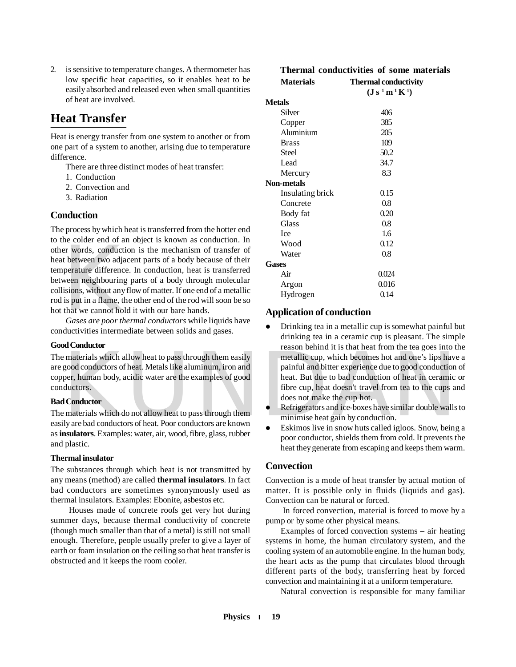2. is sensitive to temperature changes. A thermometer has low specific heat capacities, so it enables heat to be easily absorbed and released even when small quantities of heat are involved.

## **Heat Transfer**

Heat is energy transfer from one system to another or from one part of a system to another, arising due to temperature difference.

There are three distinct modes of heat transfer:

- 1. Conduction
- 2. Convection and
- 3. Radiation

#### **Conduction**

the voltage and the voltage of the voltage of the voltage of the view and in the view of the property of the value of the value of the value of the value of the value of the value of the value of the value of the value of The process by which heat is transferred from the hotter end to the colder end of an object is known as conduction. In other words, conduction is the mechanism of transfer of heat between two adjacent parts of a body because of their temperature difference. In conduction, heat is transferred between neighbouring parts of a body through molecular collisions, without any flow of matter. If one end of a metallic rod is put in a flame, the other end of the rod will soon be so hot that we cannot hold it with our bare hands.

*Gases are poor thermal conductors* while liquids have conductivities intermediate between solids and gases.

#### **Good Conductor**

The materials which allow heat to pass through them easily are good conductors of heat. Metals like aluminum, iron and copper, human body, acidic water are the examples of good conductors.

#### **Bad Conductor**

The materials which do not allow heat to pass through them easily are bad conductors of heat. Poor conductors are known as **insulators**. Examples: water, air, wood, fibre, glass, rubber and plastic.

#### **Thermal insulator**

The substances through which heat is not transmitted by any means (method) are called **thermal insulators**. In fact bad conductors are sometimes synonymously used as thermal insulators. Examples: Ebonite, asbestos etc.

 Houses made of concrete roofs get very hot during summer days, because thermal conductivity of concrete (though much smaller than that of a metal) is still not small enough. Therefore, people usually prefer to give a layer of earth or foam insulation on the ceiling so that heat transfer is obstructed and it keeps the room cooler.

#### **Thermal conductivities of some materials Materials Thermal conductivity**

| <b>Niaterials</b> | THEFHIAI CONQUETAILY                                        |  |
|-------------------|-------------------------------------------------------------|--|
|                   | $({\bf J} \; {\bf s}^{-1} \; {\bf m}^{-1} \; {\bf K}^{-1})$ |  |
| <b>Metals</b>     |                                                             |  |
| Silver            | 406                                                         |  |
| Copper            | 385                                                         |  |
| Aluminium         | 205                                                         |  |
| <b>Brass</b>      | 109                                                         |  |
| Steel             | 50.2                                                        |  |
| Lead              | 34.7                                                        |  |
| Mercury           | 8.3                                                         |  |
| <b>Non-metals</b> |                                                             |  |
| Insulating brick  | 0.15                                                        |  |
| Concrete          | 0.8                                                         |  |
| Body fat          | 0.20                                                        |  |
| <b>Glass</b>      | 0.8                                                         |  |
| <b>Ice</b>        | 1.6                                                         |  |
| Wood              | 0.12                                                        |  |
| Water             | 0.8                                                         |  |
| Gases             |                                                             |  |
| Air               | 0.024                                                       |  |
| Argon             | 0.016                                                       |  |
| Hydrogen          | 0.14                                                        |  |

#### **Application of conduction**

- Examples: Which allow heat to pass through them easily<br>good conductors of heat. Metals like aluminum, iron and<br>per, human body, acidic water are the examples of good<br>ductor heat. But due to bad conduction of heat in cerami Drinking tea in a metallic cup is somewhat painful but drinking tea in a ceramic cup is pleasant. The simple reason behind it is that heat from the tea goes into the metallic cup, which becomes hot and one's lips have a painful and bitter experience due to good conduction of heat. But due to bad conduction of heat in ceramic or fibre cup, heat doesn't travel from tea to the cups and does not make the cup hot.
	- Refrigerators and ice-boxes have similar double walls to minimise heat gain by conduction.
	- Eskimos live in snow huts called igloos. Snow, being a poor conductor, shields them from cold. It prevents the heat they generate from escaping and keeps them warm.

#### **Convection**

Convection is a mode of heat transfer by actual motion of matter. It is possible only in fluids (liquids and gas). Convection can be natural or forced.

 In forced convection, material is forced to move by a pump or by some other physical means.

Examples of forced convection systems – air heating systems in home, the human circulatory system, and the cooling system of an automobile engine. In the human body, the heart acts as the pump that circulates blood through different parts of the body, transferring heat by forced convection and maintaining it at a uniform temperature.

Natural convection is responsible for many familiar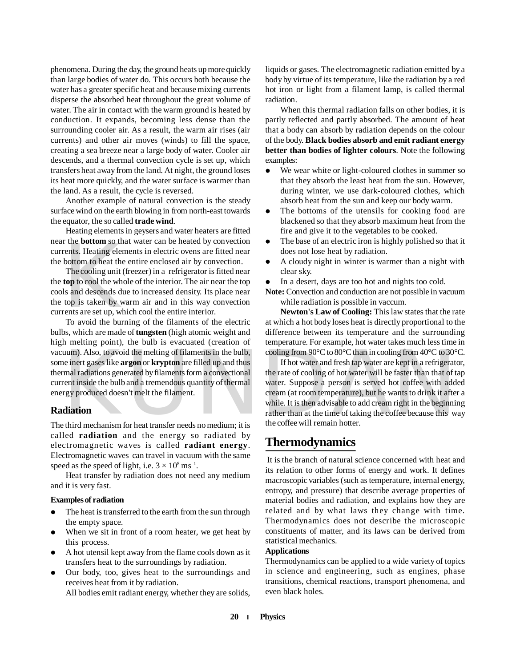phenomena. During the day, the ground heats up more quickly than large bodies of water do. This occurs both because the water has a greater specific heat and because mixing currents disperse the absorbed heat throughout the great volume of water. The air in contact with the warm ground is heated by conduction. It expands, becoming less dense than the surrounding cooler air. As a result, the warm air rises (air currents) and other air moves (winds) to fill the space, creating a sea breeze near a large body of water. Cooler air descends, and a thermal convection cycle is set up, which transfers heat away from the land. At night, the ground loses its heat more quickly, and the water surface is warmer than the land. As a result, the cycle is reversed.

Another example of natural convection is the steady surface wind on the earth blowing in from north-east towards the equator, the so called **trade wind**.

Heating elements in geysers and water heaters are fitted near the **bottom** so that water can be heated by convection currents. Heating elements in electric ovens are fitted near the bottom to heat the entire enclosed air by convection.

r the **bottom** so that<br>rents. Heating elem<br>bottom to heat the<br>The cooling unit (<br>**top** to cool the who<br>Is and descends du<br>top is taken by w<br>rents are set up, wh<br>To avoid the burn The cooling unit (freezer) in a refrigerator is fitted near the **top** to cool the whole of the interior. The air near the top cools and descends due to increased density. Its place near the top is taken by warm air and in this way convection currents are set up, which cool the entire interior.

To avoid the burning of the filaments of the electric bulbs, which are made of **tungsten** (high atomic weight and high melting point), the bulb is evacuated (creation of vacuum). Also, to avoid the melting of filaments in the bulb, some inert gases like **argon** or **krypton** are filled up and thus thermal radiations generated by filaments form a convectional current inside the bulb and a tremendous quantity of thermal energy produced doesn't melt the filament.

#### **Radiation**

The third mechanism for heat transfer needs no medium; it is called **radiation** and the energy so radiated by electromagnetic waves is called **radiant energy**. Electromagnetic waves can travel in vacuum with the same speed as the speed of light, i.e.  $3 \times 10^8 \text{ ms}^{-1}$ .

Heat transfer by radiation does not need any medium and it is very fast.

#### **Examples of radiation**

- The heat is transferred to the earth from the sun through the empty space.
- When we sit in front of a room heater, we get heat by this process.
- A hot utensil kept away from the flame cools down as it transfers heat to the surroundings by radiation.
- Our body, too, gives heat to the surroundings and receives heat from it by radiation. All bodies emit radiant energy, whether they are solids,

liquids or gases. The electromagnetic radiation emitted by a body by virtue of its temperature, like the radiation by a red hot iron or light from a filament lamp, is called thermal radiation.

When this thermal radiation falls on other bodies, it is partly reflected and partly absorbed. The amount of heat that a body can absorb by radiation depends on the colour of the body. **Black bodies absorb and emit radiant energy better than bodies of lighter colours**. Note the following examples:

- We wear white or light-coloured clothes in summer so that they absorb the least heat from the sun. However, during winter, we use dark-coloured clothes, which absorb heat from the sun and keep our body warm.
- The bottoms of the utensils for cooking food are blackened so that they absorb maximum heat from the fire and give it to the vegetables to be cooked.
- The base of an electric iron is highly polished so that it does not lose heat by radiation.
- A cloudy night in winter is warmer than a night with clear sky.
- In a desert, days are too hot and nights too cold.
- **Note:** Convection and conduction are not possible in vacuum while radiation is possible in vaccum.

**Newton's Law of Cooling:** This law states that the rate at which a hot body loses heat is directly proportional to the difference between its temperature and the surrounding temperature. For example, hot water takes much less time in cooling from 90°C to 80°C than in cooling from 40°C to 30°C.

uum). Also, to avoid the melting of filaments in the bulb,<br>
are inert gases like **argon** or **krypton** are filled up and thus<br>
Thot water and fresh tap water are kept in a refrigerat<br>
mal radiations generated by filaments f If hot water and fresh tap water are kept in a refrigerator, the rate of cooling of hot water will be faster than that of tap water. Suppose a person is served hot coffee with added cream (at room temperature), but he wants to drink it after a while. It is then advisable to add cream right in the beginning rather than at the time of taking the coffee because this way the coffee will remain hotter.

## **Thermodynamics**

 It is the branch of natural science concerned with heat and its relation to other forms of energy and work. It defines macroscopic variables (such as temperature, internal energy, entropy, and pressure) that describe average properties of material bodies and radiation, and explains how they are related and by what laws they change with time. Thermodynamics does not describe the microscopic constituents of matter, and its laws can be derived from statistical mechanics.

#### **Applications**

Thermodynamics can be applied to a wide variety of topics in science and engineering, such as engines, phase transitions, chemical reactions, transport phenomena, and even black holes.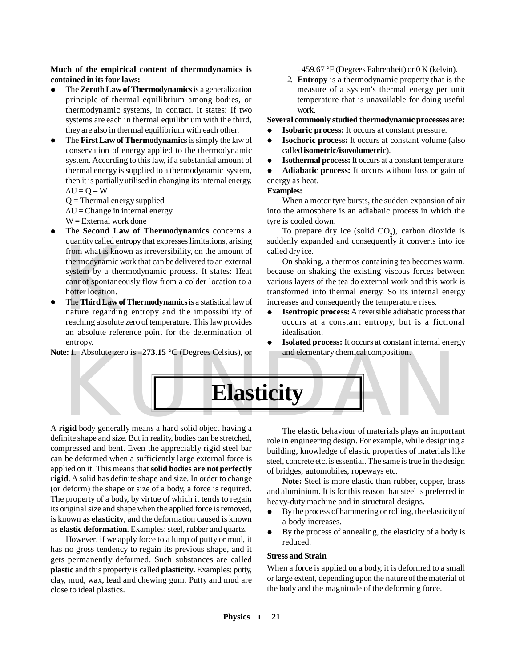#### **Much of the empirical content of thermodynamics is contained in its four laws:**

- The **Zeroth Law of Thermodynamics** is a generalization principle of thermal equilibrium among bodies, or thermodynamic systems, in contact. It states: If two systems are each in thermal equilibrium with the third, they are also in thermal equilibrium with each other.
- The **First Law of Thermodynamics** is simply the law of conservation of energy applied to the thermodynamic system. According to this law, if a substantial amount of thermal energy is supplied to a thermodynamic system, then it is partially utilised in changing its internal energy.  $\Delta U = Q - W$

 $Q =$ Thermal energy supplied

 $\Delta U =$ Change in internal energy

 $W =$  External work done

- diantify early and end<br>from what is know<br>thermodynamic w<br>system by a ther<br>cannot spontaneo<br>hotter location.<br>The **Third Law of**<br>nature regarding<br>reaching absolute The **Second Law of Thermodynamics** concerns a quantity called entropy that expresses limitations, arising from what is known as irreversibility, on the amount of thermodynamic work that can be delivered to an external system by a thermodynamic process. It states: Heat cannot spontaneously flow from a colder location to a hotter location.
- The **Third Law of Thermodynamics** is a statistical law of nature regarding entropy and the impossibility of reaching absolute zero of temperature. This law provides an absolute reference point for the determination of entropy.

**Note:** 1. Absolute zero is **–273.15 °C** (Degrees Celsius), or

 $-459.67$  °F (Degrees Fahrenheit) or 0 K (kelvin).

2. **Entropy** is a thermodynamic property that is the measure of a system's thermal energy per unit temperature that is unavailable for doing useful work.

#### **Several commonly studied thermodynamic processes are:**

- **Isobaric process:** It occurs at constant pressure.
- **Isochoric process:** It occurs at constant volume (also called **isometric/isovolumetric**).
- **Isothermal process:** It occurs at a constant temperature.

 **Adiabatic process:** It occurs without loss or gain of energy as heat.

#### **Examples:**

When a motor tyre bursts, the sudden expansion of air into the atmosphere is an adiabatic process in which the tyre is cooled down.

To prepare dry ice (solid  $CO<sub>2</sub>$ ), carbon dioxide is suddenly expanded and consequently it converts into ice called dry ice.

On shaking, a thermos containing tea becomes warm, because on shaking the existing viscous forces between various layers of the tea do external work and this work is transformed into thermal energy. So its internal energy increases and consequently the temperature rises.

- **Isentropic process:** A reversible adiabatic process that occurs at a constant entropy, but is a fictional idealisation.
- **Isolated process:** It occurs at constant internal energy and elementary chemical composition.

e: 1. Absolute zero is –273.15 °C (Degrees Celsius), or and elementary chemical composition.<br> **Elasticity**<br>
igid body generally means a hard solid object having a The elastic behaviour of materials plays an importa **Elasticity**

A **rigid** body generally means a hard solid object having a definite shape and size. But in reality, bodies can be stretched, compressed and bent. Even the appreciably rigid steel bar can be deformed when a sufficiently large external force is applied on it. This means that **solid bodies are not perfectly rigid**. A solid has definite shape and size. In order to change (or deform) the shape or size of a body, a force is required. The property of a body, by virtue of which it tends to regain its original size and shape when the applied force is removed, is known as **elasticity**, and the deformation caused is known as **elastic deformation**. Examples: steel, rubber and quartz.

However, if we apply force to a lump of putty or mud, it has no gross tendency to regain its previous shape, and it gets permanently deformed. Such substances are called **plastic** and this property is called **plasticity.** Examples: putty, clay, mud, wax, lead and chewing gum. Putty and mud are close to ideal plastics.

The elastic behaviour of materials plays an important role in engineering design. For example, while designing a building, knowledge of elastic properties of materials like steel, concrete etc. is essential. The same is true in the design of bridges, automobiles, ropeways etc.

Note: Steel is more elastic than rubber, copper, brass and aluminium. It is for this reason that steel is preferred in heavy-duty machine and in structural designs.

- By the process of hammering or rolling, the elasticity of a body increases.
- By the process of annealing, the elasticity of a body is reduced.

#### **Stress and Strain**

When a force is applied on a body, it is deformed to a small or large extent, depending upon the nature of the material of the body and the magnitude of the deforming force.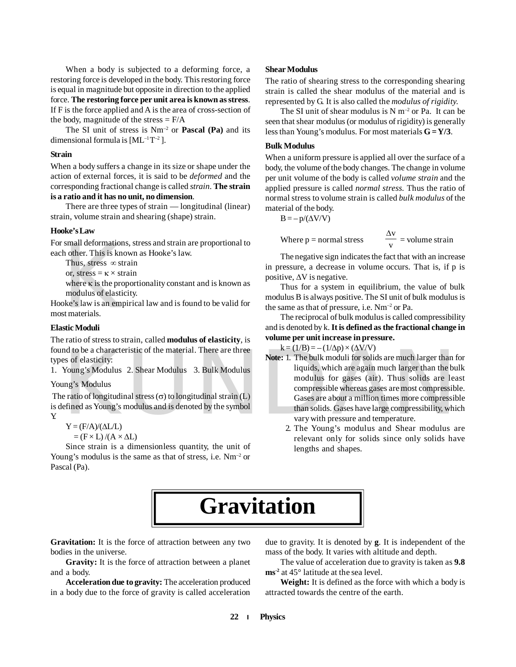When a body is subjected to a deforming force, a restoring force is developed in the body. This restoring force is equal in magnitude but opposite in direction to the applied force. **The restoring force per unit area is known as stress**. If F is the force applied and A is the area of cross-section of the body, magnitude of the stress  $=$  F/A

The SI unit of stress is Nm–2 or **Pascal (Pa)** and its dimensional formula is  $[ML^{-1}T^{-2}]$ .

#### **Strain**

When a body suffers a change in its size or shape under the action of external forces, it is said to be *deformed* and the corresponding fractional change is called *strain*. **The strain is a ratio and it has no unit, no dimension**.

There are three types of strain — longitudinal (linear) strain, volume strain and shearing (shape) strain.

#### **Hooke's Law**

For small deformations, stress and strain are proportional to each other. This is known as Hooke's law.

Thus, stress  $\infty$  strain

or, stress =  $\kappa \times$  strain

where  $\kappa$  is the proportionality constant and is known as modulus of elasticity.

small deformation<br>h other. This is known<br>Thus, stress  $\propto$  str<br>or, stress =  $\kappa \times$  str<br>where  $\kappa$  is the prop<br>modulus of elastic<br>bke's law is an emp<br>st materials. Hooke's law is an empirical law and is found to be valid for most materials.

#### **Elastic Moduli**

The ratio of stress to strain, called **modulus of elasticity**, is found to be a characteristic of the material. There are three types of elasticity:

1. Young's Modulus 2. Shear Modulus 3. Bulk Modulus

#### Young's Modulus

The ratio of longitudinal stress  $(\sigma)$  to longitudinal strain (L) is defined as Young's modulus and is denoted by the symbol Y.

$$
Y = (F/A)/(\Delta L/L)
$$

$$
= (F \times L)/(A \times \Delta L)
$$

Since strain is a dimensionless quantity, the unit of Young's modulus is the same as that of stress, i.e. Nm<sup>-2</sup> or Pascal (Pa).

#### **Shear Modulus**

The ratio of shearing stress to the corresponding shearing strain is called the shear modulus of the material and is represented by G. It is also called the *modulus of rigidity.*

The SI unit of shear modulus is  $N m^{-2}$  or Pa. It can be seen that shear modulus (or modulus of rigidity) is generally less than Young's modulus. For most materials **G = Y/3**.

#### **Bulk Modulus**

When a uniform pressure is applied all over the surface of a body, the volume of the body changes. The change in volume per unit volume of the body is called *volume strain* and the applied pressure is called *normal stress.* Thus the ratio of normal stress to volume strain is called *bulk modulus* of the material of the body.

$$
B = -p/(\Delta V/V)
$$

Where  $p = normal stress$ v  $\frac{\Delta v}{v}$  = volume strain

The negative sign indicates the fact that with an increase in pressure, a decrease in volume occurs. That is, if p is positive,  $\Delta V$  is negative.

Thus for a system in equilibrium, the value of bulk modulus B is always positive. The SI unit of bulk modulus is the same as that of pressure, i.e. Nm–2 or Pa.

The reciprocal of bulk modulus is called compressibility and is denoted by k. **It is defined as the fractional change in volume per unit increase in pressure.**

 $k = (1/B) = -(1/\Delta p) \times (\Delta V/V)$ 

- and to be a characteristic of the material. There are three<br>
So of elasticity:<br>
Softe: I. The bulk moduli for solids are much larger than<br>
Young's Modulus<br>
Modulus<br>
Modulus<br>
S. Bulk Modulus<br>
Modulus<br>
Modulus<br>
S. Bulk Modu **Note:** 1. The bulk moduli for solids are much larger than for liquids, which are again much larger than the bulk modulus for gases (air). Thus solids are least compressible whereas gases are most compressible. Gases are about a million times more compressible than solids. Gases have large compressibility, which vary with pressure and temperature.
	- 2. The Young's modulus and Shear modulus are relevant only for solids since only solids have lengths and shapes.

## **Gravitation**

Gravitation: It is the force of attraction between any two bodies in the universe.

**Gravity:** It is the force of attraction between a planet and a body.

**Acceleration due to gravity:** The acceleration produced in a body due to the force of gravity is called acceleration due to gravity. It is denoted by **g**. It is independent of the mass of the body. It varies with altitude and depth.

The value of acceleration due to gravity is taken as **9.8 ms-2** at 45° latitude at the sea level.

**Weight:** It is defined as the force with which a body is attracted towards the centre of the earth.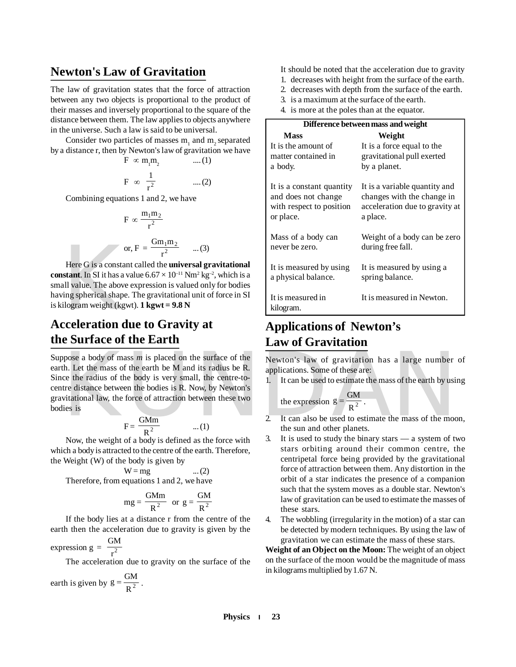### **Newton's Law of Gravitation**

The law of gravitation states that the force of attraction between any two objects is proportional to the product of their masses and inversely proportional to the square of the distance between them. The law applies to objects anywhere in the universe. Such a law is said to be universal.

Consider two particles of masses  $m_1$  and  $m_2$  separated by a distance r, then by Newton's law of gravitation we have

$$
F \propto m_1 m_2 \qquad \dots (1)
$$
  

$$
F \propto \frac{1}{r^2} \qquad \dots (2)
$$

Combining equations 1 and 2, we have

$$
F \propto \frac{m_1 m_2}{r^2}
$$
  
or, 
$$
F = \frac{Gm_1 m_2}{r^2} \qquad ...(3)
$$

or,  $F = \frac{Gm_1m_2}{r^2}$  ...(3)<br>
Here G is a constant called the **universal grives**<br> **constant**. In SI it has a value 6.67 × 10<sup>-11</sup> Nm<sup>2</sup> kg<sup>-4</sup><br>
small value. The above expression is valued only<br>
having spherical shape. T Here G is a constant called the **universal gravitational constant**. In SI it has a value  $6.67 \times 10^{-11}$  Nm<sup>2</sup> kg<sup>-2</sup>, which is a small value. The above expression is valued only for bodies having spherical shape. The gravitational unit of force in SI is kilogram weight (kgwt). **1 kgwt = 9.8 N**

## **the Surface of the Earth**

phose a body of mass *m* is placed on the surface of the<br>
th. Let the mass of the earth be M and its radius be R.<br>
ce the radius of the body is very small, the centre-to-<br>
it can be used to estimate the mass of the earth Suppose a body of mass *m* is placed on the surface of the earth. Let the mass of the earth be M and its radius be R. Since the radius of the body is very small, the centre-tocentre distance between the bodies is R. Now, by Newton's gravitational law, the force of attraction between these two bodies is

$$
F = \frac{GMm}{R^2} \qquad \dots (1)
$$

Now, the weight of a body is defined as the force with which a body is attracted to the centre of the earth. Therefore, the Weight (W) of the body is given by

$$
\mathbf{W} = \mathbf{mg}
$$

Therefore, from equations 1 and 2, we have

$$
mg = \frac{GMm}{R^2} \text{ or } g = \frac{GM}{R^2}
$$

 $\dots (2)$ 

If the body lies at a distance r from the centre of the earth then the acceleration due to gravity is given by the

expression 
$$
g = \frac{GM}{r^2}
$$

The acceleration due to gravity on the surface of the

earth is given by 
$$
g = \frac{GM}{R^2}
$$
.

- It should be noted that the acceleration due to gravity
- 1. decreases with height from the surface of the earth.
- 2. decreases with depth from the surface of the earth.
- 3. is a maximum at the surface of the earth.
- 4. is more at the poles than at the equator.

|                                | Difference between mass and weight |  |  |  |
|--------------------------------|------------------------------------|--|--|--|
| <b>Mass</b>                    | Weight                             |  |  |  |
| It is the amount of            | It is a force equal to the         |  |  |  |
| matter contained in            | gravitational pull exerted         |  |  |  |
| a body.                        | by a planet.                       |  |  |  |
| It is a constant quantity      | It is a variable quantity and      |  |  |  |
| and does not change            | changes with the change in         |  |  |  |
| with respect to position       | acceleration due to gravity at     |  |  |  |
| or place.                      | a place.                           |  |  |  |
| Mass of a body can             | Weight of a body can be zero       |  |  |  |
| never be zero.                 | during free fall.                  |  |  |  |
| It is measured by using        | It is measured by using a          |  |  |  |
| a physical balance.            | spring balance.                    |  |  |  |
| It is measured in<br>kilogram. | It is measured in Newton.          |  |  |  |

## **Applications of Newton's Law of Gravitation**

Newton's law of gravitation has a large number of applications. Some of these are:

1. It can be used to estimate the mass of the earth by using

the expression 
$$
g = \frac{GM}{R^2}
$$
.

- 2. It can also be used to estimate the mass of the moon, the sun and other planets.
- 3. It is used to study the binary stars a system of two stars orbiting around their common centre, the centripetal force being provided by the gravitational force of attraction between them. Any distortion in the orbit of a star indicates the presence of a companion such that the system moves as a double star. Newton's law of gravitation can be used to estimate the masses of these stars.
- 4. The wobbling (irregularity in the motion) of a star can be detected by modern techniques. By using the law of gravitation we can estimate the mass of these stars.

**Weight of an Object on the Moon:** The weight of an object on the surface of the moon would be the magnitude of mass in kilograms multiplied by 1.67 N.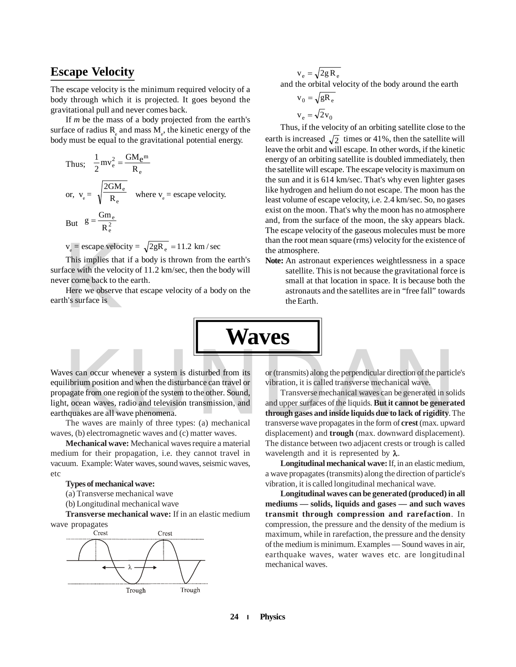### **Escape Velocity**

The escape velocity is the minimum required velocity of a body through which it is projected. It goes beyond the gravitational pull and never comes back.

If *m* be the mass of a body projected from the earth's surface of radius  $R_{\varepsilon}$  and mass  $M_{\varepsilon}$ , the kinetic energy of the body must be equal to the gravitational potential energy.

Thus; 
$$
\frac{1}{2}mv_e^2 = \frac{GM_e^m}{R_e}
$$
  
or,  $v_e = \sqrt{\frac{2GM_e}{R_e}}$  where  $v_e$  = escape velocity.  
But  $g = \frac{Gm_e}{R_e^2}$ 

 $v_e$  = escape velocity =  $\sqrt{2gR_e}$  = 11.2 km/sec<br>This implies that if a body is thrown from th<br>face with the velocity of 11.2 km/sec, then the left<br>er come back to the earth.<br>Here we observe that escape velocity of a bod This implies that if a body is thrown from the earth's surface with the velocity of 11.2 km/sec, then the body will never come back to the earth.

Here we observe that escape velocity of a body on the earth's surface is

$$
v_e = \sqrt{2g R_e}
$$
  
and the orbital velocity of the body around the earth

$$
v_0 = \sqrt{gR_e}
$$
  

$$
v_e = \sqrt{2}v_0
$$

Thus, if the velocity of an orbiting satellite close to the earth is increased  $\sqrt{2}$  times or 41%, then the satellite will leave the orbit and will escape. In other words, if the kinetic energy of an orbiting satellite is doubled immediately, then the satellite will escape. The escape velocity is maximum on the sun and it is 614 km/sec. That's why even lighter gases like hydrogen and helium do not escape. The moon has the least volume of escape velocity, i.e. 2.4 km/sec. So, no gases exist on the moon. That's why the moon has no atmosphere and, from the surface of the moon, the sky appears black. The escape velocity of the gaseous molecules must be more than the root mean square (rms) velocity for the existence of the atmosphere.

**Note:** An astronaut experiences weightlessness in a space satellite. This is not because the gravitational force is small at that location in space. It is because both the astronauts and the satellites are in "free fall" towards the Earth.

**Waves**

Examples the particular direction of the particular direction of the particular direction of the particular direction of the particular direction of the particular direction of the particular direction of the particular di Waves can occur whenever a system is disturbed from its equilibrium position and when the disturbance can travel or propagate from one region of the system to the other. Sound, light, ocean waves, radio and television transmission, and earthquakes are all wave phenomena.

The waves are mainly of three types: (a) mechanical waves, (b) electromagnetic waves and (c) matter waves.

**Mechanical wave:** Mechanical waves require a material medium for their propagation, i.e. they cannot travel in vacuum. Example: Water waves, sound waves, seismic waves, etc

#### **Types of mechanical wave:**

(a) Transverse mechanical wave

(b) Longitudinal mechanical wave

**Transverse mechanical wave:** If in an elastic medium wave propagates



or (transmits) along the perpendicular direction of the particle's vibration, it is called transverse mechanical wave.

Transverse mechanical waves can be generated in solids and upper surfaces of the liquids. **But it cannot be generated through gases and inside liquids due to lack of rigidity**. The transverse wave propagates in the form of **crest** (max. upward displacement) and **trough** (max. downward displacement). The distance between two adjacent crests or trough is called wavelength and it is represented by  $\lambda$ .

**Longitudinal mechanical wave:** If, in an elastic medium, a wave propagates (transmits) along the direction of particle's vibration, it is called longitudinal mechanical wave.

**Longitudinal waves can be generated (produced) in all mediums — solids, liquids and gases — and such waves transmit through compression and rarefaction**. In compression, the pressure and the density of the medium is maximum, while in rarefaction, the pressure and the density of the medium is minimum. Examples — Sound waves in air, earthquake waves, water waves etc. are longitudinal mechanical waves.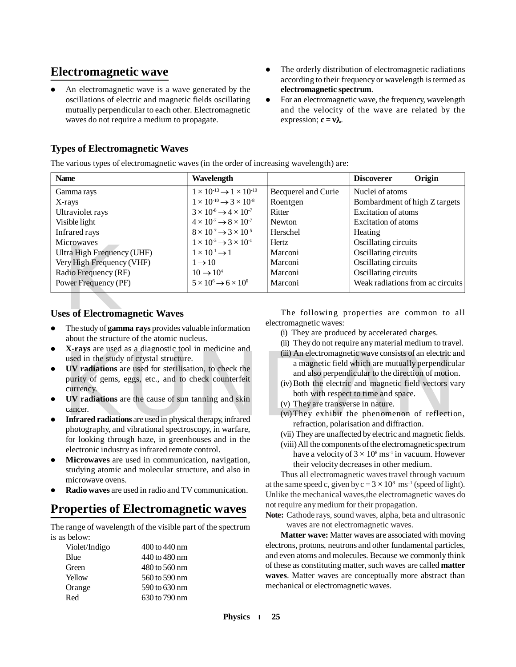## **Electromagnetic wave**

- An electromagnetic wave is a wave generated by the oscillations of electric and magnetic fields oscillating mutually perpendicular to each other. Electromagnetic waves do not require a medium to propagate.
- The orderly distribution of electromagnetic radiations according to their frequency or wavelength is termed as **electromagnetic spectrum**.
- For an electromagnetic wave, the frequency, wavelength and the velocity of the wave are related by the expression;  $c = v\lambda$ .

### **Types of Electromagnetic Waves**

The various types of electromagnetic waves (in the order of increasing wavelength) are:

| <b>Name</b>                                                  | Wavelength                                        |                        | Origin<br><b>Discoverer</b>                |
|--------------------------------------------------------------|---------------------------------------------------|------------------------|--------------------------------------------|
| Gamma rays                                                   | $1 \times 10^{-13} \rightarrow 1 \times 10^{-10}$ | Becquerel and Curie    | Nuclei of atoms                            |
| X-rays                                                       | $1 \times 10^{-10} \rightarrow 3 \times 10^{-8}$  | Roentgen               | Bombardment of high Z targets              |
| Ultraviolet rays                                             | $3 \times 10^{-8} \rightarrow 4 \times 10^{-7}$   | Ritter                 | Excitation of atoms                        |
| Visible light                                                | $4 \times 10^{-7} \rightarrow 8 \times 10^{-7}$   | Newton                 | Excitation of atoms                        |
| Infrared rays                                                | $8 \times 10^{-7} \rightarrow 3 \times 10^{-5}$   | Herschel               | Heating                                    |
| <b>Microwaves</b>                                            | $1 \times 10^{-3} \rightarrow 3 \times 10^{-1}$   | Hertz.                 | Oscillating circuits                       |
| Ultra High Frequency (UHF)                                   | $1 \times 10^{-1} \rightarrow 1$                  | Marconi                | Oscillating circuits                       |
| Very High Frequency (VHF)                                    | $1 \rightarrow 10$                                | Marconi                | Oscillating circuits                       |
| Radio Frequency (RF)                                         | $10 \rightarrow 10^4$                             | Marconi                | Oscillating circuits                       |
| Power Frequency (PF)                                         | $5 \times 10^6 \rightarrow 6 \times 10^6$         | Marconi                | Weak radiations from ac circuits           |
|                                                              |                                                   |                        |                                            |
| <b>Uses of Electromagnetic Waves</b>                         |                                                   |                        | The following properties are common to all |
| The study of <b>gamma rays</b> provides valuable information |                                                   | electromagnetic waves: |                                            |

#### **Uses of Electromagnetic Waves**

- The study of **gamma rays** provides valuable information about the structure of the atomic nucleus.
- **X-rays** are used as a diagnostic tool in medicine and used in the study of crystal structure.
- A-rays are used as a diagnostic tool in medicine and<br>
used in the study of crystal structure.<br>
UV radiations are used for sterilisation, to check the<br>
purity of gems, eggs, etc., and to check counterfeit<br>
currency.<br>
UV rad **UV radiations** are used for sterilisation, to check the purity of gems, eggs, etc., and to check counterfeit currency.
- **UV radiations** are the cause of sun tanning and skin cancer.
- **Infrared radiations** are used in physical therapy, infrared photography, and vibrational spectroscopy, in warfare, for looking through haze, in greenhouses and in the electronic industry as infrared remote control.
- **Microwaves** are used in communication, navigation, studying atomic and molecular structure, and also in microwave ovens.
- **Radio waves** are used in radio and TV communication.

## **Properties of Electromagnetic waves**

The range of wavelength of the visible part of the spectrum is as below:

| Violet/Indigo | 400 to 440 nm |
|---------------|---------------|
| Blue          | 440 to 480 nm |
| Green         | 480 to 560 nm |
| Yellow        | 560 to 590 nm |
| Orange        | 590 to 630 nm |
| Red           | 630 to 790 nm |

- (i) They are produced by accelerated charges.
- (ii) They do not require any material medium to travel.
- (iii) An electromagnetic wave consists of an electric and a magnetic field which are mutually perpendicular and also perpendicular to the direction of motion.
- (iv)Both the electric and magnetic field vectors vary both with respect to time and space.
- (v) They are transverse in nature.
- (vi)They exhibit the phenomenon of reflection, refraction, polarisation and diffraction.
- (vii) They are unaffected by electric and magnetic fields.
- (viii) All the components of the electromagnetic spectrum have a velocity of  $3 \times 10^8 \,\rm{ms^{\text{-}1}}$  in vacuum. However their velocity decreases in other medium.

Thus all electromagnetic waves travel through vacuum at the same speed c, given by  $c = 3 \times 10^8 \text{ ms}^{-1}$  (speed of light). Unlike the mechanical waves,the electromagnetic waves do not require any medium for their propagation.

**Note:** Cathode rays, sound waves, alpha, beta and ultrasonic waves are not electromagnetic waves.

**Matter wave:** Matter waves are associated with moving electrons, protons, neutrons and other fundamental particles, and even atoms and molecules. Because we commonly think of these as constituting matter, such waves are called **matter waves**. Matter waves are conceptually more abstract than mechanical or electromagnetic waves.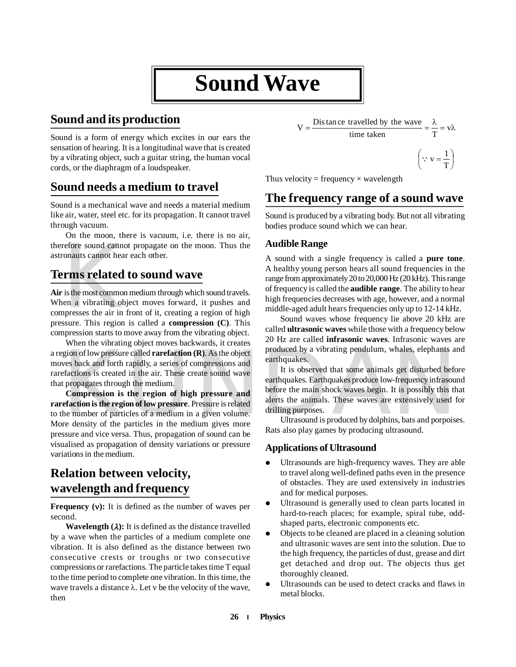## **Sound Wave**

## **Sound and its production**

Sound is a form of energy which excites in our ears the sensation of hearing. It is a longitudinal wave that is created by a vibrating object, such a guitar string, the human vocal cords, or the diaphragm of a loudspeaker.

## **Sound needs a medium to travel**

Sound is a mechanical wave and needs a material medium like air, water, steel etc. for its propagation. It cannot travel through vacuum.

On the moon, there is vacuum, i.e. there is no air, therefore sound cannot propagate on the moon. Thus the astronauts cannot hear each other.

## **Terms related to sound wave**

refore sound cannot<br>conauts cannot hear<br>**rms related**<br>is the most commor<br>en a vibrating ob<br>presses the air in<br>ssure. This region **Air** is the most common medium through which sound travels. When a vibrating object moves forward, it pushes and compresses the air in front of it, creating a region of high pressure. This region is called a **compression (C)**. This compression starts to move away from the vibrating object.

When the vibrating object moves backwards, it creates a region of low pressure called **rarefaction (R)**. As the object moves back and forth rapidly, a series of compressions and rarefactions is created in the air. These create sound wave that propagates through the medium.

**Compression is the region of high pressure and rarefaction is the region of low pressure**. Pressure is related to the number of particles of a medium in a given volume. More density of the particles in the medium gives more pressure and vice versa. Thus, propagation of sound can be visualised as propagation of density variations or pressure variations in the medium.

## **Relation between velocity, wavelength and frequency**

**Frequency (v):** It is defined as the number of waves per second.

**Wavelength**  $(\lambda)$ **: It is defined as the distance travelled** by a wave when the particles of a medium complete one vibration. It is also defined as the distance between two consecutive crests or troughs or two consecutive compressions or rarefactions. The particle takes time T equal to the time period to complete one vibration. In this time, the wave travels a distance  $\lambda$ . Let v be the velocity of the wave, then

$$
V = \frac{\text{Dis }\text{tan }\text{ce }\text{ travelled }\text{by }\text{the }\text{wave}}{\text{time }\text{taken}} = \frac{\lambda}{T} = v\lambda
$$
\n
$$
\left(\because v = \frac{1}{T}\right)
$$

I  $\bigg)$ 

 $\overline{\phantom{0}}$ 

Thus velocity = frequency  $\times$  wavelength

## **The frequency range of a sound wave**

Sound is produced by a vibrating body. But not all vibrating bodies produce sound which we can hear.

#### **Audible Range**

A sound with a single frequency is called a **pure tone**. A healthy young person hears all sound frequencies in the range from approximately 20 to 20,000 Hz (20 kHz). This range of frequency is called the **audible range**. The ability to hear high frequencies decreases with age, however, and a normal middle-aged adult hears frequencies only up to 12-14 kHz.

Sound waves whose frequency lie above 20 kHz are called **ultrasonic waves** while those with a frequency below 20 Hz are called **infrasonic waves**. Infrasonic waves are produced by a vibrating pendulum, whales, elephants and earthquakes.

gion of low pressure called **rarefaction (R)**. As the object<br>
ves back and forth rapidly, a series of compressions and<br>
earthquakes.<br>
Efactions is created in the air. These create sound wave<br>
the propagates through the med It is observed that some animals get disturbed before earthquakes. Earthquakes produce low-frequency infrasound before the main shock waves begin. It is possibly this that alerts the animals. These waves are extensively used for drilling purposes.

Ultrasound is produced by dolphins, bats and porpoises. Rats also play games by producing ultrasound.

#### **Applications of Ultrasound**

- Ultrasounds are high-frequency waves. They are able to travel along well-defined paths even in the presence of obstacles. They are used extensively in industries and for medical purposes.
- Ultrasound is generally used to clean parts located in hard-to-reach places; for example, spiral tube, oddshaped parts, electronic components etc.
- Objects to be cleaned are placed in a cleaning solution and ultrasonic waves are sent into the solution. Due to the high frequency, the particles of dust, grease and dirt get detached and drop out. The objects thus get thoroughly cleaned.
- Ultrasounds can be used to detect cracks and flaws in metal blocks.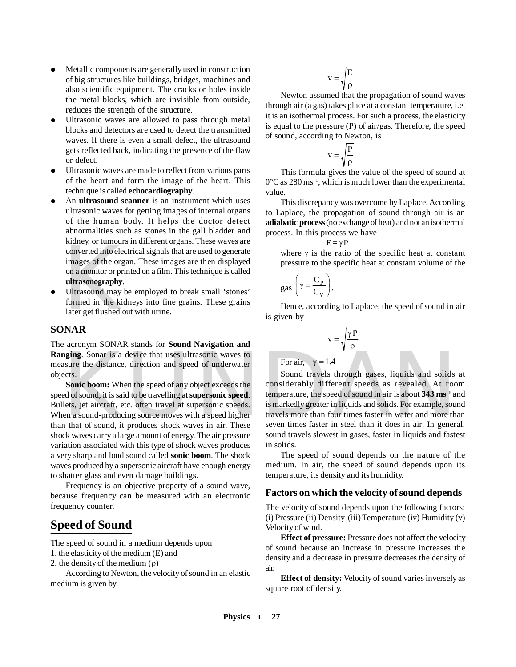- Metallic components are generally used in construction of big structures like buildings, bridges, machines and also scientific equipment. The cracks or holes inside the metal blocks, which are invisible from outside, reduces the strength of the structure.
- Ultrasonic waves are allowed to pass through metal blocks and detectors are used to detect the transmitted waves. If there is even a small defect, the ultrasound gets reflected back, indicating the presence of the flaw or defect.
- Ultrasonic waves are made to reflect from various parts of the heart and form the image of the heart. This technique is called **echocardiography**.
- converted into elections<br>converted into elections<br>on a monitor or pri<br>**ultrasonography**.<br>Ultrasound may be formed in the kide and the solutions<br>of the solution of the solution of the solution An **ultrasound scanner** is an instrument which uses ultrasonic waves for getting images of internal organs of the human body. It helps the doctor detect abnormalities such as stones in the gall bladder and kidney, or tumours in different organs. These waves are converted into electrical signals that are used to generate images of the organ. These images are then displayed on a monitor or printed on a film. This technique is called **ultrasonography**.
- Ultrasound may be employed to break small 'stones' formed in the kidneys into fine grains. These grains later get flushed out with urine.

#### **SONAR**

The acronym SONAR stands for **Sound Navigation and Ranging**. Sonar is a device that uses ultrasonic waves to measure the distance, direction and speed of underwater objects.

**Sonic boom:** When the speed of any object exceeds the speed of sound, it is said to be travelling at **supersonic speed**. Bullets, jet aircraft, etc. often travel at supersonic speeds. When a sound-producing source moves with a speed higher than that of sound, it produces shock waves in air. These shock waves carry a large amount of energy. The air pressure variation associated with this type of shock waves produces a very sharp and loud sound called **sonic boom**. The shock waves produced by a supersonic aircraft have enough energy to shatter glass and even damage buildings.

Frequency is an objective property of a sound wave, because frequency can be measured with an electronic frequency counter.

## **Speed of Sound**

The speed of sound in a medium depends upon

1. the elasticity of the medium (E) and

2. the density of the medium  $(\rho)$ 

According to Newton, the velocity of sound in an elastic medium is given by

$$
v = \sqrt{\frac{E}{\rho}}
$$

Newton assumed that the propagation of sound waves through air (a gas) takes place at a constant temperature, i.e. it is an isothermal process. For such a process, the elasticity is equal to the pressure (P) of air/gas. Therefore, the speed of sound, according to Newton, is

$$
v = \sqrt{\frac{P}{\rho}}
$$

This formula gives the value of the speed of sound at  $0^{\circ}$ C as 280 ms<sup>-1</sup>, which is much lower than the experimental value.

This discrepancy was overcome by Laplace. According to Laplace, the propagation of sound through air is an **adiabatic process** (no exchange of heat) and not an isothermal process. In this process we have

$$
E = \gamma P
$$

where  $\gamma$  is the ratio of the specific heat at constant pressure to the specific heat at constant volume of the

$$
gas\left(\gamma = \frac{C_P}{C_V}\right).
$$

Hence, according to Laplace, the speed of sound in air is given by

$$
\mathbf{v} = \sqrt{\frac{\gamma \, \mathbf{P}}{\rho}}
$$

For air, 
$$
\gamma = 1.4
$$

**nging.** Sonar is a device that uses ultrasonic waves to<br>saure the distance, direction and speed of underwater<br>ects.<br>**Sonic boom:** When the speed of any object exceeds the<br>ects.<br>**Sonic boom:** When the speed of any object Sound travels through gases, liquids and solids at considerably different speeds as revealed. At room temperature, the speed of sound in air is about **343 ms–1** and is markedly greater in liquids and solids. For example, sound travels more than four times faster in water and more than seven times faster in steel than it does in air. In general, sound travels slowest in gases, faster in liquids and fastest in solids.

> The speed of sound depends on the nature of the medium. In air, the speed of sound depends upon its temperature, its density and its humidity.

#### **Factors on which the velocity of sound depends**

The velocity of sound depends upon the following factors: (i) Pressure (ii) Density (iii) Temperature (iv) Humidity (v) Velocity of wind.

**Effect of pressure:** Pressure does not affect the velocity of sound because an increase in pressure increases the density and a decrease in pressure decreases the density of air.

**Effect of density:** Velocity of sound varies inversely as square root of density.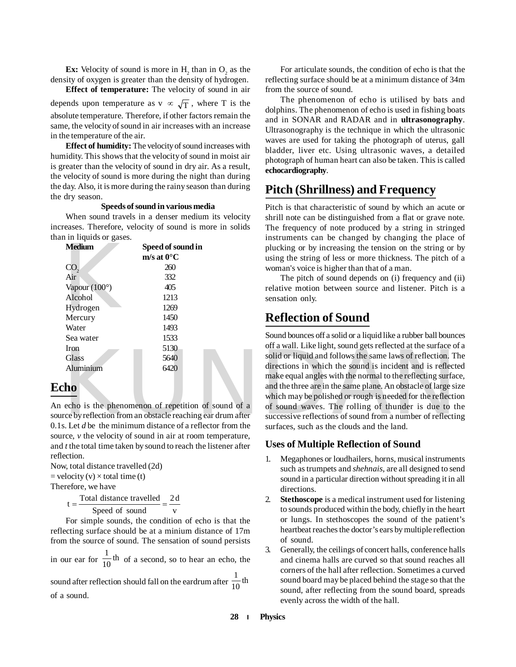**Ex:** Velocity of sound is more in  $H_2$  than in  $O_2$  as the density of oxygen is greater than the density of hydrogen.

**Effect of temperature:** The velocity of sound in air depends upon temperature as v  $\infty$   $\sqrt{T}$ , where T is the absolute temperature. Therefore, if other factors remain the same, the velocity of sound in air increases with an increase in the temperature of the air.

**Effect of humidity:** The velocity of sound increases with humidity. This shows that the velocity of sound in moist air is greater than the velocity of sound in dry air. As a result, the velocity of sound is more during the night than during the day. Also, it is more during the rainy season than during the dry season.

#### **Speeds of sound in various media**

When sound travels in a denser medium its velocity increases. Therefore, velocity of sound is more in solids than in liquids or gases.

| <b>Medium</b>   | Speed of sound in     |
|-----------------|-----------------------|
|                 | $m/s$ at $0^{\circ}C$ |
| CO <sub>2</sub> | 260                   |
| Air             | 332                   |
| Vapour (100°)   | 405                   |
| Alcohol         | 1213                  |
| Hydrogen        | 1269                  |
| Mercury         | 1450                  |
| Water           | 1493                  |
| Sea water       | 1533                  |
| <b>Iron</b>     | 5130                  |
| Glass           | 5640                  |
| Aluminium       | 6420                  |
|                 |                       |

#### **Echo**

An echo is the phenomenon of repetition of sound of a source by reflection from an obstacle reaching ear drum after 0.1s. Let *d* be the minimum distance of a reflector from the source, *v* the velocity of sound in air at room temperature, and *t* the total time taken by sound to reach the listener after reflection.

Now, total distance travelled (2d)  $=$  velocity (v)  $\times$  total time (t) Therefore, we have

> v 2 d Speed of sound  $t = \frac{\text{Total distance travelled}}{2 \times 10^{-4} \text{ cm}^2} =$

For simple sounds, the condition of echo is that the reflecting surface should be at a minium distance of 17m from the source of sound. The sensation of sound persists

in our ear for  $\frac{1}{10}$ <sup>th</sup>  $\frac{1}{10}$ <sup>th</sup> of a second, so to hear an echo, the sound after reflection should fall on the eardrum after  $\frac{1}{10}$ <sup>th</sup> 1 of a sound.

For articulate sounds, the condition of echo is that the reflecting surface should be at a minimum distance of 34m from the source of sound.

The phenomenon of echo is utilised by bats and dolphins. The phenomenon of echo is used in fishing boats and in SONAR and RADAR and in **ultrasonography**. Ultrasonography is the technique in which the ultrasonic waves are used for taking the photograph of uterus, gall bladder, liver etc. Using ultrasonic waves, a detailed photograph of human heart can also be taken. This is called **echocardiography**.

## **Pitch (Shrillness) and Frequency**

Pitch is that characteristic of sound by which an acute or shrill note can be distinguished from a flat or grave note. The frequency of note produced by a string in stringed instruments can be changed by changing the place of plucking or by increasing the tension on the string or by using the string of less or more thickness. The pitch of a woman's voice is higher than that of a man.

The pitch of sound depends on (i) frequency and (ii) relative motion between source and listener. Pitch is a sensation only.

## **Reflection of Sound**

Tron 5130<br>
Glass 5640<br>
Solid or liquid and follows the same laws of reflection. T<br>
Aluminium<br>
6420<br>
Municipal data follows the same laws of reflection. T<br>
directions in which the sound is incident and is reflection.<br>
The m Sound bounces off a solid or a liquid like a rubber ball bounces off a wall. Like light, sound gets reflected at the surface of a solid or liquid and follows the same laws of reflection. The directions in which the sound is incident and is reflected make equal angles with the normal to the reflecting surface, and the three are in the same plane. An obstacle of large size which may be polished or rough is needed for the reflection of sound waves. The rolling of thunder is due to the successive reflections of sound from a number of reflecting surfaces, such as the clouds and the land.

#### **Uses of Multiple Reflection of Sound**

- 1. Megaphones or loudhailers, horns, musical instruments such as trumpets and *shehnais*, are all designed to send sound in a particular direction without spreading it in all directions.
- 2. **Stethoscope** is a medical instrument used for listening to sounds produced within the body, chiefly in the heart or lungs. In stethoscopes the sound of the patient's heartbeat reaches the doctor's ears by multiple reflection of sound.
- 3. Generally, the ceilings of concert halls, conference halls and cinema halls are curved so that sound reaches all corners of the hall after reflection. Sometimes a curved sound board may be placed behind the stage so that the sound, after reflecting from the sound board, spreads evenly across the width of the hall.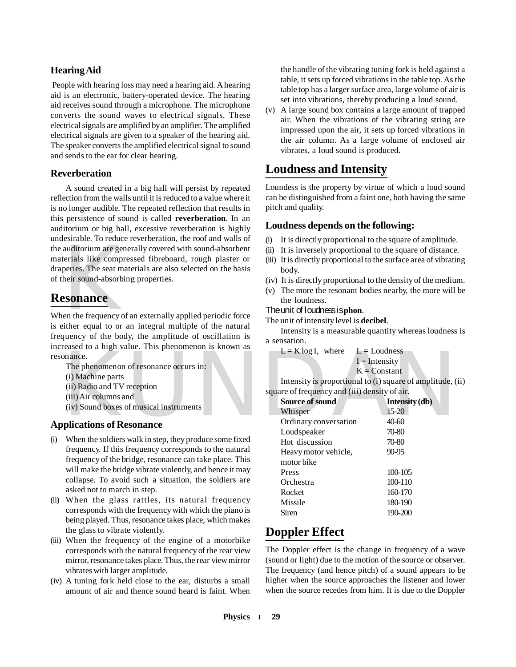#### **Hearing Aid**

 People with hearing loss may need a hearing aid. A hearing aid is an electronic, battery-operated device. The hearing aid receives sound through a microphone. The microphone converts the sound waves to electrical signals. These electrical signals are amplified by an amplifier. The amplified electrical signals are given to a speaker of the hearing aid. The speaker converts the amplified electrical signal to sound and sends to the ear for clear hearing.

#### **Reverberation**

auditorium are generials like comprendent<br>peries. The seat mandemonical metals and also represent the example of<br>**ESONANCE**<br>en the frequency of the requal to or A sound created in a big hall will persist by repeated reflection from the walls until it is reduced to a value where it is no longer audible. The repeated reflection that results in this persistence of sound is called **reverberation**. In an auditorium or big hall, excessive reverberation is highly undesirable. To reduce reverberation, the roof and walls of the auditorium are generally covered with sound-absorbent materials like compressed fibreboard, rough plaster or draperies. The seat materials are also selected on the basis of their sound-absorbing properties.

## **Resonance**

When the frequency of an externally applied periodic force is either equal to or an integral multiple of the natural frequency of the body, the amplitude of oscillation is increased to a high value. This phenomenon is known as resonance.

For a matrix of a matrix of the phenomenon of resonance occurs in:<br>
(i) Machine parts<br>
(ii) Radio and TV reception<br>
(iii) Air columns and<br>
(iv) Sound boxes of musical instruments<br> **Positions of Resonance**<br>  $\frac{1}{K}$  Examp The phenomenon of resonance occurs in: (i) Machine parts (ii) Radio and TV reception (iii) Air columns and (iv) Sound boxes of musical instruments

#### **Applications of Resonance**

- (i) When the soldiers walk in step, they produce some fixed frequency. If this frequency corresponds to the natural frequency of the bridge, resonance can take place. This will make the bridge vibrate violently, and hence it may collapse. To avoid such a situation, the soldiers are asked not to march in step.
- (ii) When the glass rattles, its natural frequency corresponds with the frequency with which the piano is being played. Thus, resonance takes place, which makes the glass to vibrate violently.
- (iii) When the frequency of the engine of a motorbike corresponds with the natural frequency of the rear view mirror, resonance takes place. Thus, the rear view mirror vibrates with larger amplitude.
- (iv) A tuning fork held close to the ear, disturbs a small amount of air and thence sound heard is faint. When

the handle of the vibrating tuning fork is held against a table, it sets up forced vibrations in the table top. As the table top has a larger surface area, large volume of air is set into vibrations, thereby producing a loud sound.

(v) A large sound box contains a large amount of trapped air. When the vibrations of the vibrating string are impressed upon the air, it sets up forced vibrations in the air column. As a large volume of enclosed air vibrates, a loud sound is produced.

## **Loudness and Intensity**

Loundess is the property by virtue of which a loud sound can be distinguished from a faint one, both having the same pitch and quality.

#### **Loudness depends on the following:**

- It is directly proportional to the square of amplitude.
- (ii) It is inversely proportional to the square of distance.
- (iii) It is directly proportional to the surface area of vibrating body.
- (iv) It is directly proportional to the density of the medium.
- (v) The more the resonant bodies nearby, the more will be the loudness.

#### The unit of loudness is **phon**.

The unit of intensity level is **decibel**.

Intensity is a measurable quantity whereas loudness is a sensation.

 $L = K \log I$ , where  $L =$  Loudness  $I = Intensity$  $K =$ Constant

Intensity is proportional to (i) square of amplitude, (ii) square of frequency and (iii) density of air.

| Source of sound       | Intensity (db) |
|-----------------------|----------------|
| Whisper               | $15-20$        |
| Ordinary conversation | 40-60          |
| Loudspeaker           | 70-80          |
| Hot discussion        | 70-80          |
| Heavy motor vehicle,  | 90-95          |
| motor bike            |                |
| Press                 | 100-105        |
| Orchestra             | 100-110        |
| Rocket                | 160-170        |
| Missile               | 180-190        |
| Siren                 | 190-200        |

## **Doppler Effect**

The Doppler effect is the change in frequency of a wave (sound or light) due to the motion of the source or observer. The frequency (and hence pitch) of a sound appears to be higher when the source approaches the listener and lower when the source recedes from him. It is due to the Doppler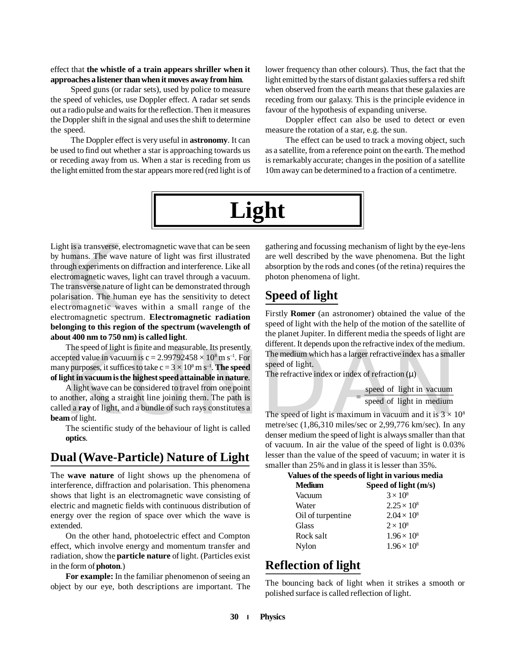#### effect that **the whistle of a train appears shriller when it approaches a listener than when it moves away from him**.

Speed guns (or radar sets), used by police to measure the speed of vehicles, use Doppler effect. A radar set sends out a radio pulse and waits for the reflection. Then it measures the Doppler shift in the signal and uses the shift to determine the speed.

The Doppler effect is very useful in **astronomy**. It can be used to find out whether a star is approaching towards us or receding away from us. When a star is receding from us the light emitted from the star appears more red (red light is of lower frequency than other colours). Thus, the fact that the light emitted by the stars of distant galaxies suffers a red shift when observed from the earth means that these galaxies are receding from our galaxy. This is the principle evidence in favour of the hypothesis of expanding universe.

Doppler effect can also be used to detect or even measure the rotation of a star, e.g. the sun.

The effect can be used to track a moving object, such as a satellite, from a reference point on the earth. The method is remarkably accurate; changes in the position of a satellite 10m away can be determined to a fraction of a centimetre.



ht is a transverse, e<br>humans. The wave<br>ough experiments of<br>tromagnetic waves<br>transverse nature<br>arisation. The hun<br>tromagnetic wa<br>tromagnetic spec Light is a transverse, electromagnetic wave that can be seen by humans. The wave nature of light was first illustrated through experiments on diffraction and interference. Like all electromagnetic waves, light can travel through a vacuum. The transverse nature of light can be demonstrated through polarisation. The human eye has the sensitivity to detect electromagnetic waves within a small range of the electromagnetic spectrum. **Electromagnetic radiation belonging to this region of the spectrum (wavelength of about 400 nm to 750 nm) is called light**.

The speed of light is finite and measurable. Its presently accepted value in vacuum is  $c = 2.99792458 \times 10^8$  m s<sup>-1</sup>. For many purposes, it suffices to take  $c = 3 \times 10^8 \,\mathrm{m\ s^{-1}}$ . **The speed of light in vacuum is the highest speed attainable in nature**.

The speed of light is unite and measurable. Its presently<br>
epted value in vacuum is  $c = 2.99792458 \times 10^8$  m s<sup>-1</sup>. For<br>
the nedium which has a larger refractive index has a small<br>
speed of light.<br>
A light wave can be con A light wave can be considered to travel from one point to another, along a straight line joining them. The path is called a **ray** of light, and a bundle of such rays constitutes a **beam** of light.

The scientific study of the behaviour of light is called **optics**.

## **Dual (Wave-Particle) Nature of Light**

The **wave nature** of light shows up the phenomena of interference, diffraction and polarisation. This phenomena shows that light is an electromagnetic wave consisting of electric and magnetic fields with continuous distribution of energy over the region of space over which the wave is extended.

On the other hand, photoelectric effect and Compton effect, which involve energy and momentum transfer and radiation, show the **particle nature** of light. (Particles exist in the form of **photon**.)

**For example:** In the familiar phenomenon of seeing an object by our eye, both descriptions are important. The gathering and focussing mechanism of light by the eye-lens are well described by the wave phenomena. But the light absorption by the rods and cones (of the retina) requires the photon phenomena of light.

## **Speed of light**

Firstly **Romer** (an astronomer) obtained the value of the speed of light with the help of the motion of the satellite of the planet Jupiter. In different media the speeds of light are different. It depends upon the refractive index of the medium. The medium which has a larger refractive index has a smaller speed of light.

The refractive index or index of refraction  $(\mu)$ 

 $=$  speed of light in medium speed of light in vacuum

The speed of light is maximum in vacuum and it is  $3 \times 10^8$ metre/sec (1,86,310 miles/sec or 2,99,776 km/sec). In any denser medium the speed of light is always smaller than that of vacuum. In air the value of the speed of light is 0.03% lesser than the value of the speed of vacuum; in water it is smaller than 25% and in glass it is lesser than 35%.

**Values of the speeds of light in various media**

| <b>Medium</b>     | Speed of light (m/s) |  |
|-------------------|----------------------|--|
| Vacuum            | $3 \times 10^8$      |  |
| Water             | $2.25 \times 10^8$   |  |
| Oil of turpentine | $2.04 \times 10^8$   |  |
| Glass             | $2 \times 10^8$      |  |
| Rock salt         | $1.96 \times 10^{8}$ |  |
| Nylon             | $1.96 \times 10^{8}$ |  |

## **Reflection of light**

The bouncing back of light when it strikes a smooth or polished surface is called reflection of light.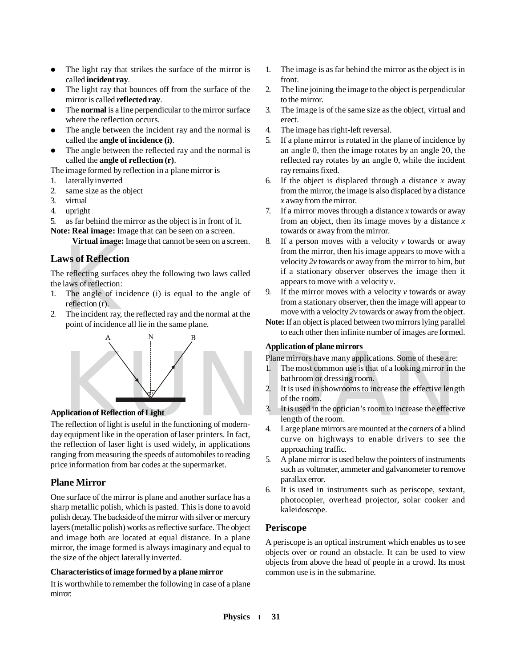- The light ray that strikes the surface of the mirror is called **incident ray**.
- The light ray that bounces off from the surface of the mirror is called **reflected ray**.
- The **normal** is a line perpendicular to the mirror surface where the reflection occurs.
- The angle between the incident ray and the normal is called the **angle of incidence (i)**.
- The angle between the reflected ray and the normal is called the **angle of reflection (r)**.

The image formed by reflection in a plane mirror is

- 1. laterally inverted
- 2. same size as the object
- 3. virtual
- 4. upright
- 5. as far behind the mirror as the object is in front of it.

**Note: Real image:** Image that can be seen on a screen.

**Virtual image:** Image that cannot be seen on a screen.

#### **Laws of Reflection**

We set the magnetic set of **Reflection**<br>  $\frac{1}{2}$  reflecting surface<br>
laws of reflection:<br>
The angle of inc<br>
reflection (r).<br>
The incident ray, t<br>
point of incidence The reflecting surfaces obey the following two laws called the laws of reflection:

- 1. The angle of incidence (i) is equal to the angle of reflection (r).
- 2. The incident ray, the reflected ray and the normal at the point of incidence all lie in the same plane.



#### **Application of Reflection of Light**

The reflection of light is useful in the functioning of modernday equipment like in the operation of laser printers. In fact, the reflection of laser light is used widely, in applications ranging from measuring the speeds of automobiles to reading price information from bar codes at the supermarket.

#### **Plane Mirror**

One surface of the mirror is plane and another surface has a sharp metallic polish, which is pasted. This is done to avoid polish decay. The backside of the mirror with silver or mercury layers (metallic polish) works as reflective surface. The object and image both are located at equal distance. In a plane mirror, the image formed is always imaginary and equal to the size of the object laterally inverted.

#### **Characteristics of image formed by a plane mirror**

It is worthwhile to remember the following in case of a plane mirror:

- 1. The image is as far behind the mirror as the object is in front.
- 2. The line joining the image to the object is perpendicular to the mirror.
- 3. The image is of the same size as the object, virtual and erect.
- 4. The image has right-left reversal.
- 5. If a plane mirror is rotated in the plane of incidence by an angle  $\theta$ , then the image rotates by an angle 2 $\theta$ , the reflected ray rotates by an angle  $\theta$ , while the incident ray remains fixed.
- 6. If the object is displaced through a distance *x* away from the mirror, the image is also displaced by a distance *x* away from the mirror.
- 7. If a mirror moves through a distance *x* towards or away from an object, then its image moves by a distance *x* towards or away from the mirror.
- 8. If a person moves with a velocity *v* towards or away from the mirror, then his image appears to move with a velocity *2v* towards or away from the mirror to him, but if a stationary observer observes the image then it appears to move with a velocity *v*.
- 9. If the mirror moves with a velocity *v* towards or away from a stationary observer, then the image will appear to move with a velocity *2v* towards or away from the object.
- **Note:** If an object is placed between two mirrors lying parallel to each other then infinite number of images are formed.

#### **Application of plane mirrors**

Plane mirrors have many applications. Some of these are:

- 1. The most common use is that of a looking mirror in the bathroom or dressing room.
- 2. It is used in showrooms to increase the effective length of the room.
- 3. It is used in the optician's room to increase the effective length of the room.
- 4. Large plane mirrors are mounted at the corners of a blind curve on highways to enable drivers to see the approaching traffic.
- 5. A plane mirror is used below the pointers of instruments such as voltmeter, ammeter and galvanometer to remove parallax error.
- 6. It is used in instruments such as periscope, sextant, photocopier, overhead projector, solar cooker and kaleidoscope.

#### **Periscope**

A periscope is an optical instrument which enables us to see objects over or round an obstacle. It can be used to view objects from above the head of people in a crowd. Its most common use is in the submarine.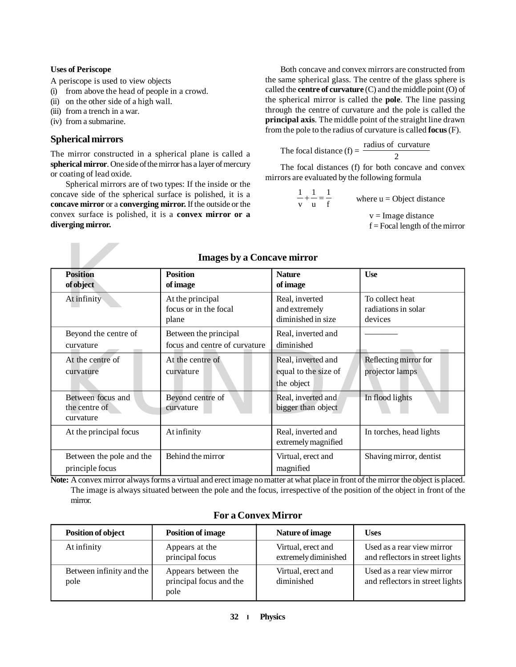#### **Uses of Periscope**

A periscope is used to view objects

- (i) from above the head of people in a crowd.
- (ii) on the other side of a high wall.
- (iii) from a trench in a war.
- (iv) from a submarine.

#### **Spherical mirrors**

The mirror constructed in a spherical plane is called a **spherical mirror**. One side of the mirror has a layer of mercury or coating of lead oxide.

Spherical mirrors are of two types: If the inside or the concave side of the spherical surface is polished, it is a **concave mirror** or a **converging mirror.** If the outside or the convex surface is polished, it is a **convex mirror or a diverging mirror.**

Both concave and convex mirrors are constructed from the same spherical glass. The centre of the glass sphere is called the **centre of curvature** (C) and the middle point (O) of the spherical mirror is called the **pole**. The line passing through the centre of curvature and the pole is called the **principal axis**. The middle point of the straight line drawn from the pole to the radius of curvature is called **focus** (F).

The focal distance  $(f) = \frac{2f(1 - f)}{2}$ radius of curvature

The focal distances (f) for both concave and convex mirrors are evaluated by the following formula

> f 1 u 1 v 1 where  $u = Object distance$  $v = Image$  distance  $f = Focal length of the mirror$

| <b>Images by a Concave mirror</b>               |                                                        |                                                          |                                                   |  |
|-------------------------------------------------|--------------------------------------------------------|----------------------------------------------------------|---------------------------------------------------|--|
| <b>Position</b><br>of object                    | <b>Position</b><br>of image                            | <b>Nature</b><br>of image                                | <b>Use</b>                                        |  |
| At infinity                                     | At the principal<br>focus or in the focal<br>plane     | Real, inverted<br>and extremely<br>diminished in size    | To collect heat<br>radiations in solar<br>devices |  |
| Beyond the centre of<br>curvature               | Between the principal<br>focus and centre of curvature | Real, inverted and<br>diminished                         |                                                   |  |
| At the centre of<br>curvature                   | At the centre of<br>curvature                          | Real, inverted and<br>equal to the size of<br>the object | Reflecting mirror for<br>projector lamps          |  |
| Between focus and<br>the centre of<br>curvature | Beyond centre of<br>curvature                          | Real, inverted and<br>bigger than object                 | In flood lights                                   |  |
| At the principal focus                          | At infinity                                            | Real, inverted and<br>extremely magnified                | In torches, head lights                           |  |
| Between the pole and the<br>principle focus     | Behind the mirror                                      | Virtual, erect and<br>magnified                          | Shaving mirror, dentist                           |  |

**Note:** A convex mirror always forms a virtual and erect image no matter at what place in front of the mirror the object is placed. The image is always situated between the pole and the focus, irrespective of the position of the object in front of the mirror.

| <b>Position of object</b>        | <b>Position of image</b>                               | Nature of image                            | <b>Uses</b>                                                   |
|----------------------------------|--------------------------------------------------------|--------------------------------------------|---------------------------------------------------------------|
| At infinity                      | Appears at the<br>principal focus                      | Virtual, erect and<br>extremely diminished | Used as a rear view mirror<br>and reflectors in street lights |
| Between infinity and the<br>pole | Appears between the<br>principal focus and the<br>pole | Virtual, erect and<br>diminished           | Used as a rear view mirror<br>and reflectors in street lights |

#### **For a Convex Mirror**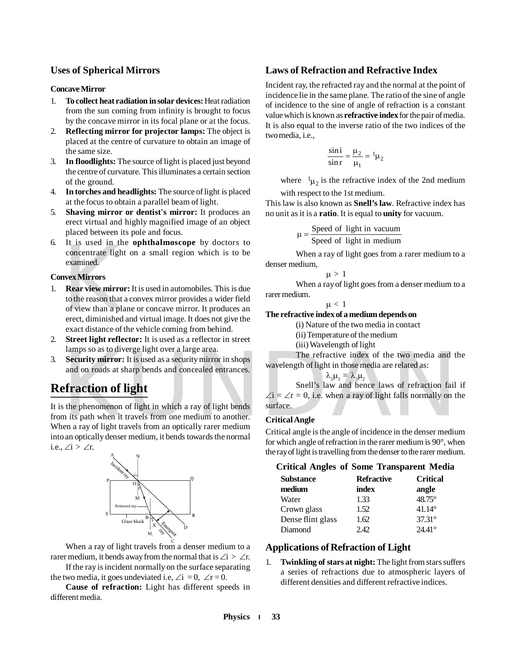#### **Uses of Spherical Mirrors**

#### **Concave Mirror**

- 1. **To collect heat radiation in solar devices:** Heat radiation from the sun coming from infinity is brought to focus by the concave mirror in its focal plane or at the focus.
- 2. **Reflecting mirror for projector lamps:** The object is placed at the centre of curvature to obtain an image of the same size.
- 3. **In floodlights:** The source of light is placed just beyond the centre of curvature. This illuminates a certain section of the ground.
- 4. **In torches and headlights:** The source of light is placed at the focus to obtain a parallel beam of light.
- 5. **Shaving mirror or dentist's mirror:** It produces an erect virtual and highly magnified image of an object placed between its pole and focus.
- 6. It is used in the **ophthalmoscope** by doctors to concentrate light on a small region which is to be examined.

#### **Convex Mirrors**

- It is used in the<br>concentrate light<br>examined.<br>**Nex Mirrors**<br>**Rear view mirror**<br>to the reason that a<br>of view than a pla<br>erect, diminished<br>exact distance of t 1. **Rear view mirror:** It is used in automobiles. This is due to the reason that a convex mirror provides a wider field of view than a plane or concave mirror. It produces an erect, diminished and virtual image. It does not give the exact distance of the vehicle coming from behind.
- 2. **Street light reflector:** It is used as a reflector in street lamps so as to diverge light over a large area.
- 3. **Security mirror:** It is used as a security mirror in shops and on roads at sharp bends and concealed entrances.

## **Refraction of light**

The refractive index of the two media and t<br>
Security mirror: It is used as a security mirror in shops<br>
and on roads at sharp bends and concealed entrances.<br>  $\lambda_1 \mu_1 = \lambda_2 \mu_2$ <br>
Shell's law and hence laws of refraction f It is the phenomenon of light in which a ray of light bends from its path when it travels from one medium to another. When a ray of light travels from an optically rarer medium into an optically denser medium, it bends towards the normal i.e.,  $\angle i > \angle r$ .



When a ray of light travels from a denser medium to a rarer medium, it bends away from the normal that is  $\angle i > \angle r$ .

If the ray is incident normally on the surface separating the two media, it goes undeviated i.e,  $\angle i = 0$ ,  $\angle r = 0$ .

**Cause of refraction:** Light has different speeds in different media.

#### **Laws of Refraction and Refractive Index**

Incident ray, the refracted ray and the normal at the point of incidence lie in the same plane. The ratio of the sine of angle of incidence to the sine of angle of refraction is a constant value which is known as **refractive index** for the pair of media. It is also equal to the inverse ratio of the two indices of the two media, i.e.,

$$
\frac{\sin i}{\sin r} = \frac{\mu_2}{\mu_1} = {}^1\mu_2
$$

where  $\mu_2$  is the refractive index of the 2nd medium with respect to the 1st medium.

This law is also known as **Snell's law**. Refractive index has no unit as it is a **ratio**. It is equal to **unity** for vacuum.

> Speed of light in medium  $\mu = \frac{\text{Speed of light in vacuum}}{\text{6}}$

When a ray of light goes from a rarer medium to a denser medium,

$$
\mu\,>\,
$$

When a ray of light goes from a denser medium to a rarer medium.

 $\mu < 1$ 

**The refractive index of a medium depends on**

> 1

(i) Nature of the two media in contact

(ii) Temperature of the medium

(iii) Wavelength of light

The refractive index of the two media and the wavelength of light in those media are related as:

 $\lambda_1 \mu_1 = \lambda_2 \mu_2$ 

Snell's law and hence laws of refraction fail if  $\angle i = \angle r = 0$ , i.e. when a ray of light falls normally on the surface.

#### **Critical Angle**

Critical angle is the angle of incidence in the denser medium for which angle of refraction in the rarer medium is 90°, when the ray of light is travelling from the denser to the rarer medium.

**Critical Angles of Some Transparent Media**

| <b>Substance</b>  | <b>Refractive</b> | <b>Critical</b> |
|-------------------|-------------------|-----------------|
| medium            | index             | angle           |
| Water             | 1.33              | 48.75°          |
| Crown glass       | 1.52              | $41.14^{\circ}$ |
| Dense flint glass | 1.62              | $37.31^{\circ}$ |
| Diamond           | 2.42              | $24.41^{\circ}$ |

#### **Applications of Refraction of Light**

1. **Twinkling of stars at night:** The light from stars suffers a series of refractions due to atmospheric layers of different densities and different refractive indices.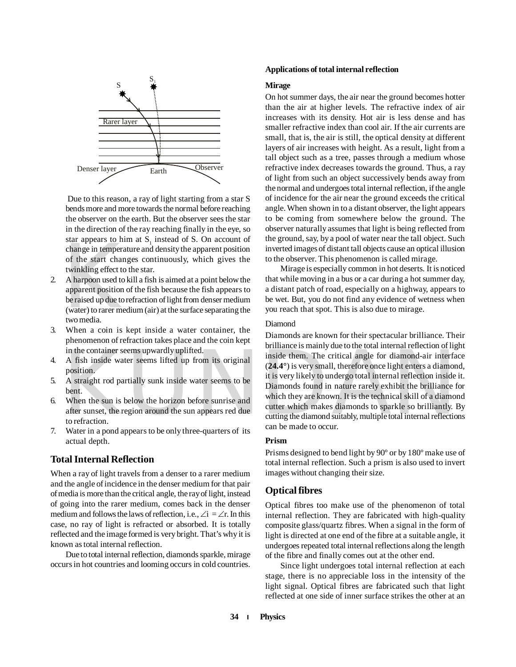

Due to this reason, a ray of light starting from a star S bends more and more towards the normal before reaching the observer on the earth. But the observer sees the star in the direction of the ray reaching finally in the eye, so star appears to him at  $S_1$  instead of S. On account of change in temperature and density the apparent position of the start changes continuously, which gives the twinkling effect to the star.

- star appears to m<br>change in tempera<br>of the start chan<br>twinkling effect to<br>A harpoon used to<br>apparent position<br>be raised up due to<br>(water) to rarer me<br>two media. 2. A harpoon used to kill a fish is aimed at a point below the apparent position of the fish because the fish appears to be raised up due to refraction of light from denser medium (water) to rarer medium (air) at the surface separating the two media.
- 3. When a coin is kept inside a water container, the phenomenon of refraction takes place and the coin kept in the container seems upwardly uplifted.
- 4. A fish inside water seems lifted up from its original position.
- 5. A straight rod partially sunk inside water seems to be bent.
- 6. When the sun is below the horizon before sunrise and after sunset, the region around the sun appears red due to refraction.
- 7. Water in a pond appears to be only three-quarters of its actual depth.

#### **Total Internal Reflection**

When a ray of light travels from a denser to a rarer medium and the angle of incidence in the denser medium for that pair of media is more than the critical angle, the ray of light, instead of going into the rarer medium, comes back in the denser medium and follows the laws of reflection, i.e.,  $\angle i = \angle r$ . In this case, no ray of light is refracted or absorbed. It is totally reflected and the image formed is very bright. That's why it is known as total internal reflection.

Due to total internal reflection, diamonds sparkle, mirage occurs in hot countries and looming occurs in cold countries.

#### **Applications of total internal reflection**

#### **Mirage**

On hot summer days, the air near the ground becomes hotter than the air at higher levels. The refractive index of air increases with its density. Hot air is less dense and has smaller refractive index than cool air. If the air currents are small, that is, the air is still, the optical density at different layers of air increases with height. As a result, light from a tall object such as a tree, passes through a medium whose refractive index decreases towards the ground. Thus, a ray of light from such an object successively bends away from the normal and undergoes total internal reflection, if the angle of incidence for the air near the ground exceeds the critical angle. When shown in to a distant observer, the light appears to be coming from somewhere below the ground. The observer naturally assumes that light is being reflected from the ground, say, by a pool of water near the tall object. Such inverted images of distant tall objects cause an optical illusion to the observer. This phenomenon is called mirage.

Mirage is especially common in hot deserts. It is noticed that while moving in a bus or a car during a hot summer day, a distant patch of road, especially on a highway, appears to be wet. But, you do not find any evidence of wetness when you reach that spot. This is also due to mirage.

#### Diamond

in the container seems upwardly uplifted.<br>
A fish inside water seems lifted up from its original<br>
position.<br>
A straight rod partially sunk inside water seems to be<br>
bent.<br>
Men the sun is below the horizon before sunrise an Diamonds are known for their spectacular brilliance. Their brilliance is mainly due to the total internal reflection of light inside them. The critical angle for diamond-air interface (**24.4°**) is very small, therefore once light enters a diamond, it is very likely to undergo total internal reflection inside it. Diamonds found in nature rarely exhibit the brilliance for which they are known. It is the technical skill of a diamond cutter which makes diamonds to sparkle so brilliantly. By cutting the diamond suitably, multiple total internal reflections can be made to occur.

#### **Prism**

Prisms designed to bend light by 90º or by 180º make use of total internal reflection. Such a prism is also used to invert images without changing their size.

#### **Optical fibres**

Optical fibres too make use of the phenomenon of total internal reflection. They are fabricated with high-quality composite glass/quartz fibres. When a signal in the form of light is directed at one end of the fibre at a suitable angle, it undergoes repeated total internal reflections along the length of the fibre and finally comes out at the other end.

Since light undergoes total internal reflection at each stage, there is no appreciable loss in the intensity of the light signal. Optical fibres are fabricated such that light reflected at one side of inner surface strikes the other at an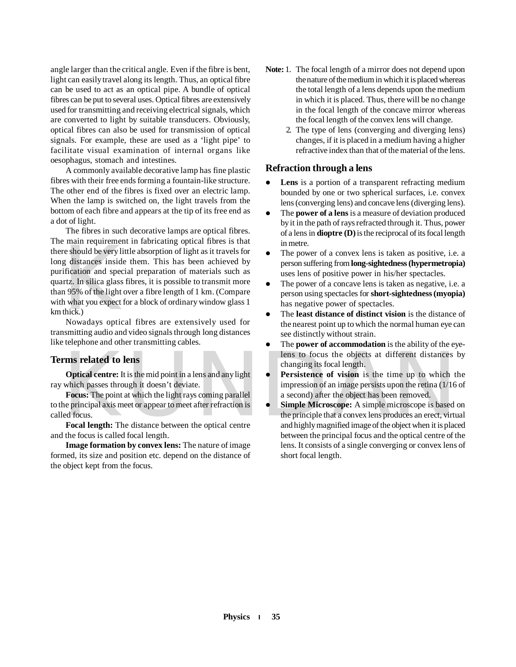angle larger than the critical angle. Even if the fibre is bent, light can easily travel along its length. Thus, an optical fibre can be used to act as an optical pipe. A bundle of optical fibres can be put to several uses. Optical fibres are extensively used for transmitting and receiving electrical signals, which are converted to light by suitable transducers. Obviously, optical fibres can also be used for transmission of optical signals. For example, these are used as a 'light pipe' to facilitate visual examination of internal organs like oesophagus, stomach and intestines.

A commonly available decorative lamp has fine plastic fibres with their free ends forming a fountain-like structure. The other end of the fibres is fixed over an electric lamp. When the lamp is switched on, the light travels from the bottom of each fibre and appears at the tip of its free end as a dot of light.

Finally realist<br>the should be very lit<br>g distances inside<br>ification and specification<br>and specificant period of the light c<br>h what you expect f<br>thick.)<br>Nowadays optic. The fibres in such decorative lamps are optical fibres. The main requirement in fabricating optical fibres is that there should be very little absorption of light as it travels for long distances inside them. This has been achieved by purification and special preparation of materials such as quartz. In silica glass fibres, it is possible to transmit more than 95% of the light over a fibre length of 1 km. (Compare with what you expect for a block of ordinary window glass 1 km thick.)

Nowadays optical fibres are extensively used for transmitting audio and video signals through long distances like telephone and other transmitting cables.

#### **Terms related to lens**

**Optical centre:** It is the mid point in a lens and any light ray which passes through it doesn't deviate.

**Focus:** The point at which the light rays coming parallel to the principal axis meet or appear to meet after refraction is called focus.

**Focal length:** The distance between the optical centre and the focus is called focal length.

**Image formation by convex lens:** The nature of image formed, its size and position etc. depend on the distance of the object kept from the focus.

- **Note:** 1. The focal length of a mirror does not depend upon the nature of the medium in which it is placed whereas the total length of a lens depends upon the medium in which it is placed. Thus, there will be no change in the focal length of the concave mirror whereas the focal length of the convex lens will change.
	- 2. The type of lens (converging and diverging lens) changes, if it is placed in a medium having a higher refractive index than that of the material of the lens.

#### **Refraction through a lens**

- **Lens** is a portion of a transparent refracting medium bounded by one or two spherical surfaces, i.e. convex lens (converging lens) and concave lens (diverging lens).
- The **power of a lens** is a measure of deviation produced by it in the path of rays refracted through it. Thus, power of a lens in **dioptre (D)** is the reciprocal of its focal length in metre.
- The power of a convex lens is taken as positive, i.e. a person suffering from **long-sightedness (hypermetropia)** uses lens of positive power in his/her spectacles.
- The power of a concave lens is taken as negative, i.e. a person using spectacles for **short-sightedness (myopia)** has negative power of spectacles.
- The **least distance of distinct vision** is the distance of the nearest point up to which the normal human eye can see distinctly without strain.
- The **power of accommodation** is the ability of the eyelens to focus the objects at different distances by changing its focal length.
- **Persistence of vision** is the time up to which the impression of an image persists upon the retina (1/16 of a second) after the object has been removed.
- **EXECUTE:** It is the mid point in a lens and any light<br> **Chical centre:** It is the mid point in a lens and any light<br> **CHICAL CENTE:** The point at which the light rays coming parallel<br>
the minimage persists upon the retina **Simple Microscope:** A simple microscope is based on the principle that a convex lens produces an erect, virtual and highly magnified image of the object when it is placed between the principal focus and the optical centre of the lens. It consists of a single converging or convex lens of short focal length.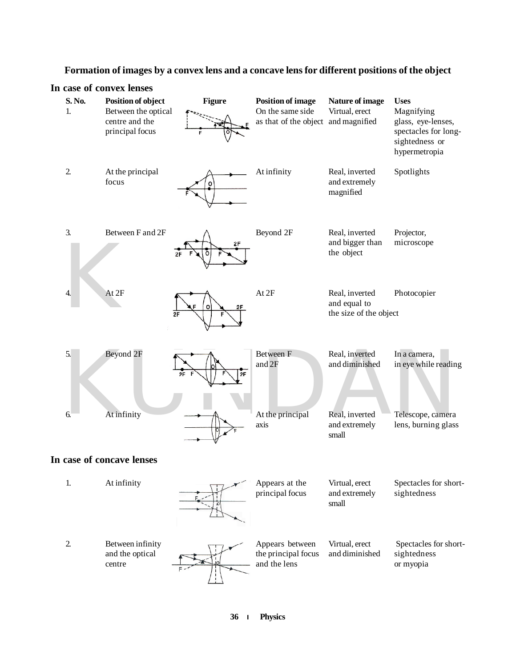## **Formation of images by a convex lens and a concave lens for different positions of the object**

|                | In case of convex lenses                                                       |               |                                                                                     |                                                          |                                                                                                            |
|----------------|--------------------------------------------------------------------------------|---------------|-------------------------------------------------------------------------------------|----------------------------------------------------------|------------------------------------------------------------------------------------------------------------|
| S. No.<br>1.   | Position of object<br>Between the optical<br>centre and the<br>principal focus | <b>Figure</b> | <b>Position of image</b><br>On the same side<br>as that of the object and magnified | Nature of image<br>Virtual, erect                        | <b>Uses</b><br>Magnifying<br>glass, eye-lenses,<br>spectacles for long-<br>sightedness or<br>hypermetropia |
| $\overline{2}$ | At the principal<br>focus                                                      | ٥             | At infinity                                                                         | Real, inverted<br>and extremely<br>magnified             | Spotlights                                                                                                 |
| 3.             | Between F and 2F                                                               | 2F<br>о       | Beyond 2F                                                                           | Real, inverted<br>and bigger than<br>the object          | Projector,<br>microscope                                                                                   |
| 4.             | At 2F                                                                          | 2F<br>2F      | At 2F                                                                               | Real, inverted<br>and equal to<br>the size of the object | Photocopier                                                                                                |
| 5.             | Beyond 2F                                                                      | 2F            | Between F<br>and 2F                                                                 | Real, inverted<br>and diminished                         | In a camera,<br>in eye while reading                                                                       |
| 6.             | At infinity<br>In case of concave lenses                                       |               | At the principal<br>axis                                                            | Real, inverted<br>and extremely<br>small                 | Telescope, camera<br>lens, burning glass                                                                   |
| 1.             | At infinity                                                                    |               | Appears at the                                                                      | Virtual, erect                                           | Spectacles for short-                                                                                      |
|                |                                                                                |               | principal focus                                                                     | and extremely<br>small                                   | sightedness                                                                                                |
| $\overline{2}$ | Between infinity<br>and the optical<br>centre                                  |               | Appears between<br>the principal focus<br>and the lens                              | Virtual, erect<br>and diminished                         | Spectacles for short-<br>sightedness<br>or myopia                                                          |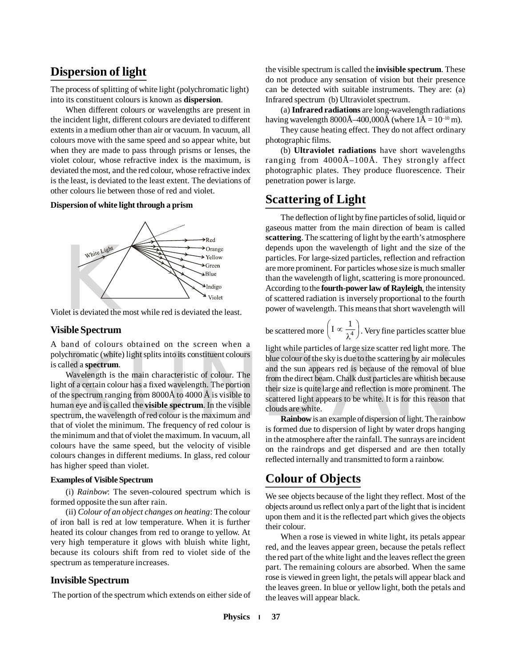## **Dispersion of light**

The process of splitting of white light (polychromatic light) into its constituent colours is known as **dispersion**.

When different colours or wavelengths are present in the incident light, different colours are deviated to different extents in a medium other than air or vacuum. In vacuum, all colours move with the same speed and so appear white, but when they are made to pass through prisms or lenses, the violet colour, whose refractive index is the maximum, is deviated the most, and the red colour, whose refractive index is the least, is deviated to the least extent. The deviations of other colours lie between those of red and violet.

**Dispersion of white light through a prism**



Violet is deviated the most while red is deviated the least.

#### **Visible Spectrum**

A band of colours obtained on the screen when a polychromatic (white) light splits into its constituent colours is called a **spectrum**.

Wavelength is the main characteristic of colour. The light of a certain colour has a fixed wavelength. The portion of the spectrum ranging from 8000Å to 4000 Å is visible to human eye and is called the **visible spectrum**. In the visible spectrum, the wavelength of red colour is the maximum and that of violet the minimum. The frequency of red colour is the minimum and that of violet the maximum. In vacuum, all colours have the same speed, but the velocity of visible colours changes in different mediums. In glass, red colour has higher speed than violet.

#### **Examples of Visible Spectrum**

(i) *Rainbow*: The seven-coloured spectrum which is formed opposite the sun after rain.

(ii) *Colour of an object changes on heating*: The colour of iron ball is red at low temperature. When it is further heated its colour changes from red to orange to yellow. At very high temperature it glows with bluish white light, because its colours shift from red to violet side of the spectrum as temperature increases.

#### **Invisible Spectrum**

The portion of the spectrum which extends on either side of

the visible spectrum is called the **invisible spectrum**. These do not produce any sensation of vision but their presence can be detected with suitable instruments. They are: (a) Infrared spectrum (b) Ultraviolet spectrum.

(a) **Infrared radiations** are long-wavelength radiations having wavelength 8000Å–400,000Å (where  $1\text{\AA} = 10^{-10} \text{ m}$ ).

They cause heating effect. They do not affect ordinary photographic films.

(b) **Ultraviolet radiations** have short wavelengths ranging from 4000Å–100Å. They strongly affect photographic plates. They produce fluorescence. Their penetration power is large.

### **Scattering of Light**

The deflection of light by fine particles of solid, liquid or gaseous matter from the main direction of beam is called **scattering**. The scattering of light by the earth's atmosphere depends upon the wavelength of light and the size of the particles. For large-sized particles, reflection and refraction are more prominent. For particles whose size is much smaller than the wavelength of light, scattering is more pronounced. According to the **fourth-power law of Rayleigh**, the intensity of scattered radiation is inversely proportional to the fourth power of wavelength. This means that short wavelength will

be scattered more 
$$
\left(I \propto \frac{1}{\lambda^4}\right)
$$
. Very fine particles scatter blue

subseted ight appears to be vehicle. The<br>
while particles of large size scatter red fight indice. The<br>
Mavelength is the main characteristic of colour. The<br>
int of a certain colour has a fixed wavelength. The portion<br>
the light while particles of large size scatter red light more. The blue colour of the sky is due to the scattering by air molecules and the sun appears red is because of the removal of blue from the direct beam. Chalk dust particles are whitish because their size is quite large and reflection is more prominent. The scattered light appears to be white. It is for this reason that clouds are white.

**Rainbow** is an example of dispersion of light. The rainbow is formed due to dispersion of light by water drops hanging in the atmosphere after the rainfall. The sunrays are incident on the raindrops and get dispersed and are then totally reflected internally and transmitted to form a rainbow.

### **Colour of Objects**

We see objects because of the light they reflect. Most of the objects around us reflect only a part of the light that is incident upon them and it is the reflected part which gives the objects their colour.

When a rose is viewed in white light, its petals appear red, and the leaves appear green, because the petals reflect the red part of the white light and the leaves reflect the green part. The remaining colours are absorbed. When the same rose is viewed in green light, the petals will appear black and the leaves green. In blue or yellow light, both the petals and the leaves will appear black.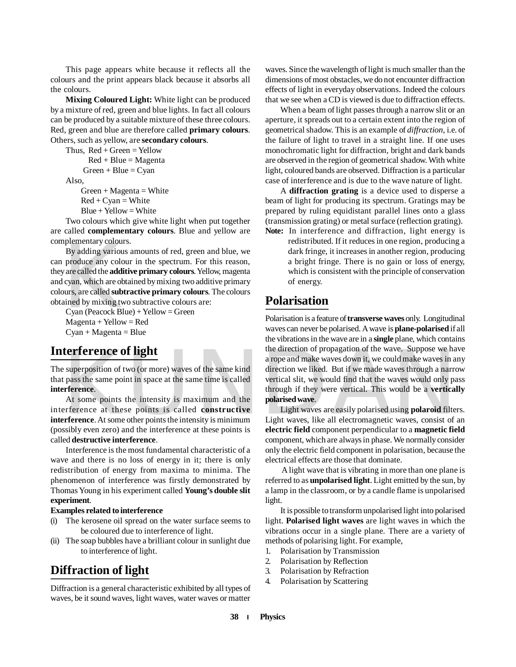This page appears white because it reflects all the colours and the print appears black because it absorbs all the colours.

**Mixing Coloured Light:** White light can be produced by a mixture of red, green and blue lights. In fact all colours can be produced by a suitable mixture of these three colours. Red, green and blue are therefore called **primary colours**. Others, such as yellow, are **secondary colours**.

Thus,  $Red + Green = Yellow$  $Red + Blue = Magnetic$  $Green + Blue = Cyan$ Also,  $Green + Magnetic$ 

> $Red + Cyan = White$  $Blue + Yellow = White$

Two colours which give white light when put together are called **complementary colours**. Blue and yellow are complementary colours.

By adding various<br>By adding various<br>produce any color<br>produce any color<br>produce any color<br>cyan, which are ob<br>purs, are called **subt**<br>Cyan (Peacock Blu<br>Magenta + Yellow By adding various amounts of red, green and blue, we can produce any colour in the spectrum. For this reason, they are called the **additive primary colours**. Yellow, magenta and cyan, which are obtained by mixing two additive primary colours, are called **subtractive primary colours**. The colours obtained by mixing two subtractive colours are:

Cyan (Peacock Blue) + Yellow = Green  $Magenta + Yellow = Red$  $Cyan + Magenta = Blue$ 

## **Interference of light**

The superposition of two (or more) waves of the same kind that pass the same point in space at the same time is called **interference**.

At some points the intensity is maximum and the interference at these points is called **constructive interference**. At some other points the intensity is minimum (possibly even zero) and the interference at these points is called **destructive interference**.

Interference is the most fundamental characteristic of a wave and there is no loss of energy in it; there is only redistribution of energy from maxima to minima. The phenomenon of interference was firstly demonstrated by Thomas Young in his experiment called **Young's double slit experiment**.

#### **Examples related to interference**

- (i) The kerosene oil spread on the water surface seems to be coloured due to interference of light.
- (ii) The soap bubbles have a brilliant colour in sunlight due to interference of light.

## **Diffraction of light**

Diffraction is a general characteristic exhibited by all types of waves, be it sound waves, light waves, water waves or matter

waves. Since the wavelength of light is much smaller than the dimensions of most obstacles, we do not encounter diffraction effects of light in everyday observations. Indeed the colours that we see when a CD is viewed is due to diffraction effects.

When a beam of light passes through a narrow slit or an aperture, it spreads out to a certain extent into the region of geometrical shadow. This is an example of *diffraction,* i.e. of the failure of light to travel in a straight line. If one uses monochromatic light for diffraction, bright and dark bands are observed in the region of geometrical shadow. With white light, coloured bands are observed. Diffraction is a particular case of interference and is due to the wave nature of light.

A **diffraction grating** is a device used to disperse a beam of light for producing its spectrum. Gratings may be prepared by ruling equidistant parallel lines onto a glass (transmission grating) or metal surface (reflection grating). **Note:** In interference and diffraction, light energy is

redistributed. If it reduces in one region, producing a dark fringe, it increases in another region, producing a bright fringe. There is no gain or loss of energy, which is consistent with the principle of conservation of energy.

## **Polarisation**

**Example 18 The Suppose we have the same superposition of two (or more) waves of the same kind<br>a rope and make waves down it, we could make waves in a<br>direction we liked. But if we made waves through a narro<br>particular pas** Polarisation is a feature of **transverse waves** only. Longitudinal waves can never be polarised. A wave is **plane-polarised** if all the vibrations in the wave are in a **single** plane, which contains the direction of propagation of the wave. Suppose we have a rope and make waves down it, we could make waves in any direction we liked. But if we made waves through a narrow vertical slit, we would find that the waves would only pass through if they were vertical. This would be a **vertically polarised wave**.

Light waves are easily polarised using **polaroid** filters. Light waves, like all electromagnetic waves, consist of an **electric field** component perpendicular to a **magnetic field** component, which are always in phase. We normally consider only the electric field component in polarisation, because the electrical effects are those that dominate.

 A light wave that is vibrating in more than one plane is referred to as **unpolarised light**. Light emitted by the sun, by a lamp in the classroom, or by a candle flame is unpolarised light.

It is possible to transform unpolarised light into polarised light. **Polarised light waves** are light waves in which the vibrations occur in a single plane. There are a variety of methods of polarising light. For example,

- 1. Polarisation by Transmission
- 2. Polarisation by Reflection
- 3. Polarisation by Refraction
- 4. Polarisation by Scattering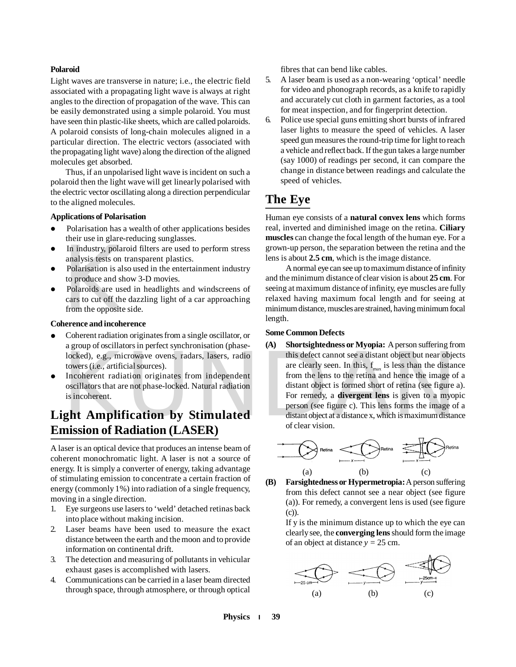#### **Polaroid**

Light waves are transverse in nature; i.e., the electric field associated with a propagating light wave is always at right angles to the direction of propagation of the wave. This can be easily demonstrated using a simple polaroid. You must have seen thin plastic-like sheets, which are called polaroids. A polaroid consists of long-chain molecules aligned in a particular direction. The electric vectors (associated with the propagating light wave) along the direction of the aligned molecules get absorbed.

Thus, if an unpolarised light wave is incident on such a polaroid then the light wave will get linearly polarised with the electric vector oscillating along a direction perpendicular to the aligned molecules.

#### **Applications of Polarisation**

- Polarisation has a wealth of other applications besides their use in glare-reducing sunglasses.
- In industry, polaroid filters are used to perform stress analysis tests on transparent plastics.
- Polarisation is also used in the entertainment industry to produce and show 3-D movies.
- In industry, polar analysis tests on the Polarisation is also to produce and sh<br>Polarisation is also to produce and sh<br>Polaroids are use cars to cut off the<br>from the opposite<br>**nerence and incohe**  Polaroids are used in headlights and windscreens of cars to cut off the dazzling light of a car approaching from the opposite side.

#### **Coherence and incoherence**

- Coherent radiation originates from a single oscillator, or a group of oscillators in perfect synchronisation (phaselocked), e.g., microwave ovens, radars, lasers, radio towers (i.e., artificial sources).
- Incoherent radiation originates from independent oscillators that are not phase-locked. Natural radiation is incoherent.

## **Light Amplification by Stimulated Emission of Radiation (LASER)**

A laser is an optical device that produces an intense beam of coherent monochromatic light. A laser is not a source of energy. It is simply a converter of energy, taking advantage of stimulating emission to concentrate a certain fraction of energy (commonly 1%) into radiation of a single frequency, moving in a single direction.

- 1. Eye surgeons use lasers to 'weld' detached retinas back into place without making incision.
- 2. Laser beams have been used to measure the exact distance between the earth and the moon and to provide information on continental drift.
- 3. The detection and measuring of pollutants in vehicular exhaust gases is accomplished with lasers.
- 4. Communications can be carried in a laser beam directed through space, through atmosphere, or through optical

fibres that can bend like cables.

- 5. A laser beam is used as a non-wearing 'optical' needle for video and phonograph records, as a knife to rapidly and accurately cut cloth in garment factories, as a tool for meat inspection, and for fingerprint detection.
- 6. Police use special guns emitting short bursts of infrared laser lights to measure the speed of vehicles. A laser speed gun measures the round-trip time for light to reach a vehicle and reflect back. If the gun takes a large number (say 1000) of readings per second, it can compare the change in distance between readings and calculate the speed of vehicles.

## **The Eye**

Human eye consists of a **natural convex lens** which forms real, inverted and diminished image on the retina. **Ciliary muscles** can change the focal length of the human eye. For a grown-up person, the separation between the retina and the lens is about **2.5 cm**, which is the image distance.

A normal eye can see up to maximum distance of infinity and the minimum distance of clear vision is about **25 cm**. For seeing at maximum distance of infinity, eye muscles are fully relaxed having maximum focal length and for seeing at minimum distance, muscles are strained, having minimum focal length.

#### **Some Common Defects**

For end this defect cannot see a distant object but near object<br>towers (i.e., artificial sources).<br>Incoherent radiation originates from independent<br>oscillators that are not phase-locked. Natural radiation<br>is incoherent.<br>In **(A) Shortsightedness or Myopia:** A person suffering from this defect cannot see a distant object but near objects are clearly seen. In this,  $f_{\text{max}}$  is less than the distance from the lens to the retina and hence the image of a distant object is formed short of retina (see figure a). For remedy, a **divergent lens** is given to a myopic person (see figure c). This lens forms the image of a distant object at a distance x, which is maximum distance of clear vision.



**(B) Farsightedness or Hypermetropia:** A person suffering from this defect cannot see a near object (see figure (a)). For remedy, a convergent lens is used (see figure (c)).

If y is the minimum distance up to which the eye can clearly see, the **converging lens** should form the image of an object at distance *y =* 25 cm.



**Physics 39**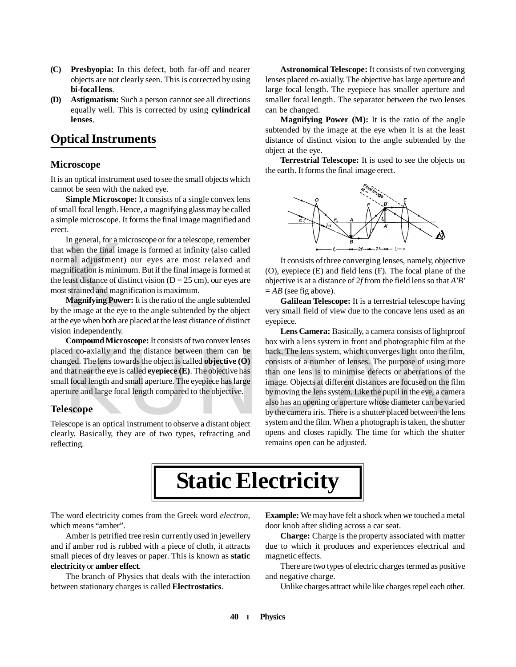- **(C) Presbyopia:** In this defect, both far-off and nearer objects are not clearly seen. This is corrected by using **bi-focal lens**.
- **(D) Astigmatism:** Such a person cannot see all directions equally well. This is corrected by using **cylindrical lenses**.

## **Optical Instruments**

#### **Microscope**

It is an optical instrument used to see the small objects which cannot be seen with the naked eye.

**Simple Microscope:** It consists of a single convex lens of small focal length. Hence, a magnifying glass may be called a simple microscope. It forms the final image magnified and erect.

In general, for a film<br>t when the final im<br>mal adjustment)<br>gnification is minim<br>least distance of dist<br>st strained and magn<br>**Magnifying Powe**<br>the image at the eyes In general, for a microscope or for a telescope, remember that when the final image is formed at infinity (also called normal adjustment) our eyes are most relaxed and magnification is minimum. But if the final image is formed at the least distance of distinct vision  $(D = 25$  cm), our eyes are most strained and magnification is maximum.

**Magnifying Power:** It is the ratio of the angle subtended by the image at the eye to the angle subtended by the object at the eye when both are placed at the least distance of distinct vision independently.

**Compound Microscope:** It consists of two convex lenses placed co-axially and the distance between them can be changed. The lens towards the object is called **objective (O)** and that near the eye is called **eyepiece (E)**. The objective has small focal length and small aperture. The eyepiece has large aperture and large focal length compared to the objective.

#### **Telescope**

Telescope is an optical instrument to observe a distant object clearly. Basically, they are of two types, refracting and reflecting.

**Astronomical Telescope:** It consists of two converging lenses placed co-axially. The objective has large aperture and large focal length. The eyepiece has smaller aperture and smaller focal length. The separator between the two lenses can be changed.

**Magnifying Power (M):** It is the ratio of the angle subtended by the image at the eye when it is at the least distance of distinct vision to the angle subtended by the object at the eye.

**Terrestrial Telescope:** It is used to see the objects on the earth. It forms the final image erect.



It consists of three converging lenses, namely, objective (O), eyepiece (E) and field lens (F)*.* The focal plane of the objective is at a distance of 2*f* from the field lens so that *A'B'*  $= AB$  (see fig above).

**Galilean Telescope:** It is a terrestrial telescope having very small field of view due to the concave lens used as an eyepiece.

ced co-axially and the distance between them can be<br>
a back. The lens system, which converges light onto the fil-<br>
nged. The lens towards the object is called **objective (O)**<br>
that near the eye is called **eyepiece (E)**. Th **Lens Camera:** Basically, a camera consists of lightproof box with a lens system in front and photographic film at the back. The lens system, which converges light onto the film, consists of a number of lenses. The purpose of using more than one lens is to minimise defects or aberrations of the image. Objects at different distances are focused on the film by moving the lens system. Like the pupil in the eye, a camera also has an opening or aperture whose diameter can be varied by the camera iris. There is a shutter placed between the lens system and the film. When a photograph is taken, the shutter opens and closes rapidly. The time for which the shutter remains open can be adjusted.

## **Static Electricity**

The word electricity comes from the Greek word *electron*, which means "amber".

Amber is petrified tree resin currently used in jewellery and if amber rod is rubbed with a piece of cloth, it attracts small pieces of dry leaves or paper. This is known as **static electricity** or **amber effect**.

The branch of Physics that deals with the interaction between stationary charges is called **Electrostatics**.

**Example:** We may have felt a shock when we touched a metal door knob after sliding across a car seat.

**Charge:** Charge is the property associated with matter due to which it produces and experiences electrical and magnetic effects.

There are two types of electric charges termed as positive and negative charge.

Unlike charges attract while like charges repel each other.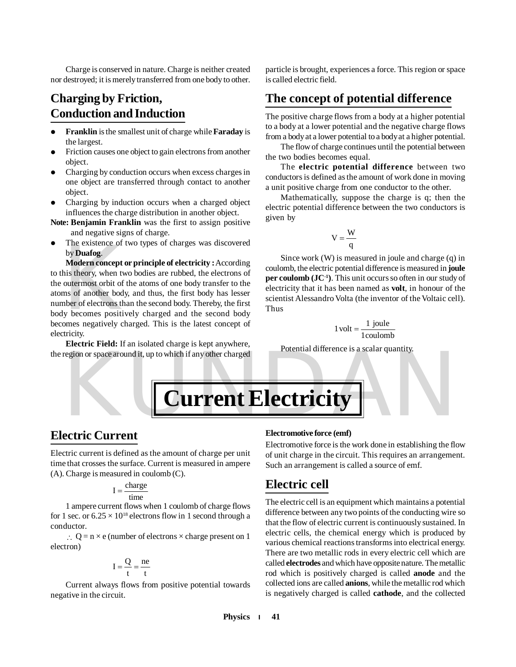Charge is conserved in nature. Charge is neither created nor destroyed; it is merely transferred from one body to other.

## **Charging by Friction, Conduction and Induction**

- **Franklin** is the smallest unit of charge while **Faraday** is the largest.
- Friction causes one object to gain electrons from another object.
- Charging by conduction occurs when excess charges in one object are transferred through contact to another object.
- Charging by induction occurs when a charged object influences the charge distribution in another object.
- **Note: Benjamin Franklin** was the first to assign positive and negative signs of charge.
- The existence of two types of charges was discovered by **Duafog**.

The existence of<br>by **Duafog.**<br>Modern concept of<br>his theory, when two<br>outermost orbit of<br>ms of another body<br>her of electrons the<br>by becomes positive<br>omes negatively cl **Modern concept or principle of electricity :** According to this theory, when two bodies are rubbed, the electrons of the outermost orbit of the atoms of one body transfer to the atoms of another body, and thus, the first body has lesser number of electrons than the second body. Thereby, the first body becomes positively charged and the second body becomes negatively charged. This is the latest concept of electricity.

**Electric Field:** If an isolated charge is kept anywhere, the region or space around it, up to which if any other charged particle is brought, experiences a force. This region or space is called electric field.

## **The concept of potential difference**

The positive charge flows from a body at a higher potential to a body at a lower potential and the negative charge flows from a body at a lower potential to a body at a higher potential.

The flow of charge continues until the potential between the two bodies becomes equal.

The **electric potential difference** between two conductors is defined as the amount of work done in moving a unit positive charge from one conductor to the other.

Mathematically, suppose the charge is q; then the electric potential difference between the two conductors is given by

$$
V = \frac{W}{q}
$$

Since work (W) is measured in joule and charge (q) in coulomb, the electric potential difference is measured in **joule per coulomb (JC-1)**. This unit occurs so often in our study of electricity that it has been named as **volt**, in honour of the scientist Alessandro Volta (the inventor of the Voltaic cell). Thus

$$
1\,\text{volt} = \frac{1\,\text{joule}}{1\,\text{coulomb}}
$$

Potential difference is a scalar quantity.



### **Electric Current**

Electric current is defined as the amount of charge per unit time that crosses the surface. Current is measured in ampere (A). Charge is measured in coulomb (C).

$$
I = \frac{charge}{time}
$$

1 ampere current flows when 1 coulomb of charge flows for 1 sec. or  $6.25 \times 10^{18}$  electrons flow in 1 second through a conductor.

 $\therefore$  Q = n × e (number of electrons × charge present on 1 electron)

$$
I = \frac{Q}{t} = \frac{ne}{t}
$$

Current always flows from positive potential towards negative in the circuit.

#### **Electromotive force (emf)**

Electromotive force is the work done in establishing the flow of unit charge in the circuit. This requires an arrangement. Such an arrangement is called a source of emf.

## **Electric cell**

The electric cell is an equipment which maintains a potential difference between any two points of the conducting wire so that the flow of electric current is continuously sustained. In electric cells, the chemical energy which is produced by various chemical reactions transforms into electrical energy. There are two metallic rods in every electric cell which are called **electrodes** and which have opposite nature. The metallic rod which is positively charged is called **anode** and the collected ions are called **anions**, while the metallic rod which is negatively charged is called **cathode**, and the collected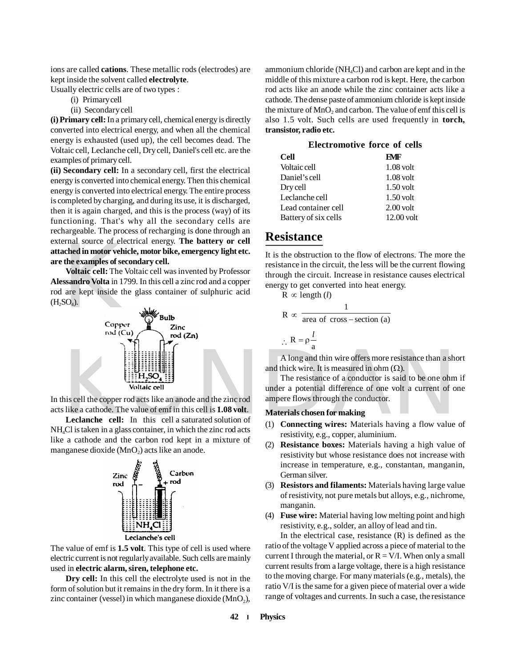ions are called **cations**. These metallic rods (electrodes) are kept inside the solvent called **electrolyte**.

Usually electric cells are of two types :

- (i) Primary cell
- (ii) Secondary cell

**(i) Primary cell:** In a primary cell, chemical energy is directly converted into electrical energy, and when all the chemical energy is exhausted (used up), the cell becomes dead. The Voltaic cell, Leclanche cell, Dry cell, Daniel's cell etc. are the examples of primary cell.

**(ii) Secondary cell:** In a secondary cell, first the electrical energy is converted into chemical energy. Then this chemical energy is converted into electrical energy. The entire process is completed by charging, and during its use, it is discharged, then it is again charged, and this is the process (way) of its functioning. That's why all the secondary cells are rechargeable. The process of recharging is done through an external source of electrical energy. **The battery or cell attached in motor vehicle, motor bike, emergency light etc. are the examples of secondary cell.**

Final source of electric<br>
in motor vehible examples of see<br>
Voltaic cell: The<br>
ssandro Volta in 17<br>
are kept inside th<br>
SO<sub>4</sub>).<br>
Coppe **Voltaic cell:** The Voltaic cell was invented by Professor **Alessandro Volta** in 1799. In this cell a zinc rod and a copper rod are kept inside the glass container of sulphuric acid  $(H_2SO_4).$ 



In this cell the copper rod acts like an anode and the zinc rod acts like a cathode. The value of emf in this cell is **1.08 volt**.

**Leclanche cell:** In this cell a saturated solution of NH4Cl is taken in a glass container, in which the zinc rod acts like a cathode and the carbon rod kept in a mixture of manganese dioxide  $(MnO<sub>2</sub>)$  acts like an anode.



The value of emf is **1.5 volt**. This type of cell is used where electric current is not regularly available. Such cells are mainly used in **electric alarm, siren, telephone etc.**

**Dry cell:** In this cell the electrolyte used is not in the form of solution but it remains in the dry form. In it there is a zinc container (vessel) in which manganese dioxide  $(MnO<sub>2</sub>)$ , ammonium chloride ( $NH<sub>4</sub>Cl$ ) and carbon are kept and in the middle of this mixture a carbon rod is kept. Here, the carbon rod acts like an anode while the zinc container acts like a cathode. The dense paste of ammonium chloride is kept inside the mixture of  $\text{MnO}_2$  and carbon. The value of emf this cell is also 1.5 volt. Such cells are used frequently in **torch, transistor, radio etc.**

| <b>Electromotive force of cells</b> |              |
|-------------------------------------|--------------|
| Cell                                | EMF          |
| Voltaic cell                        | $1.08$ volt  |
| Daniel's cell                       | $1.08$ volt  |
| Dry cell                            | $1.50$ volt  |
| Leclanche cell                      | $1.50$ volt  |
| Lead container cell                 | $2.00$ volt  |
| Battery of six cells                | $12.00$ volt |
|                                     |              |

### **Resistance**

It is the obstruction to the flow of electrons. The more the resistance in the circuit, the less will be the current flowing through the circuit. Increase in resistance causes electrical energy to get converted into heat energy.

 $R \propto$  length (*l*)

$$
R \propto \frac{1}{\text{area of cross-section (a)}}
$$
  
 
$$
\therefore R = \rho \frac{l}{a}
$$

A long and thin wire offers more resistance than a short and thick wire. It is measured in ohm  $(\Omega)$ .

The resistance of a conductor is said to be one ohm if under a potential difference of one volt a current of one ampere flows through the conductor.

#### **Materials chosen for making**

- (1) **Connecting wires:** Materials having a flow value of resistivity, e.g., copper, aluminium.
- (2) **Resistance boxes:** Materials having a high value of resistivity but whose resistance does not increase with increase in temperature, e.g., constantan, manganin, German silver.
- (3) **Resistors and filaments:** Materials having large value of resistivity, not pure metals but alloys, e.g., nichrome, manganin.
- (4) **Fuse wire:** Material having low melting point and high resistivity, e.g., solder, an alloy of lead and tin.

In the electrical case, resistance  $(R)$  is defined as the ratio of the voltage V applied across a piece of material to the current I through the material, or  $R = V/I$ . When only a small current results from a large voltage, there is a high resistance to the moving charge. For many materials (e.g., metals), the ratio V/I is the same for a given piece of material over a wide range of voltages and currents. In such a case, the resistance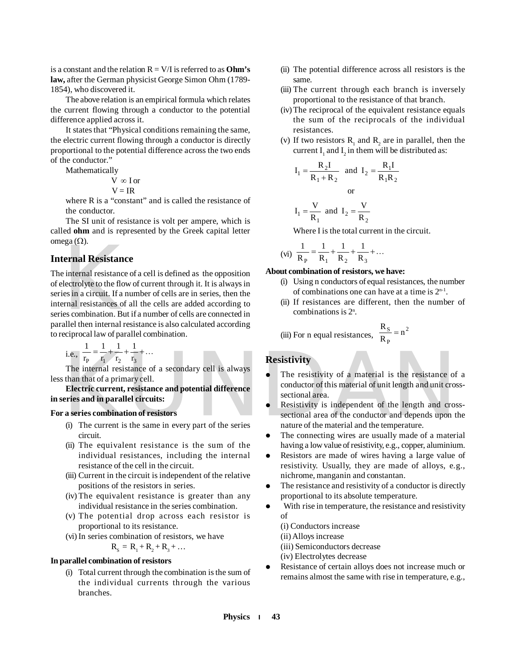is a constant and the relation  $R = V/I$  is referred to as **Ohm's law,** after the German physicist George Simon Ohm (1789- 1854), who discovered it.

The above relation is an empirical formula which relates the current flowing through a conductor to the potential difference applied across it.

It states that "Physical conditions remaining the same, the electric current flowing through a conductor is directly proportional to the potential difference across the two ends of the conductor."

Mathematically

$$
V \propto I \text{ or } V = IR
$$

where R is a "constant" and is called the resistance of the conductor.

The SI unit of resistance is volt per ampere, which is called **ohm** and is represented by the Greek capital letter omega $(\Omega)$ .

#### **Internal Resistance**

Example 2.1.<br>
Example 2.1.<br>
Example 2.1.<br>
Example 2.1.<br>
Example 2.1.<br>
Example 2.1.<br>
Example 2.1.<br>
Example 2.1.<br>
Example 2.1.<br>
Example 2.1.<br>
Example 2.1.<br>
Example 2.1.<br>
Example 2.1.<br>
Example 2.1.<br>
Example 2.1.<br>
Example 2.1 The internal resistance of a cell is defined as the opposition of electrolyte to the flow of current through it. It is always in series in a circuit. If a number of cells are in series, then the internal resistances of all the cells are added according to series combination. But if a number of cells are connected in parallel then internal resistance is also calculated according to reciprocal law of parallel combination.

i.e., 
$$
\frac{1}{r_p} = \frac{1}{r_1} + \frac{1}{r_2} + \frac{1}{r_3} + \dots
$$

The internal resistance of a secondary cell is always less than that of a primary cell.

**Electric current, resistance and potential difference in series and in parallel circuits:**

#### **For a series combination of resistors**

- (i) The current is the same in every part of the series circuit.
- (ii) The equivalent resistance is the sum of the individual resistances, including the internal resistance of the cell in the circuit.
- (iii) Current in the circuit is independent of the relative positions of the resistors in series.
- (iv) The equivalent resistance is greater than any individual resistance in the series combination.
- (v) The potential drop across each resistor is proportional to its resistance.
- (vi)In series combination of resistors, we have

$$
\mathbf{R}_{\mathrm{s}} = \mathbf{R}_{1} + \mathbf{R}_{2} + \mathbf{R}_{3} + \dots
$$

#### **In parallel combination of resistors**

(i) Total current through the combination is the sum of the individual currents through the various branches.

- (ii) The potential difference across all resistors is the same.
- (iii) The current through each branch is inversely proportional to the resistance of that branch.
- (iv)The reciprocal of the equivalent resistance equals the sum of the reciprocals of the individual resistances.
- (v) If two resistors  $R_1$  and  $R_2$  are in parallel, then the current  $I_1$  and  $I_2$  in them will be distributed as:

$$
I_1 = \frac{R_2 I}{R_1 + R_2} \text{ and } I_2 = \frac{R_1 I}{R_1 R_2}
$$
  
or  

$$
I_1 = \frac{V}{R_1} \text{ and } I_2 = \frac{V}{R_2}
$$

Where I is the total current in the circuit.

(vi) 
$$
\frac{1}{R_P} = \frac{1}{R_1} + \frac{1}{R_2} + \frac{1}{R_3} + \dots
$$

#### **About combination of resistors, we have:**

- (i) Using n conductors of equal resistances, the number of combinations one can have at a time is  $2<sup>n-1</sup>$ .
- (ii) If resistances are different, then the number of combinations is 2<sup>n</sup> .

(iii) For n equal resistances, 
$$
\frac{R_S}{R_P} = n^2
$$

#### **Resistivity**

- The resistivity of a material is the resistance of a conductor of this material of unit length and unit crosssectional area.
- i.e.,  $\frac{1}{r_p} = \frac{1}{r_1} + \frac{1}{r_2} + ...$ <br>
The internal resistance of a secondary cell is always<br>
than that of a primary cell.<br>
Electric current, resistance and potential difference<br>
eries and in parallel circuits:<br>
a series Resistivity is independent of the length and crosssectional area of the conductor and depends upon the nature of the material and the temperature.
	- The connecting wires are usually made of a material having a low value of resistivity, e.g., copper, aluminium.
	- Resistors are made of wires having a large value of resistivity. Usually, they are made of alloys, e.g., nichrome, manganin and constantan.
	- The resistance and resistivity of a conductor is directly proportional to its absolute temperature.
	- With rise in temperature, the resistance and resistivity of
		- (i) Conductors increase
		- (ii) Alloys increase
		- (iii) Semiconductors decrease
		- (iv) Electrolytes decrease
	- Resistance of certain alloys does not increase much or remains almost the same with rise in temperature, e.g.,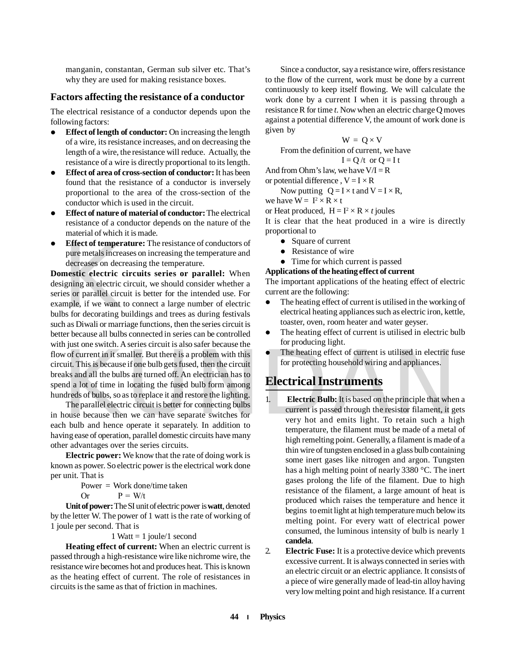manganin, constantan, German sub silver etc. That's why they are used for making resistance boxes.

#### **Factors affecting the resistance of a conductor**

The electrical resistance of a conductor depends upon the following factors:

- **Effect of length of conductor:** On increasing the length of a wire, its resistance increases, and on decreasing the length of a wire, the resistance will reduce. Actually, the resistance of a wire is directly proportional to its length.
- **Effect of area of cross-section of conductor:** It has been found that the resistance of a conductor is inversely proportional to the area of the cross-section of the conductor which is used in the circuit.
- **Effect of nature of material of conductor:** The electrical resistance of a conductor depends on the nature of the material of which it is made.
- **Effect of temperature:** The resistance of conductors of pure metals increases on increasing the temperature and decreases on decreasing the temperature.

**Effect of tempera**<br>pure metals increa<br>decreases on decre<br>mestic electric c<br>igning an electric c<br>es or parallel circu<br>mple, if we want t<br>bs for decorating b<br>h as Diwali or marri Worder the interval and the bulb gets fused, then the circuit<br>
worder the interval and all the bulb gets fused, then the circuit<br>
axis and all the bulbs are turned off. An electrician has to<br>
da lot of time in locating the **Domestic electric circuits series or parallel:** When designing an electric circuit, we should consider whether a series or parallel circuit is better for the intended use. For example, if we want to connect a large number of electric bulbs for decorating buildings and trees as during festivals such as Diwali or marriage functions, then the series circuit is better because all bulbs connected in series can be controlled with just one switch. A series circuit is also safer because the flow of current in it smaller. But there is a problem with this circuit. This is because if one bulb gets fused, then the circuit breaks and all the bulbs are turned off. An electrician has to spend a lot of time in locating the fused bulb form among hundreds of bulbs, so as to replace it and restore the lighting.

The parallel electric circuit is better for connecting bulbs in house because then we can have separate switches for each bulb and hence operate it separately. In addition to having ease of operation, parallel domestic circuits have many other advantages over the series circuits.

**Electric power:** We know that the rate of doing work is known as power. So electric power is the electrical work done per unit. That is

> Power = Work done/time taken Or  $P = W/t$

**Unit of power:** The SI unit of electric power is **watt**, denoted by the letter W. The power of 1 watt is the rate of working of 1 joule per second. That is

1 Watt  $= 1$  joule/1 second

**Heating effect of current:** When an electric current is passed through a high-resistance wire like nichrome wire, the resistance wire becomes hot and produces heat. This is known as the heating effect of current. The role of resistances in circuits is the same as that of friction in machines.

Since a conductor, say a resistance wire, offers resistance to the flow of the current, work must be done by a current continuously to keep itself flowing. We will calculate the work done by a current I when it is passing through a resistance R for time *t*. Now when an electric charge Q moves against a potential difference V, the amount of work done is given by

 $W = Q \times V$ 

From the definition of current, we have

 $I = Q/t$  or  $Q = I t$ And from Ohm's law, we have  $V/I = R$ 

or potential difference,  $V = I \times R$ 

Now putting  $Q = I \times t$  and  $V = I \times R$ ,

we have  $W = I^2 \times R \times t$ 

or Heat produced,  $H = I^2 \times R \times t$  joules

It is clear that the heat produced in a wire is directly proportional to

- Square of current
- Resistance of wire
- Time for which current is passed

#### **Applications of the heating effect of current**

The important applications of the heating effect of electric current are the following:

- The heating effect of current is utilised in the working of electrical heating appliances such as electric iron, kettle, toaster, oven, room heater and water geyser.
- The heating effect of current is utilised in electric bulb for producing light.
- The heating effect of current is utilised in electric fuse for protecting household wiring and appliances.

## **Electrical Instruments**

- 1. **Electric Bulb:** It is based on the principle that when a current is passed through the resistor filament, it gets very hot and emits light. To retain such a high temperature, the filament must be made of a metal of high remelting point. Generally, a filament is made of a thin wire of tungsten enclosed in a glass bulb containing some inert gases like nitrogen and argon. Tungsten has a high melting point of nearly 3380 °C. The inert gases prolong the life of the filament. Due to high resistance of the filament, a large amount of heat is produced which raises the temperature and hence it begins to emit light at high temperature much below its melting point. For every watt of electrical power consumed, the luminous intensity of bulb is nearly 1 **candela**.
- 2. **Electric Fuse:** It is a protective device which prevents excessive current. It is always connected in series with an electric circuit or an electric appliance. It consists of a piece of wire generally made of lead-tin alloy having very low melting point and high resistance. If a current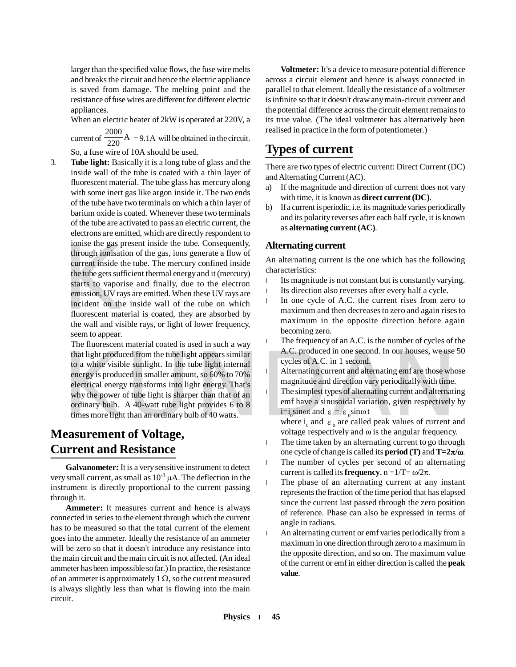larger than the specified value flows, the fuse wire melts and breaks the circuit and hence the electric appliance is saved from damage. The melting point and the resistance of fuse wires are different for different electric appliances.

When an electric heater of 2kW is operated at 220V, a

current of  $\frac{2000}{220}$  A  $\frac{2000}{220}$  A = 9.1A will be obtained in the circuit.

So, a fuse wire of 10A should be used.

ionise the gas protonisation<br>through ionisation<br>the tube gets suff<br>tratts to vaporion<br>emission, UV ray<br>incident on the<br>fluorescent mate<br>the wall and vision 3. **Tube light:** Basically it is a long tube of glass and the inside wall of the tube is coated with a thin layer of fluorescent material. The tube glass has mercury along with some inert gas like argon inside it. The two ends of the tube have two terminals on which a thin layer of barium oxide is coated. Whenever these two terminals of the tube are activated to pass an electric current, the electrons are emitted, which are directly respondent to ionise the gas present inside the tube. Consequently, through ionisation of the gas, ions generate a flow of current inside the tube. The mercury confined inside the tube gets sufficient thermal energy and it (mercury) starts to vaporise and finally, due to the electron emission, UV rays are emitted. When these UV rays are incident on the inside wall of the tube on which fluorescent material is coated, they are absorbed by the wall and visible rays, or light of lower frequency, seem to appear.

that light produced from the tube light appears similar<br>to a white visible sunlight. In the tube light internal<br>energy is produced in smaller amount, so 60% to 70%<br>electrical energy transforms into light energy. That's<br>wh The fluorescent material coated is used in such a way that light produced from the tube light appears similar to a white visible sunlight. In the tube light internal energy is produced in smaller amount, so 60% to 70% electrical energy transforms into light energy. That's why the power of tube light is sharper than that of an ordinary bulb. A 40-watt tube light provides 6 to 8 times more light than an ordinary bulb of 40 watts.

## **Measurement of Voltage, Current and Resistance**

**Galvanometer:** It is a very sensitive instrument to detect very small current, as small as  $10^{-3} \mu A$ . The deflection in the instrument is directly proportional to the current passing through it.

**Ammeter:** It measures current and hence is always connected in series to the element through which the current has to be measured so that the total current of the element goes into the ammeter. Ideally the resistance of an ammeter will be zero so that it doesn't introduce any resistance into the main circuit and the main circuit is not affected. (An ideal ammeter has been impossible so far.) In practice, the resistance of an ammeter is approximately 1  $\Omega$ , so the current measured is always slightly less than what is flowing into the main circuit.

**Voltmeter:** It's a device to measure potential difference across a circuit element and hence is always connected in parallel to that element. Ideally the resistance of a voltmeter is infinite so that it doesn't draw any main-circuit current and the potential difference across the circuit element remains to its true value. (The ideal voltmeter has alternatively been realised in practice in the form of potentiometer.)

## **Types of current**

There are two types of electric current: Direct Current (DC) and Alternating Current (AC).

- a) If the magnitude and direction of current does not vary with time, it is known as **direct current (DC)**.
- b) If a current is periodic, i.e. its magnitude varies periodically and its polarity reverses after each half cycle, it is known as **alternating current (AC)**.

#### **Alternating current**

An alternating current is the one which has the following characteristics:

- Its magnitude is not constant but is constantly varying.
- Its direction also reverses after every half a cycle.
- **●** In one cycle of A.C. the current rises from zero to maximum and then decreases to zero and again rises to maximum in the opposite direction before again becoming zero.
- **●** The frequency of an A.C. is the number of cycles of the A.C. produced in one second. In our houses, we use 50 cycles of A.C. in 1 second.
- **●** Alternating current and alternating emf are those whose magnitude and direction vary periodically with time.
- **●** The simplest types of alternating current and alternating emf have a sinusoidal variation, given respectively by  $i = i_0$ sin $\omega t$  and  $\varepsilon = \varepsilon_0$ sin $\omega t$

where  $i_0$  and  $\epsilon_0$  are called peak values of current and voltage respectively and  $\omega$  is the angular frequency.

- The time taken by an alternating current to go through one cycle of change is called its **period** (T) and  $T=2\pi/\omega$ .
- The number of cycles per second of an alternating current is called its **frequency**,  $n = 1/T = \omega/2\pi$ .
- The phase of an alternating current at any instant represents the fraction of the time period that has elapsed since the current last passed through the zero position of reference. Phase can also be expressed in terms of angle in radians.
- **●** An alternating current or emf varies periodically from a maximum in one direction through zero to a maximum in the opposite direction, and so on. The maximum value of the current or emf in either direction is called the **peak value**.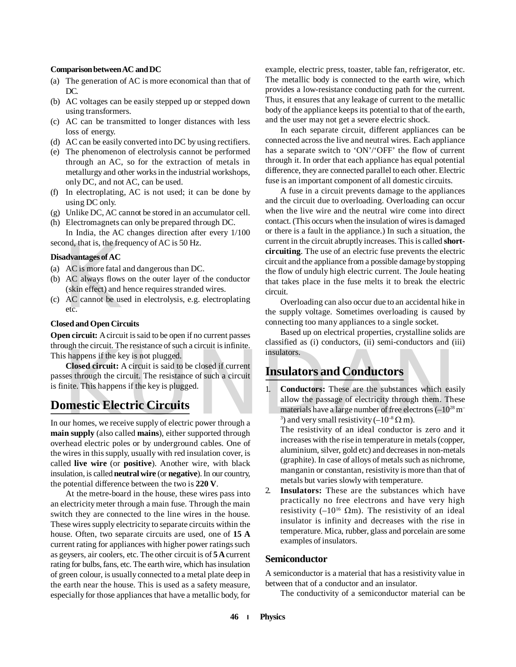#### **Comparison between AC and DC**

- (a) The generation of AC is more economical than that of DC.
- (b) AC voltages can be easily stepped up or stepped down using transformers.
- (c) AC can be transmitted to longer distances with less loss of energy.
- (d) AC can be easily converted into DC by using rectifiers.
- (e) The phenomenon of electrolysis cannot be performed through an AC, so for the extraction of metals in metallurgy and other works in the industrial workshops, only DC, and not AC, can be used.
- (f) In electroplating, AC is not used; it can be done by using DC only.
- (g) Unlike DC, AC cannot be stored in an accumulator cell.
- (h) Electromagnets can only be prepared through DC. In India, the AC changes direction after every 1/100

second, that is, the frequency of AC is 50 Hz.

#### **Disadvantages of AC**

- (a) AC is more fatal and dangerous than DC.
- ond, that is, the free<br>advantages of AC<br>AC is more fatal a<br>AC always flows<br>(skin effect) and h<br>AC cannot be use<br>etc.<br>sed and Open Circ (b) AC always flows on the outer layer of the conductor (skin effect) and hence requires stranded wires.
- (c) AC cannot be used in electrolysis, e.g. electroplating etc.

#### **Closed and Open Circuits**

**Open circuit:** A circuit is said to be open if no current passes through the circuit. The resistance of such a circuit is infinite. This happens if the key is not plugged.

**Closed circuit:** A circuit is said to be closed if current passes through the circuit. The resistance of such a circuit is finite. This happens if the key is plugged.

## **Domestic Electric Circuits**

In our homes, we receive supply of electric power through a **main supply** (also called **mains**), either supported through overhead electric poles or by underground cables. One of the wires in this supply, usually with red insulation cover, is called **live wire** (or **positive**). Another wire, with black insulation, is called **neutral wire** (or **negative**). In our country, the potential difference between the two is **220 V**.

At the metre-board in the house, these wires pass into an electricity meter through a main fuse. Through the main switch they are connected to the line wires in the house. These wires supply electricity to separate circuits within the house. Often, two separate circuits are used, one of **15 A** current rating for appliances with higher power ratings such as geysers, air coolers, etc. The other circuit is of **5 A** current rating for bulbs, fans, etc. The earth wire, which has insulation of green colour, is usually connected to a metal plate deep in the earth near the house. This is used as a safety measure, especially for those appliances that have a metallic body, for example, electric press, toaster, table fan, refrigerator, etc. The metallic body is connected to the earth wire, which provides a low-resistance conducting path for the current. Thus, it ensures that any leakage of current to the metallic body of the appliance keeps its potential to that of the earth, and the user may not get a severe electric shock.

In each separate circuit, different appliances can be connected across the live and neutral wires. Each appliance has a separate switch to 'ON'/'OFF' the flow of current through it. In order that each appliance has equal potential difference, they are connected parallel to each other. Electric fuse is an important component of all domestic circuits.

A fuse in a circuit prevents damage to the appliances and the circuit due to overloading. Overloading can occur when the live wire and the neutral wire come into direct contact. (This occurs when the insulation of wires is damaged or there is a fault in the appliance.) In such a situation, the current in the circuit abruptly increases. This is called **shortcircuiting**. The use of an electric fuse prevents the electric circuit and the appliance from a possible damage by stopping the flow of unduly high electric current. The Joule heating that takes place in the fuse melts it to break the electric circuit.

Overloading can also occur due to an accidental hike in the supply voltage. Sometimes overloading is caused by connecting too many appliances to a single socket.

Based up on electrical properties, crystalline solids are classified as (i) conductors, (ii) semi-conductors and (iii) insulators.

### **Insulators and Conductors**

Sugar and cheme in the key is not plugged.<br>
Sugar and cheme in the key is not plugged.<br>
Sugar and Conductors<br>
Sugar and Conductors<br>
Sugar and Conductors<br>
Sugar and Conductors<br>
Sugar and Conductors<br>
Sugar and Conductors<br>
T 1. **Conductors:** These are the substances which easily allow the passage of electricity through them. These materials have a large number of free electrons  $(-10^{28} \text{ m}^{-1})$ <sup>3</sup>) and very small resistivity  $(-10^{-8} \Omega \text{ m})$ .

The resistivity of an ideal conductor is zero and it increases with the rise in temperature in metals (copper, aluminium, silver, gold etc) and decreases in non-metals (graphite). In case of alloys of metals such as nichrome, manganin or constantan, resistivity is more than that of metals but varies slowly with temperature.

2. **Insulators:** These are the substances which have practically no free electrons and have very high resistivity ( $-10^{16}$  Qm). The resistivity of an ideal insulator is infinity and decreases with the rise in temperature. Mica, rubber, glass and porcelain are some examples of insulators.

#### **Semiconductor**

A semiconductor is a material that has a resistivity value in between that of a conductor and an insulator.

The conductivity of a semiconductor material can be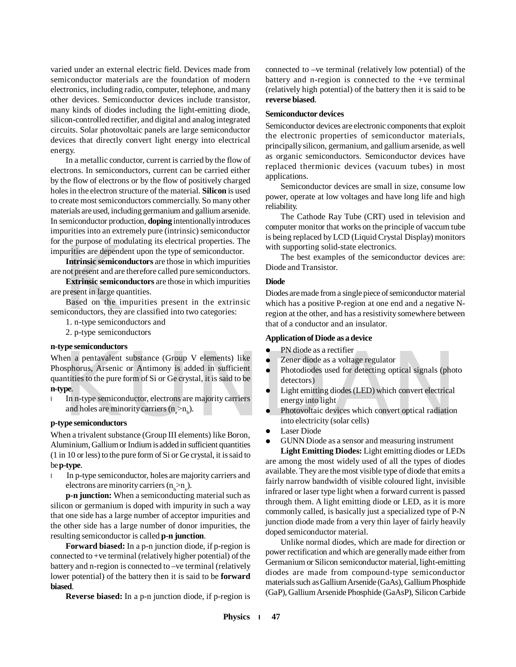varied under an external electric field. Devices made from semiconductor materials are the foundation of modern electronics, including radio, computer, telephone, and many other devices. Semiconductor devices include transistor, many kinds of diodes including the light-emitting diode, silicon-controlled rectifier, and digital and analog integrated circuits. Solar photovoltaic panels are large semiconductor devices that directly convert light energy into electrical energy.

In a metallic conductor, current is carried by the flow of electrons. In semiconductors, current can be carried either by the flow of electrons or by the flow of positively charged holes in the electron structure of the material. **Silicon** is used to create most semiconductors commercially. So many other materials are used, including germanium and gallium arsenide. In semiconductor production, **doping** intentionally introduces impurities into an extremely pure (intrinsic) semiconductor for the purpose of modulating its electrical properties. The impurities are dependent upon the type of semiconductor.

the purpose of modurities are dependent<br>urities are dependent<br>not present and are<br>**Extrinsic semicor**<br>present in large qua<br>Based on the iniconductors, they a<br>1. n-type semicon **Intrinsic semiconductors** are those in which impurities are not present and are therefore called pure semiconductors.

**Extrinsic semiconductors** are those in which impurities are present in large quantities.

Based on the impurities present in the extrinsic semiconductors, they are classified into two categories:

- 1. n-type semiconductors and
- 2. p-type semiconductors

#### **n-type semiconductors**

PN diode as a rectifier<br>
en a pentavalent substance (Group V elements) like<br>
sphorus, Arsenic or Antimony is added in sufficient<br>
metrics to the pure form of Si or Ge crystal, it is said to be<br> **EXECUTE DEVALUATE:**<br>
PRODU When a pentavalent substance (Group V elements) like Phosphorus, Arsenic or Antimony is added in sufficient quantities to the pure form of Si or Ge crystal, it is said to be **n-type**.

**●** In n-type semiconductor, electrons are majority carriers and holes are minority carriers  $(n_e > n_h)$ .

#### **p-type semiconductors**

When a trivalent substance (Group III elements) like Boron, Aluminium, Gallium or Indium is added in sufficient quantities (1 in 10 or less) to the pure form of Si or Ge crystal, it is said to be **p-type**.

**●** In p-type semiconductor, holes are majority carriers and electrons are minority carriers  $(n_h > n_e)$ .

**p-n junction:** When a semiconducting material such as silicon or germanium is doped with impurity in such a way that one side has a large number of acceptor impurities and the other side has a large number of donor impurities, the resulting semiconductor is called **p-n junction**.

**Forward biased:** In a p-n junction diode, if p-region is connected to +ve terminal (relatively higher potential) of the battery and n-region is connected to –ve terminal (relatively lower potential) of the battery then it is said to be **forward biased**.

**Reverse biased:** In a p-n junction diode, if p-region is

connected to –ve terminal (relatively low potential) of the battery and n-region is connected to the +ve terminal (relatively high potential) of the battery then it is said to be **reverse biased**.

#### **Semiconductor devices**

Semiconductor devices are electronic components that exploit the electronic properties of semiconductor materials, principally silicon, germanium, and gallium arsenide, as well as organic semiconductors. Semiconductor devices have replaced thermionic devices (vacuum tubes) in most applications.

Semiconductor devices are small in size, consume low power, operate at low voltages and have long life and high reliability.

The Cathode Ray Tube (CRT) used in television and computer monitor that works on the principle of vaccum tube is being replaced by LCD (Liquid Crystal Display) monitors with supporting solid-state electronics.

The best examples of the semiconductor devices are: Diode and Transistor.

#### **Diode**

Diodes are made from a single piece of semiconductor material which has a positive P-region at one end and a negative Nregion at the other, and has a resistivity somewhere between that of a conductor and an insulator.

#### **Application of Diode as a device**

- PN diode as a rectifier
- Zener diode as a voltage regulator
- Photodiodes used for detecting optical signals (photo detectors)
- Light emitting diodes (LED) which convert electrical energy into light
- Photovoltaic devices which convert optical radiation into electricity (solar cells)
- **•** Laser Diode
- GUNN Diode as a sensor and measuring instrument

**Light Emitting Diodes:** Light emitting diodes or LEDs are among the most widely used of all the types of diodes available. They are the most visible type of diode that emits a fairly narrow bandwidth of visible coloured light, invisible infrared or laser type light when a forward current is passed through them. A light emitting diode or LED, as it is more commonly called, is basically just a specialized type of P-N junction diode made from a very thin layer of fairly heavily doped semiconductor material.

Unlike normal diodes, which are made for direction or power rectification and which are generally made either from Germanium or Silicon semiconductor material, light-emitting diodes are made from compound-type semiconductor materials such as Gallium Arsenide (GaAs), Gallium Phosphide (GaP), Gallium Arsenide Phosphide (GaAsP), Silicon Carbide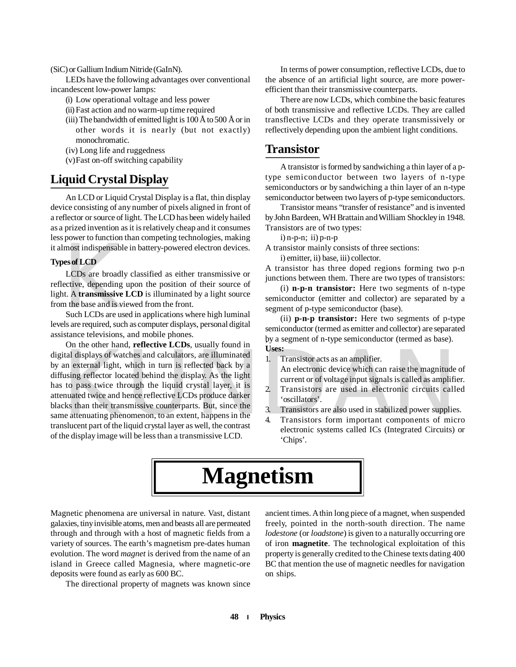#### (SiC) or Gallium Indium Nitride (GaInN).

LEDs have the following advantages over conventional incandescent low-power lamps:

- (i) Low operational voltage and less power
- (ii) Fast action and no warm-up time required
- (iii) The bandwidth of emitted light is 100 Å to 500 Å or in other words it is nearly (but not exactly) monochromatic.
- (iv) Long life and ruggedness
- (v)Fast on-off switching capability

## **Liquid Crystal Display**

An LCD or Liquid Crystal Display is a flat, thin display device consisting of any number of pixels aligned in front of a reflector or source of light. The LCD has been widely hailed as a prized invention as it is relatively cheap and it consumes less power to function than competing technologies, making it almost indispensable in battery-powered electron devices.

#### **Types of LCD**

most indispensable<br> **Solution**<br> **CDS** are broadly<br>
ective, depending<br>
t. A **transmissive**<br>
the base and is vi<br>
Such LCDs are uses LCDs are broadly classified as either transmissive or reflective, depending upon the position of their source of light. A **transmissive LCD** is illuminated by a light source from the base and is viewed from the front.

Such LCDs are used in applications where high luminal levels are required, such as computer displays, personal digital assistance televisions, and mobile phones.

Uses:<br>
tial displays of watches and calculators, are illuminated<br>
an external light, which in turn is reflected back by a<br>
using reflector located behind the display. As the light<br>
to pass twice through the liquid crystal On the other hand, **reflective LCDs**, usually found in digital displays of watches and calculators, are illuminated by an external light, which in turn is reflected back by a diffusing reflector located behind the display. As the light has to pass twice through the liquid crystal layer, it is attenuated twice and hence reflective LCDs produce darker blacks than their transmissive counterparts. But, since the same attenuating phenomenon, to an extent, happens in the translucent part of the liquid crystal layer as well, the contrast of the display image will be less than a transmissive LCD.

In terms of power consumption, reflective LCDs, due to the absence of an artificial light source, are more powerefficient than their transmissive counterparts.

There are now LCDs, which combine the basic features of both transmissive and reflective LCDs. They are called transflective LCDs and they operate transmissively or reflectively depending upon the ambient light conditions.

#### **Transistor**

A transistor is formed by sandwiching a thin layer of a ptype semiconductor between two layers of n-type semiconductors or by sandwiching a thin layer of an n-type semiconductor between two layers of p-type semiconductors.

Transistor means "transfer of resistance" and is invented by John Bardeen, WH Brattain and William Shockley in 1948. Transistors are of two types:

 $i)$  n-p-n;  $ii)$  p-n-p

A transistor mainly consists of three sections:

i) emitter, ii) base, iii) collector.

A transistor has three doped regions forming two p-n junctions between them. There are two types of transistors:

(i) **n-p-n transistor:** Here two segments of n-type semiconductor (emitter and collector) are separated by a segment of p-type semiconductor (base).

(ii) **p-n-p transistor:** Here two segments of p-type semiconductor (termed as emitter and collector) are separated by a segment of n-type semiconductor (termed as base). . **Uses:**

1. Transistor acts as an amplifier. An electronic device which can raise the magnitude of current or of voltage input signals is called as amplifier.

- 2. Transistors are used in electronic circuits called 'oscillators'.
- 3. Transistors are also used in stabilized power supplies.
- 4. Transistors form important components of micro electronic systems called ICs (Integrated Circuits) or 'Chips'.

## **Magnetism**

Magnetic phenomena are universal in nature. Vast, distant galaxies, tiny invisible atoms, men and beasts all are permeated through and through with a host of magnetic fields from a variety of sources. The earth's magnetism pre-dates human evolution. The word *magnet* is derived from the name of an island in Greece called Magnesia, where magnetic-ore deposits were found as early as 600 BC.

The directional property of magnets was known since

ancient times. A thin long piece of a magnet, when suspended freely, pointed in the north-south direction. The name *lodestone* (or *loadstone*) is given to a naturally occurring ore of iron **magnetite**. The technological exploitation of this property is generally credited to the Chinese texts dating 400 BC that mention the use of magnetic needles for navigation on ships.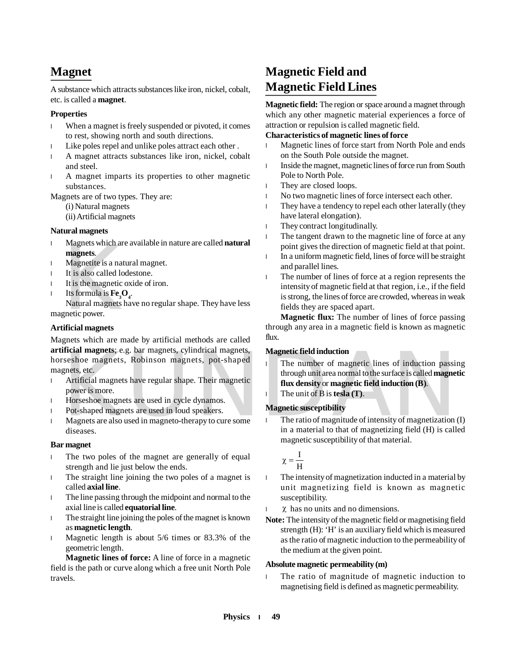## **Magnet**

A substance which attracts substances like iron, nickel, cobalt, etc. is called a **magnet**.

#### **Properties**

- **●** When a magnet is freely suspended or pivoted, it comes to rest, showing north and south directions.
- **●** Like poles repel and unlike poles attract each other .
- **●** A magnet attracts substances like iron, nickel, cobalt and steel.
- **●** A magnet imparts its properties to other magnetic substances.

Magnets are of two types. They are:

- (i) Natural magnets
- (ii) Artificial magnets

#### **Natural magnets**

- **●** Magnets which are available in nature are called **natural magnets**.
- **●** Magnetite is a natural magnet.
- **●** It is also called lodestone.
- **●** It is the magnetic oxide of iron.
- **•** Its formula is  $\mathbf{Fe}_{3}\mathbf{O}_{4}$ .

Magnets which are<br> **magnets.**<br>
Magnetite is a nat<br>
It is also called loo<br>
It is the magnetic c<br>
Its formula is  $Fe_3C$ <br>
Natural magnets<br>
gnetic power.<br> **ificial magnets** Natural magnets have no regular shape. They have less magnetic power.

#### **Artificial magnets**

Magnets which are made by artificial methods are called **artificial magnets**; e.g. bar magnets, cylindrical magnets, horseshoe magnets, Robinson magnets, pot-shaped magnets, etc.

- **●** Artificial magnets have regular shape. Their magnetic power is more.
- **●** Horseshoe magnets are used in cycle dynamos.
- **●** Pot-shaped magnets are used in loud speakers.
- **●** Magnets are also used in magneto-therapy to cure some diseases.

#### **Bar magnet**

- **●** The two poles of the magnet are generally of equal strength and lie just below the ends.
- **●** The straight line joining the two poles of a magnet is called **axial line**.
- **●** The line passing through the midpoint and normal to the axial line is called **equatorial line**.
- **●** The straight line joining the poles of the magnet is known as **magnetic length**.
- **●** Magnetic length is about 5/6 times or 83.3% of the geometric length.

**Magnetic lines of force:** A line of force in a magnetic field is the path or curve along which a free unit North Pole travels.

## **Magnetic Field and Magnetic Field Lines**

**Magnetic field:** The region or space around a magnet through which any other magnetic material experiences a force of attraction or repulsion is called magnetic field.

#### **Characteristics of magnetic lines of force**

- **●** Magnetic lines of force start from North Pole and ends on the South Pole outside the magnet.
- Inside the magnet, magnetic lines of force run from South Pole to North Pole.
- They are closed loops.
- No two magnetic lines of force intersect each other.
- **●** They have a tendency to repel each other laterally (they have lateral elongation).
- They contract longitudinally.
- The tangent drawn to the magnetic line of force at any point gives the direction of magnetic field at that point.
- **●** In a uniform magnetic field, lines of force will be straight and parallel lines.
- The number of lines of force at a region represents the intensity of magnetic field at that region, i.e., if the field is strong, the lines of force are crowded, whereas in weak fields they are spaced apart.

**Magnetic flux:** The number of lines of force passing through any area in a magnetic field is known as magnetic flux.

#### **Magnetic field induction**

- The number of magnetic lines of induction<br>
seshoe magnets, Robinson magnets, pot-shaped<br>
Seshoe magnets, Robinson magnets, pot-shaped<br>
Artificial magnets have regular shape. Their magnetic<br>
Artificial magnets have regular **●** The number of magnetic lines of induction passing through unit area normal to the surface is called **magnetic flux density** or **magnetic field induction (B)**.
	- **●** The unit of B is **tesla (T)**.

#### **Magnetic susceptibility**

**●** The ratio of magnitude of intensity of magnetization (I) in a material to that of magnetizing field (H) is called magnetic susceptibility of that material.

$$
\chi=\frac{I}{H}
$$

- **●** The intensity of magnetization inducted in a material by unit magnetizing field is known as magnetic susceptibility.
- $\chi$  has no units and no dimensions.
- **Note:** The intensity of the magnetic field or magnetising field strength (H): 'H' is an auxiliary field which is measured as the ratio of magnetic induction to the permeability of the medium at the given point.

#### **Absolute magnetic permeability (m)**

The ratio of magnitude of magnetic induction to magnetising field is defined as magnetic permeability.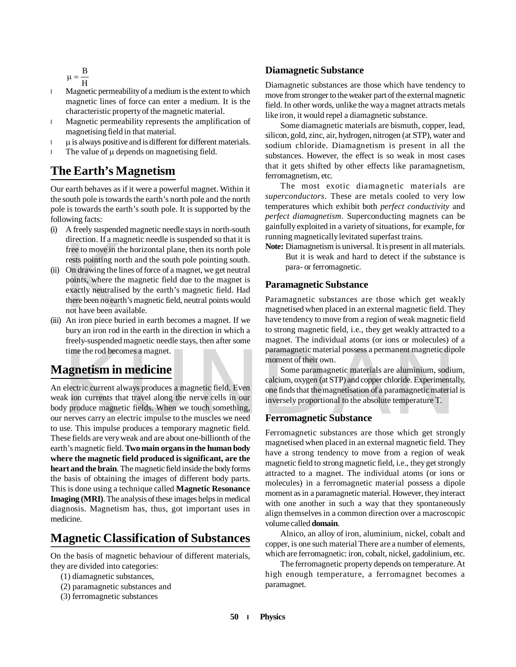$$
\mu = \frac{B}{H}
$$

- **●** Magnetic permeability of a medium is the extent to which magnetic lines of force can enter a medium. It is the characteristic property of the magnetic material.
- **●** Magnetic permeability represents the amplification of magnetising field in that material.
- $\mu$  is always positive and is different for different materials.
- The value of  $\mu$  depends on magnetising field.

## **The Earth's Magnetism**

Our earth behaves as if it were a powerful magnet. Within it the south pole is towards the earth's north pole and the north pole is towards the earth's south pole. It is supported by the following facts:

- (i) A freely suspended magnetic needle stays in north-south direction. If a magnetic needle is suspended so that it is free to move in the horizontal plane, then its north pole rests pointing north and the south pole pointing south.
- therefore. It a mag<br>free to move in the<br>rests pointing nor<br>On drawing the lin<br>points, where the<br>exactly neutralise<br>there been no earth<br>not have been ava<br>An iron piece but (ii) On drawing the lines of force of a magnet, we get neutral points, where the magnetic field due to the magnet is exactly neutralised by the earth's magnetic field. Had there been no earth's magnetic field, neutral points would not have been available.
- (iii) An iron piece buried in earth becomes a magnet. If we bury an iron rod in the earth in the direction in which a freely-suspended magnetic needle stays, then after some time the rod becomes a magnet.

## **Magnetism in medicine**

time the rod becomes a magnet.<br> **agnetism in medicine**<br> **agnetism in medicine**<br>
electric current always produces a magnetic field. Even<br>
k ion currents that travel along the nerve cells in our<br>
y produce magnetic fields. W An electric current always produces a magnetic field. Even weak ion currents that travel along the nerve cells in our body produce magnetic fields. When we touch something, our nerves carry an electric impulse to the muscles we need to use. This impulse produces a temporary magnetic field. These fields are very weak and are about one-billionth of the earth's magnetic field. **Two main organs in the human body where the magnetic field produced is significant, are the heart and the brain**. The magnetic field inside the body forms the basis of obtaining the images of different body parts. This is done using a technique called **Magnetic Resonance Imaging (MRI)**. The analysis of these images helps in medical diagnosis. Magnetism has, thus, got important uses in medicine.

## **Magnetic Classification of Substances**

On the basis of magnetic behaviour of different materials, they are divided into categories:

- (1) diamagnetic substances,
- (2) paramagnetic substances and
- (3) ferromagnetic substances

#### **Diamagnetic Substance**

Diamagnetic substances are those which have tendency to move from stronger to the weaker part of the external magnetic field. In other words, unlike the way a magnet attracts metals like iron, it would repel a diamagnetic substance.

Some diamagnetic materials are bismuth, copper, lead, silicon, gold, zinc, air, hydrogen, nitrogen (at STP), water and sodium chloride. Diamagnetism is present in all the substances. However, the effect is so weak in most cases that it gets shifted by other effects like paramagnetism, ferromagnetism, etc.

The most exotic diamagnetic materials are *superconductors*. These are metals cooled to very low temperatures which exhibit both *perfect conductivity* and *perfect diamagnetism*. Superconducting magnets can be gainfully exploited in a variety of situations, for example, for running magnetically levitated superfast trains.

**Note:** Diamagnetism is universal. It is present in all materials. But it is weak and hard to detect if the substance is para- or ferromagnetic.

#### **Paramagnetic Substance**

Paramagnetic substances are those which get weakly magnetised when placed in an external magnetic field. They have tendency to move from a region of weak magnetic field to strong magnetic field, i.e., they get weakly attracted to a magnet. The individual atoms (or ions or molecules) of a paramagnetic material possess a permanent magnetic dipole moment of their own.

Some paramagnetic materials are aluminium, sodium, calcium, oxygen (at STP) and copper chloride. Experimentally, one finds that the magnetisation of a paramagnetic material is inversely proportional to the absolute temperature T.

#### **Ferromagnetic Substance**

Ferromagnetic substances are those which get strongly magnetised when placed in an external magnetic field. They have a strong tendency to move from a region of weak magnetic field to strong magnetic field, i.e., they get strongly attracted to a magnet. The individual atoms (or ions or molecules) in a ferromagnetic material possess a dipole moment as in a paramagnetic material. However, they interact with one another in such a way that they spontaneously align themselves in a common direction over a macroscopic volume called **domain**.

Alnico, an alloy of iron, aluminium, nickel, cobalt and copper, is one such material There are a number of elements, which are ferromagnetic: iron, cobalt, nickel, gadolinium, etc.

The ferromagnetic property depends on temperature. At high enough temperature, a ferromagnet becomes a paramagnet.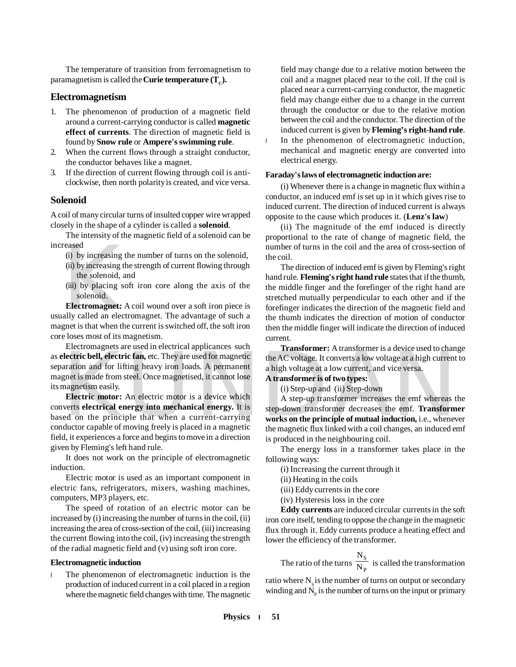The temperature of transition from ferromagnetism to paramagnetism is called the  $\textbf{C}\textbf{ur}$  ie temperature (  $\textbf{T}_\text{c}$  ).

#### **Electromagnetism**

- 1. The phenomenon of production of a magnetic field around a current-carrying conductor is called **magnetic effect of currents**. The direction of magnetic field is found by **Snow rule** or **Ampere's swimming rule**.
- 2. When the current flows through a straight conductor, the conductor behaves like a magnet.
- 3. If the direction of current flowing through coil is anticlockwise, then north polarity is created, and vice versa.

#### **Solenoid**

A coil of many circular turns of insulted copper wire wrapped closely in the shape of a cylinder is called a **solenoid**.

The intensity of the magnetic field of a solenoid can be increased

- (i) by increasing the number of turns on the solenoid,
- (ii) by increasing the strength of current flowing through the solenoid, and
- (iii) by placing soft iron core along the axis of the solenoid.

reased<br>
(i) by increasing t<br>
(ii) by increasing the solenoid, a<br>
(iii) by placing solenoid.<br> **Electromagnet:**<br>
ally called an electromagnet is that when the **Electromagnet:** A coil wound over a soft iron piece is usually called an electromagnet. The advantage of such a magnet is that when the current is switched off, the soft iron core loses most of its magnetism.

Electric bell, electric fan, etc. They are used for magnetic<br>
aration and for lifting heavy iron loads. A permanent<br>
and the AC voltage. It converts a low voltage at a high current<br>
and in a high voltage at a low current, Electromagnets are used in electrical applicances such as **electric bell, electric fan,** etc. They are used for magnetic separation and for lifting heavy iron loads. A permanent magnet is made from steel. Once magnetised, it cannot lose its magnetism easily.

**Electric motor:** An electric motor is a device which converts **electrical energy into mechanical energy.** It is based on the principle that when a current-carrying conductor capable of moving freely is placed in a magnetic field, it experiences a force and begins to move in a direction given by Fleming's left hand rule.

It does not work on the principle of electromagnetic induction.

Electric motor is used as an important component in electric fans, refrigerators, mixers, washing machines, computers, MP3 players, etc.

The speed of rotation of an electric motor can be increased by (i) increasing the number of turns in the coil, (ii) increasing the area of cross-section of the coil, (iii) increasing the current flowing into the coil, (iv) increasing the strength of the radial magnetic field and (v) using soft iron core.

#### **Electromagnetic induction**

**●** The phenomenon of electromagnetic induction is the production of induced current in a coil placed in a region where the magnetic field changes with time. The magnetic

field may change due to a relative motion between the coil and a magnet placed near to the coil. If the coil is placed near a current-carrying conductor, the magnetic field may change either due to a change in the current through the conductor or due to the relative motion between the coil and the conductor. The direction of the induced current is given by **Fleming's right-hand rule**.

**●** In the phenomenon of electromagnetic induction, mechanical and magnetic energy are converted into electrical energy.

#### **Faraday's laws of electromagnetic induction are:**

(i) Whenever there is a change in magnetic flux within a conductor, an induced emf is set up in it which gives rise to induced current. The direction of induced current is always opposite to the cause which produces it. (**Lenz's law**)

(ii) The magnitude of the emf induced is directly proportional to the rate of change of magnetic field, the number of turns in the coil and the area of cross-section of the coil.

The direction of induced emf is given by Fleming's right hand rule. **Fleming's right hand rule** states that if the thumb, the middle finger and the forefinger of the right hand are stretched mutually perpendicular to each other and if the forefinger indicates the direction of the magnetic field and the thumb indicates the direction of motion of conductor then the middle finger will indicate the direction of induced current.

**Transformer:** A transformer is a device used to change the AC voltage. It converts a low voltage at a high current to a high voltage at a low current, and vice versa.

#### **A transformer is of two types:**

(i) Step-up and (ii) Step-down

A step-up transformer increases the emf whereas the step-down transformer decreases the emf. **Transformer works on the principle of mutual induction,** i.e., whenever the magnetic flux linked with a coil changes, an induced emf is produced in the neighbouring coil.

The energy loss in a transformer takes place in the following ways:

(i) Increasing the current through it

(ii) Heating in the coils

(iii) Eddy currents in the core

(iv) Hysteresis loss in the core

**Eddy currents** are induced circular currents in the soft iron core itself, tending to oppose the change in the magnetic flux through it. Eddy currents produce a heating effect and lower the efficiency of the transformer.

The ratio of the turns  $\frac{B}{N_P}$ S N N is called the transformation

ratio where  $N_s$  is the number of turns on output or secondary winding and  $N_{\rm p}$  is the number of turns on the input or primary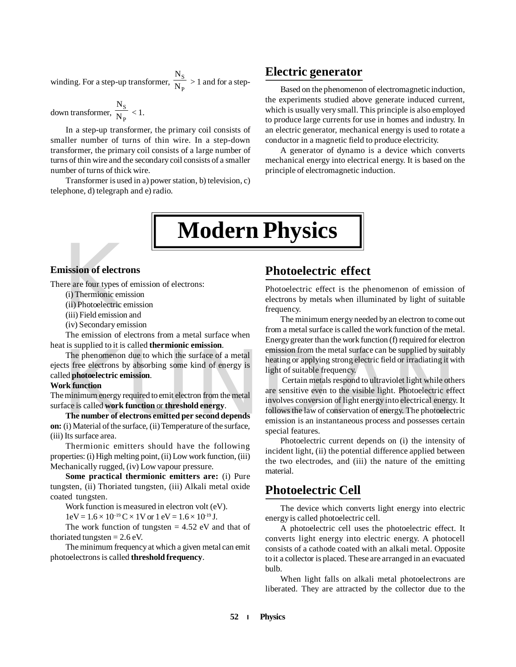winding. For a step-up transformer,  $\frac{2}{N_P}$ S N N > 1 and for a step-

down transformer,  $\frac{2}{N_P}$ S N N  $< 1$ .

In a step-up transformer, the primary coil consists of smaller number of turns of thin wire. In a step-down transformer, the primary coil consists of a large number of turns of thin wire and the secondary coil consists of a smaller number of turns of thick wire.

Transformer is used in a) power station, b) television, c) telephone, d) telegraph and e) radio.

### **Electric generator**

Based on the phenomenon of electromagnetic induction, the experiments studied above generate induced current, which is usually very small. This principle is also employed to produce large currents for use in homes and industry. In an electric generator, mechanical energy is used to rotate a conductor in a magnetic field to produce electricity.

A generator of dynamo is a device which converts mechanical energy into electrical energy. It is based on the principle of electromagnetic induction.

## **Modern Physics**

# **nission of electr**<br>
re are four types of<br>
(i) Thermionic em<br>
(ii) Photoelectric e<br>
(iii) Field emission<br>
(iv) Secondary em **Emission of electrons**

There are four types of emission of electrons:

(i) Thermionic emission

(ii) Photoelectric emission

(iii) Field emission and

(iv) Secondary emission

The emission of electrons from a metal surface when heat is supplied to it is called **thermionic emission**.

The phenomenon due to which the surface of a metal ejects free electrons by absorbing some kind of energy is called **photoelectric emission**.

#### **Work function**

The minimum energy required to emit electron from the metal surface is called **work function** or **threshold energy**.

**The number of electrons emitted per second depends on:** (i) Material of the surface, (ii) Temperature of the surface, (iii) Its surface area.

Thermionic emitters should have the following properties: (i) High melting point, (ii) Low work function, (iii) Mechanically rugged, (iv) Low vapour pressure.

**Some practical thermionic emitters are:** (i) Pure tungsten, (ii) Thoriated tungsten, (iii) Alkali metal oxide coated tungsten.

Work function is measured in electron volt (eV).

 $1 \text{eV} = 1.6 \times 10^{-19} \text{C} \times 1 \text{V}$  or  $1 \text{eV} = 1.6 \times 10^{-19} \text{J}$ .

The work function of tungsten  $= 4.52$  eV and that of thoriated tungsten  $= 2.6$  eV.

The minimum frequency at which a given metal can emit photoelectrons is called **threshold frequency**.

## **Photoelectric effect**

Photoelectric effect is the phenomenon of emission of electrons by metals when illuminated by light of suitable frequency.

The minimum energy needed by an electron to come out from a metal surface is called the work function of the metal. Energy greater than the work function (f) required for electron emission from the metal surface can be supplied by suitably heating or applying strong electric field or irradiating it with light of suitable frequency.

The phenomenon due to which the surface of a metal<br>
the phenomenon due to which the surface of a metal<br>
the surface of a metal<br>
the surface of a metal<br>
the surface of a metal<br>
ight of suitable frequency.<br>
Certain metals re Certain metals respond to ultraviolet light while others are sensitive even to the visible light. Photoelectric effect involves conversion of light energy into electrical energy. It follows the law of conservation of energy. The photoelectric emission is an instantaneous process and possesses certain special features.

> Photoelectric current depends on (i) the intensity of incident light, (ii) the potential difference applied between the two electrodes, and (iii) the nature of the emitting material.

## **Photoelectric Cell**

The device which converts light energy into electric energy is called photoelectric cell.

A photoelectric cell uses the photoelectric effect. It converts light energy into electric energy. A photocell consists of a cathode coated with an alkali metal. Opposite to it a collector is placed. These are arranged in an evacuated bulb.

When light falls on alkali metal photoelectrons are liberated. They are attracted by the collector due to the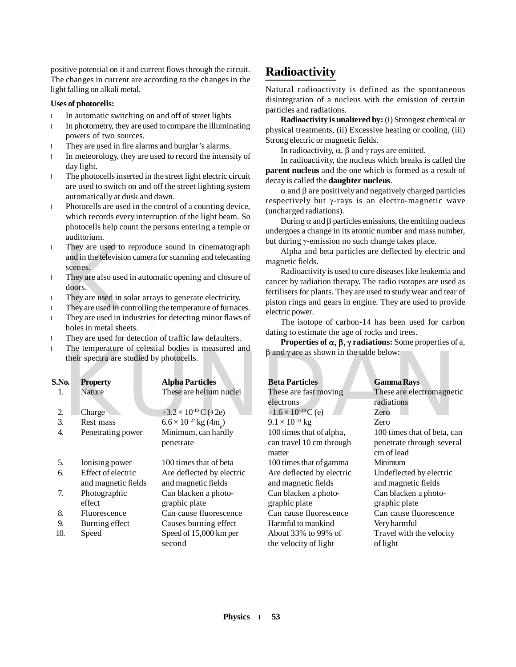positive potential on it and current flows through the circuit. The changes in current are according to the changes in the light falling on alkali metal.

#### **Uses of photocells:**

- **●** In automatic switching on and off of street lights
- **●** In photometry, they are used to compare the illuminating powers of two sources.
- **●** They are used in fire alarms and burglar's alarms.
- **●** In meteorology, they are used to record the intensity of day light.
- **●** The photocells inserted in the street light electric circuit are used to switch on and off the street lighting system automatically at dusk and dawn.
- **●** Photocells are used in the control of a counting device, which records every interruption of the light beam. So photocells help count the persons entering a temple or auditorium.
- They are used to<br>and in the televisic<br>scenes.<br>They are also used<br>doors.<br>They are used in co<br>They are used in co<br>They are used in in<br>holes in metal she **●** They are used to reproduce sound in cinematograph and in the television camera for scanning and telecasting scenes.
- **●** They are also used in automatic opening and closure of doors.
- **●** They are used in solar arrays to generate electricity.
- **●** They are used in controlling the temperature of furnaces.
- **●** They are used in industries for detecting minor flaws of holes in metal sheets.
- **●** They are used for detection of traffic law defaulters.
- **●** The temperature of celestial bodies is measured and their spectra are studied by photocells.

| S.No.          | <b>Property</b>     | <b>Alpha Particles</b>        | <b>Beta Particles</b>        | <b>Gamma Rays</b> |
|----------------|---------------------|-------------------------------|------------------------------|-------------------|
| 1.             | Nature              | These are helium nuclei       | These are fast moving        | These are elec-   |
|                |                     |                               | electrons                    | radiations        |
| $\overline{2}$ | Charge              | $+3.2 \times 10^{19}$ C (+2e) | $-1.6 \times 10^{-19}$ C (e) | Zero              |
| 3.             | Rest mass           | $6.6 \times 10^{-27}$ kg (4m) | $9.1 \times 10^{-31}$ kg     | Zero              |
| 4.             | Penetrating power   | Minimum, can hardly           | 100 times that of alpha,     | 100 times tha     |
|                |                     | penetrate                     | can travel 10 cm through     | penetrate thro    |
|                |                     |                               | matter                       | cm of lead        |
| 5.             | Ionising power      | 100 times that of beta        | 100 times that of gamma      | Minimum           |
| 6.             | Effect of electric  | Are deflected by electric     | Are deflected by electric    | Undeflected b     |
|                | and magnetic fields | and magnetic fields           | and magnetic fields          | and magnetic      |
| 7.             | Photographic        | Can blacken a photo-          | Can blacken a photo-         | Can blacken a     |
|                | effect              | graphic plate                 | graphic plate                | graphic plate     |
| 8.             | Fluorescence        | Can cause fluorescence        | Can cause fluorescence       | Can cause flu     |
| 9.             | Burning effect      | Causes burning effect         | Harmful to mankind           | Very harmful      |
| 10.            | Speed               | Speed of 15,000 km per        | About 33% to 99% of          | Travel with th    |
|                |                     | second                        | the velocity of light        | of light          |

## **Radioactivity**

Natural radioactivity is defined as the spontaneous disintegration of a nucleus with the emission of certain particles and radiations.

**Radioactivity is unaltered by:** (i) Strongest chemical or physical treatments, (ii) Excessive heating or cooling, (iii) Strong electric or magnetic fields.

In radioactivity,  $\alpha$ ,  $\beta$  and  $\gamma$  rays are emitted.

In radioactivity, the nucleus which breaks is called the **parent nucleus** and the one which is formed as a result of decay is called the **daughter nucleus**.

 $\alpha$  and  $\beta$  are positively and negatively charged particles respectively but  $\gamma$ -rays is an electro-magnetic wave (uncharged radiations).

During  $\alpha$  and  $\beta$  particles emissions, the emitting nucleus undergoes a change in its atomic number and mass number, but during  $\gamma$ -emission no such change takes place.

Alpha and beta particles are deflected by electric and magnetic fields.

Radioactivity is used to cure diseases like leukemia and cancer by radiation therapy. The radio isotopes are used as fertilisers for plants. They are used to study wear and tear of piston rings and gears in engine. They are used to provide electric power.

The isotope of carbon-14 has been used for carbon dating to estimate the age of rocks and trees.

**Properties of**  $\alpha$ **,**  $\beta$ **,**  $\gamma$  **radiations:** Some properties of a,  $\beta$  and  $\gamma$  are as shown in the table below:

|                | their spectra are studied by photocells.  | The temperature of celestial boules is measured and | $\beta$ and $\gamma$ are as shown in the table below:          |                                                                        |
|----------------|-------------------------------------------|-----------------------------------------------------|----------------------------------------------------------------|------------------------------------------------------------------------|
| .No.           | <b>Property</b>                           | <b>Alpha Particles</b>                              | <b>Beta Particles</b>                                          | <b>Gamma Rays</b>                                                      |
| 1.             | <b>Nature</b>                             | These are helium nuclei                             | These are fast moving<br>electrons                             | These are electromagnetic<br>radiations                                |
| $\overline{2}$ | Charge                                    | +3.2 $\times$ 10 <sup>19</sup> C (+2e)              | $-1.6 \times 10^{-19}$ C (e)                                   | Zero                                                                   |
| 3.             | Rest mass                                 | $6.6 \times 10^{-27}$ kg (4m)                       | $9.1 \times 10^{-31}$ kg                                       | Zero                                                                   |
| 4.             | Penetrating power                         | Minimum, can hardly<br>penetrate                    | 100 times that of alpha,<br>can travel 10 cm through<br>matter | 100 times that of beta, can<br>penetrate through several<br>cm of lead |
| 5.             | Ionising power                            | 100 times that of beta                              | 100 times that of gamma                                        | Minimum                                                                |
| 6.             | Effect of electric<br>and magnetic fields | Are deflected by electric<br>and magnetic fields    | Are deflected by electric<br>and magnetic fields               | Undeflected by electric<br>and magnetic fields                         |
| 7.             | Photographic<br>effect                    | Can blacken a photo-<br>graphic plate               | Can blacken a photo-<br>graphic plate                          | Can blacken a photo-<br>graphic plate                                  |
| 8.             | Fluorescence                              | Can cause fluorescence                              | Can cause fluorescence                                         | Can cause fluorescence                                                 |
| 9.             | Burning effect                            | Causes burning effect                               | Harmful to mankind                                             | Very harmful                                                           |
| 10.            | Speed                                     | Speed of 15,000 km per<br>second                    | About 33% to 99% of<br>the velocity of light                   | Travel with the velocity<br>of light                                   |